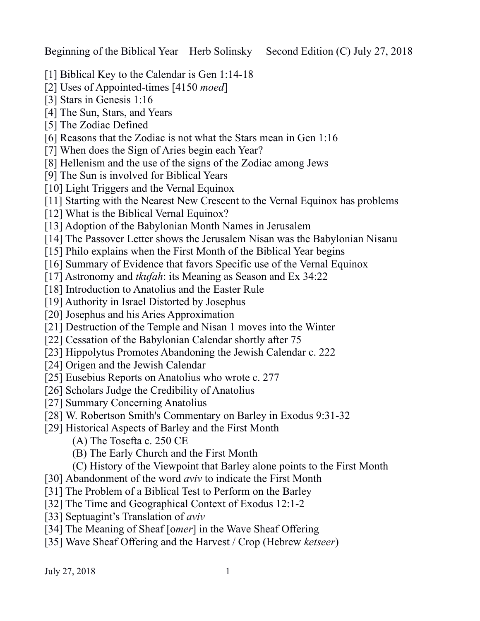Beginning of the Biblical Year Herb Solinsky Second Edition (C) July 27, 2018

- [1] Biblical Key to the Calendar is Gen 1:14-18
- [2] Uses of Appointed-times [4150 *moed*]
- [3] Stars in Genesis 1:16
- [4] The Sun, Stars, and Years
- [5] The Zodiac Defined
- [6] Reasons that the Zodiac is not what the Stars mean in Gen 1:16
- [7] When does the Sign of Aries begin each Year?
- [8] Hellenism and the use of the signs of the Zodiac among Jews
- [9] The Sun is involved for Biblical Years
- [10] Light Triggers and the Vernal Equinox
- [11] Starting with the Nearest New Crescent to the Vernal Equinox has problems
- [12] What is the Biblical Vernal Equinox?
- [13] Adoption of the Babylonian Month Names in Jerusalem
- [14] The Passover Letter shows the Jerusalem Nisan was the Babylonian Nisanu
- [15] Philo explains when the First Month of the Biblical Year begins
- [16] Summary of Evidence that favors Specific use of the Vernal Equinox
- [17] Astronomy and *tkufah*: its Meaning as Season and Ex 34:22
- [18] Introduction to Anatolius and the Easter Rule
- [19] Authority in Israel Distorted by Josephus
- [20] Josephus and his Aries Approximation
- [21] Destruction of the Temple and Nisan 1 moves into the Winter
- [22] Cessation of the Babylonian Calendar shortly after 75
- [23] Hippolytus Promotes Abandoning the Jewish Calendar c. 222
- [24] Origen and the Jewish Calendar
- [25] Eusebius Reports on Anatolius who wrote c. 277
- [26] Scholars Judge the Credibility of Anatolius
- [27] Summary Concerning Anatolius
- [28] W. Robertson Smith's Commentary on Barley in Exodus 9:31-32
- [29] Historical Aspects of Barley and the First Month
	- (A) The Tosefta c. 250 CE
	- (B) The Early Church and the First Month
	- (C) History of the Viewpoint that Barley alone points to the First Month
- [30] Abandonment of the word *aviv* to indicate the First Month
- [31] The Problem of a Biblical Test to Perform on the Barley
- [32] The Time and Geographical Context of Exodus 12:1-2
- [33] Septuagint's Translation of *aviv*
- [34] The Meaning of Sheaf [omer] in the Wave Sheaf Offering
- [35] Wave Sheaf Offering and the Harvest / Crop (Hebrew *ketseer*)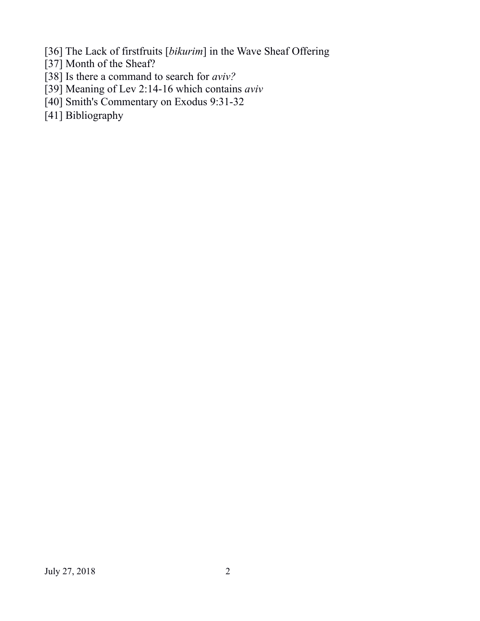[36] The Lack of firstfruits [*bikurim*] in the Wave Sheaf Offering

- [37] Month of the Sheaf?
- [38] Is there a command to search for *aviv?*
- [39] Meaning of Lev 2:14-16 which contains *aviv*
- [40] Smith's Commentary on Exodus 9:31-32
- [41] Bibliography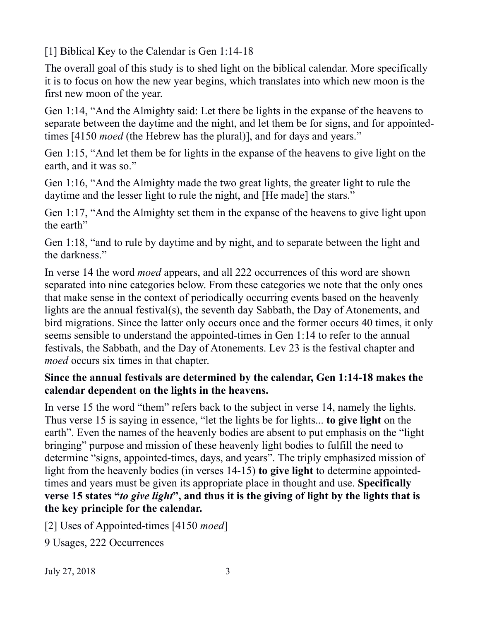[1] Biblical Key to the Calendar is Gen 1:14-18

The overall goal of this study is to shed light on the biblical calendar. More specifically it is to focus on how the new year begins, which translates into which new moon is the first new moon of the year.

Gen 1:14, "And the Almighty said: Let there be lights in the expanse of the heavens to separate between the daytime and the night, and let them be for signs, and for appointedtimes [4150 *moed* (the Hebrew has the plural)], and for days and years."

Gen 1:15, "And let them be for lights in the expanse of the heavens to give light on the earth, and it was so."

Gen 1:16, "And the Almighty made the two great lights, the greater light to rule the daytime and the lesser light to rule the night, and [He made] the stars."

Gen 1:17, "And the Almighty set them in the expanse of the heavens to give light upon the earth"

Gen 1:18, "and to rule by daytime and by night, and to separate between the light and the darkness."

In verse 14 the word *moed* appears, and all 222 occurrences of this word are shown separated into nine categories below. From these categories we note that the only ones that make sense in the context of periodically occurring events based on the heavenly lights are the annual festival(s), the seventh day Sabbath, the Day of Atonements, and bird migrations. Since the latter only occurs once and the former occurs 40 times, it only seems sensible to understand the appointed-times in Gen 1:14 to refer to the annual festivals, the Sabbath, and the Day of Atonements. Lev 23 is the festival chapter and *moed* occurs six times in that chapter.

## **Since the annual festivals are determined by the calendar, Gen 1:14-18 makes the calendar dependent on the lights in the heavens.**

In verse 15 the word "them" refers back to the subject in verse 14, namely the lights. Thus verse 15 is saying in essence, "let the lights be for lights... **to give light** on the earth". Even the names of the heavenly bodies are absent to put emphasis on the "light bringing" purpose and mission of these heavenly light bodies to fulfill the need to determine "signs, appointed-times, days, and years". The triply emphasized mission of light from the heavenly bodies (in verses 14-15) **to give light** to determine appointedtimes and years must be given its appropriate place in thought and use. **Specifically verse 15 states "***to give light***", and thus it is the giving of light by the lights that is the key principle for the calendar.**

[2] Uses of Appointed-times [4150 *moed*]

9 Usages, 222 Occurrences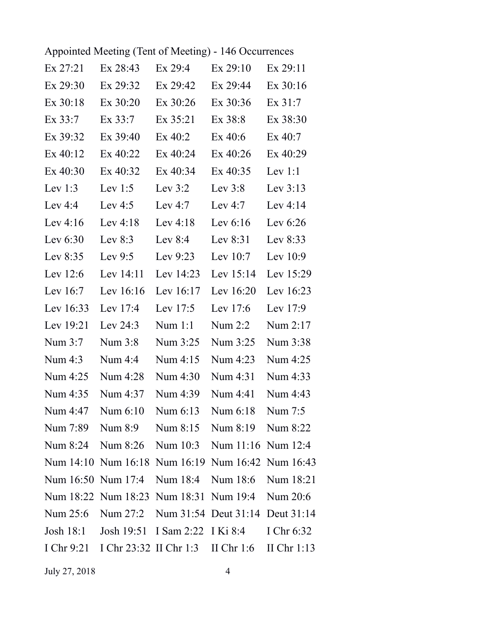| Appointed Meeting (Tent of Meeting) - 146 Occurrences |  |  |
|-------------------------------------------------------|--|--|
|-------------------------------------------------------|--|--|

| Ex 27:21    | Ex 28:43                                                 | Ex 29:4     | Ex 29:10    | Ex 29:11    |
|-------------|----------------------------------------------------------|-------------|-------------|-------------|
| Ex 29:30    | Ex 29:32                                                 | Ex 29:42    | Ex 29:44    | $Ex\,30:16$ |
| $Ex$ 30:18  | $Ex$ 30:20                                               | $Ex\,30:26$ | $Ex\,30:36$ | $Ex\,31:7$  |
| Ex 33:7     | $Ex\,33:7$                                               | $Ex\,35:21$ | $Ex\,38:8$  | Ex 38:30    |
| Ex 39:32    | $Ex$ 39:40                                               | Ex 40:2     | $Ex$ 40:6   | $Ex\,40:7$  |
| $Ex\,40:12$ | $Ex\,40:22$                                              | $Ex\,40:24$ | $Ex\,40:26$ | Ex 40:29    |
| $Ex\,40:30$ | $Ex\,40:32$                                              | $Ex\,40:34$ | $Ex\,40:35$ | Lev $1:1$   |
| Lev $1:3$   | Lev $1:5$                                                | Lev $3:2$   | Lev $3:8$   | Lev $3:13$  |
| Lev $4:4$   | Lev $4:5$                                                | Lev $4:7$   | Lev $4:7$   | Lev $4:14$  |
| Lev $4:16$  | Lev $4:18$                                               | Lev $4:18$  | Lev $6:16$  | Lev $6:26$  |
| Lev $6:30$  | Lev $8:3$                                                | Lev $8:4$   | Lev $8:31$  | Lev $8:33$  |
| Lev $8:35$  | Lev $9:5$                                                | Lev $9:23$  | Lev $10:7$  | Lev $10:9$  |
| Lev $12:6$  | Lev $14:11$                                              | Lev $14:23$ | Lev $15:14$ | Lev $15:29$ |
| Lev $16:7$  | Lev $16:16$                                              | Lev 16:17   | Lev $16:20$ | Lev 16:23   |
| Lev $16:33$ | Lev $17:4$                                               | Lev $17:5$  | Lev $17:6$  | Lev $17:9$  |
| Lev 19:21   | Lev $24:3$                                               | Num $1:1$   | Num $2:2$   | Num 2:17    |
| Num 3:7     | Num 3:8                                                  | Num 3:25    | Num 3:25    | Num 3:38    |
| Num 4:3     | Num $4:4$                                                | Num 4:15    | Num 4:23    | Num 4:25    |
| Num 4:25    | Num 4:28                                                 | Num 4:30    | Num 4:31    | Num 4:33    |
| Num 4:35    | Num 4:37                                                 | Num 4:39    | Num 4:41    | Num 4:43    |
| Num 4:47    | Num 6:10                                                 | Num 6:13    | Num 6:18    | Num 7:5     |
|             | Num 7:89 Num 8:9 Num 8:15 Num 8:19 Num 8:22              |             |             |             |
|             | Num 8:24 Num 8:26 Num 10:3 Num 11:16 Num 12:4            |             |             |             |
|             | Num 14:10 Num 16:18 Num 16:19 Num 16:42 Num 16:43        |             |             |             |
|             | Num 16:50 Num 17:4 Num 18:4 Num 18:6 Num 18:21           |             |             |             |
|             | Num 18:22 Num 18:23 Num 18:31 Num 19:4 Num 20:6          |             |             |             |
|             | Num 25:6 Num 27:2 Num 31:54 Deut 31:14 Deut 31:14        |             |             |             |
|             | Josh 18:1 Josh 19:51 I Sam 2:22 I Ki 8:4 I Chr 6:32      |             |             |             |
|             | I Chr 9:21 I Chr 23:32 II Chr 1:3 II Chr 1:6 II Chr 1:13 |             |             |             |
|             |                                                          |             |             |             |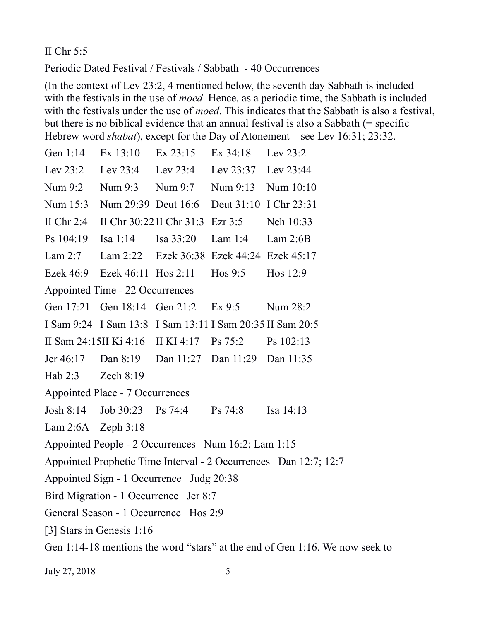#### II Chr 5:5

Periodic Dated Festival / Festivals / Sabbath - 40 Occurrences

(In the context of Lev 23:2, 4 mentioned below, the seventh day Sabbath is included with the festivals in the use of *moed*. Hence, as a periodic time, the Sabbath is included with the festivals under the use of *moed*. This indicates that the Sabbath is also a festival, but there is no biblical evidence that an annual festival is also a Sabbath (= specific Hebrew word *shabat*), except for the Day of Atonement – see Lev 16:31; 23:32.

| Gen 1:14                                                                     | Ex 13:10                      | $Ex\,23:15$                               | Ex 34:18            | Lev $23:2$                                                |  |  |
|------------------------------------------------------------------------------|-------------------------------|-------------------------------------------|---------------------|-----------------------------------------------------------|--|--|
| Lev $23:2$                                                                   |                               | Lev $23:4$ Lev $23:4$                     | Lev 23:37 Lev 23:44 |                                                           |  |  |
| Num 9:2                                                                      |                               | Num 9:3 Num 9:7                           | Num 9:13 Num 10:10  |                                                           |  |  |
| Num 15:3                                                                     | Num 29:39 Deut 16:6           |                                           |                     | Deut 31:10 I Chr 23:31                                    |  |  |
| II Chr $2:4$                                                                 |                               | II Chr $30:22$ II Chr $31:3$ Ezr $3:5$    |                     | Neh 10:33                                                 |  |  |
| Ps 104:19                                                                    | Isa $1:14$                    | Isa 33:20                                 | Lam $1:4$           | Lam $2:6B$                                                |  |  |
| Lam 2:7                                                                      |                               | Lam 2:22 Ezek 36:38 Ezek 44:24 Ezek 45:17 |                     |                                                           |  |  |
|                                                                              | Ezek 46:9 Ezek 46:11 Hos 2:11 |                                           | Hos $9:5$           | Hos $12:9$                                                |  |  |
| Appointed Time - 22 Occurrences                                              |                               |                                           |                     |                                                           |  |  |
|                                                                              | Gen 17:21 Gen 18:14 Gen 21:2  |                                           | Ex9:5               | Num 28:2                                                  |  |  |
|                                                                              |                               |                                           |                     | I Sam 9:24 I Sam 13:8 I Sam 13:11 I Sam 20:35 II Sam 20:5 |  |  |
|                                                                              |                               | II Sam 24:15II Ki 4:16 II KI 4:17 Ps 75:2 |                     | Ps 102:13                                                 |  |  |
| Jer 46:17                                                                    |                               | Dan 8:19 Dan 11:27 Dan 11:29 Dan 11:35    |                     |                                                           |  |  |
| Hab 2:3 Zech 8:19                                                            |                               |                                           |                     |                                                           |  |  |
| Appointed Place - 7 Occurrences                                              |                               |                                           |                     |                                                           |  |  |
| Josh 8:14                                                                    | Job $30:23$ Ps $74:4$         |                                           | Ps 74:8             | Isa 14:13                                                 |  |  |
| Lam 2:6A Zeph 3:18                                                           |                               |                                           |                     |                                                           |  |  |
| Appointed People - 2 Occurrences Num 16:2; Lam 1:15                          |                               |                                           |                     |                                                           |  |  |
| Appointed Prophetic Time Interval - 2 Occurrences Dan 12:7; 12:7             |                               |                                           |                     |                                                           |  |  |
| Appointed Sign - 1 Occurrence Judg 20:38                                     |                               |                                           |                     |                                                           |  |  |
| Bird Migration - 1 Occurrence Jer 8:7                                        |                               |                                           |                     |                                                           |  |  |
| General Season - 1 Occurrence Hos 2:9                                        |                               |                                           |                     |                                                           |  |  |
| [3] Stars in Genesis 1:16                                                    |                               |                                           |                     |                                                           |  |  |
| Gen 1:14-18 mentions the word "stars" at the end of Gen 1:16. We now seek to |                               |                                           |                     |                                                           |  |  |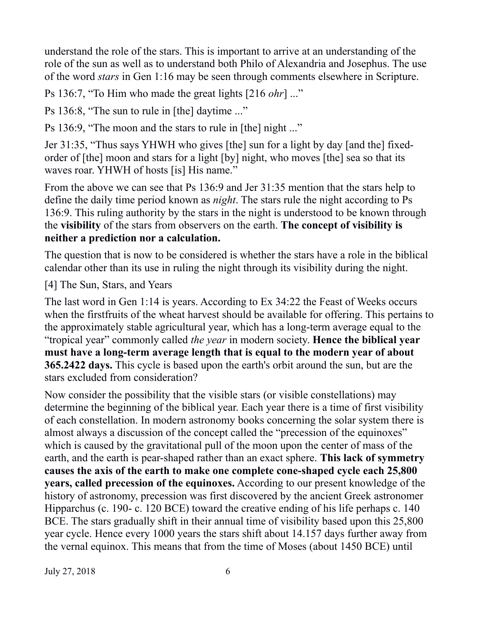understand the role of the stars. This is important to arrive at an understanding of the role of the sun as well as to understand both Philo of Alexandria and Josephus. The use of the word *stars* in Gen 1:16 may be seen through comments elsewhere in Scripture.

Ps 136:7, "To Him who made the great lights [216 *ohr*] ..."

Ps 136:8, "The sun to rule in [the] daytime ..."

Ps 136:9, "The moon and the stars to rule in [the] night ..."

Jer 31:35, "Thus says YHWH who gives [the] sun for a light by day [and the] fixedorder of [the] moon and stars for a light [by] night, who moves [the] sea so that its waves roar. YHWH of hosts [is] His name."

From the above we can see that Ps 136:9 and Jer 31:35 mention that the stars help to define the daily time period known as *night*. The stars rule the night according to Ps 136:9. This ruling authority by the stars in the night is understood to be known through the **visibility** of the stars from observers on the earth. **The concept of visibility is neither a prediction nor a calculation.**

The question that is now to be considered is whether the stars have a role in the biblical calendar other than its use in ruling the night through its visibility during the night.

[4] The Sun, Stars, and Years

The last word in Gen 1:14 is years. According to Ex 34:22 the Feast of Weeks occurs when the firstfruits of the wheat harvest should be available for offering. This pertains to the approximately stable agricultural year, which has a long-term average equal to the "tropical year" commonly called *the year* in modern society. **Hence the biblical year must have a long-term average length that is equal to the modern year of about 365.2422 days.** This cycle is based upon the earth's orbit around the sun, but are the stars excluded from consideration?

Now consider the possibility that the visible stars (or visible constellations) may determine the beginning of the biblical year. Each year there is a time of first visibility of each constellation. In modern astronomy books concerning the solar system there is almost always a discussion of the concept called the "precession of the equinoxes" which is caused by the gravitational pull of the moon upon the center of mass of the earth, and the earth is pear-shaped rather than an exact sphere. **This lack of symmetry causes the axis of the earth to make one complete cone-shaped cycle each 25,800 years, called precession of the equinoxes.** According to our present knowledge of the history of astronomy, precession was first discovered by the ancient Greek astronomer Hipparchus (c. 190- c. 120 BCE) toward the creative ending of his life perhaps c. 140 BCE. The stars gradually shift in their annual time of visibility based upon this 25,800 year cycle. Hence every 1000 years the stars shift about 14.157 days further away from the vernal equinox. This means that from the time of Moses (about 1450 BCE) until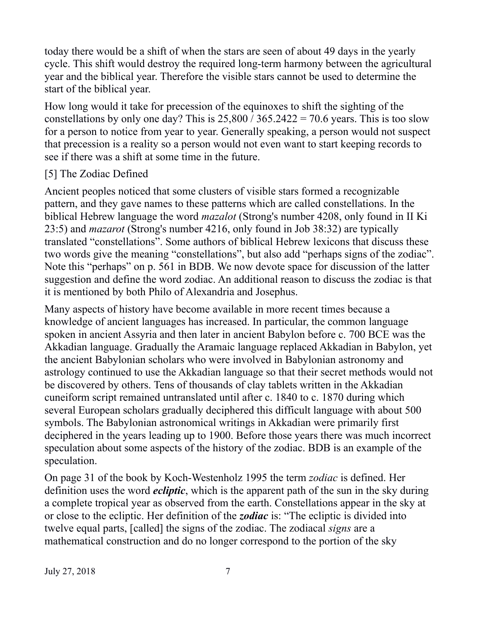today there would be a shift of when the stars are seen of about 49 days in the yearly cycle. This shift would destroy the required long-term harmony between the agricultural year and the biblical year. Therefore the visible stars cannot be used to determine the start of the biblical year.

How long would it take for precession of the equinoxes to shift the sighting of the constellations by only one day? This is  $25,800 / 365.2422 = 70.6$  years. This is too slow for a person to notice from year to year. Generally speaking, a person would not suspect that precession is a reality so a person would not even want to start keeping records to see if there was a shift at some time in the future.

#### [5] The Zodiac Defined

Ancient peoples noticed that some clusters of visible stars formed a recognizable pattern, and they gave names to these patterns which are called constellations. In the biblical Hebrew language the word *mazalot* (Strong's number 4208, only found in II Ki 23:5) and *mazarot* (Strong's number 4216, only found in Job 38:32) are typically translated "constellations". Some authors of biblical Hebrew lexicons that discuss these two words give the meaning "constellations", but also add "perhaps signs of the zodiac". Note this "perhaps" on p. 561 in BDB. We now devote space for discussion of the latter suggestion and define the word zodiac. An additional reason to discuss the zodiac is that it is mentioned by both Philo of Alexandria and Josephus.

Many aspects of history have become available in more recent times because a knowledge of ancient languages has increased. In particular, the common language spoken in ancient Assyria and then later in ancient Babylon before c. 700 BCE was the Akkadian language. Gradually the Aramaic language replaced Akkadian in Babylon, yet the ancient Babylonian scholars who were involved in Babylonian astronomy and astrology continued to use the Akkadian language so that their secret methods would not be discovered by others. Tens of thousands of clay tablets written in the Akkadian cuneiform script remained untranslated until after c. 1840 to c. 1870 during which several European scholars gradually deciphered this difficult language with about 500 symbols. The Babylonian astronomical writings in Akkadian were primarily first deciphered in the years leading up to 1900. Before those years there was much incorrect speculation about some aspects of the history of the zodiac. BDB is an example of the speculation.

On page 31 of the book by Koch-Westenholz 1995 the term *zodiac* is defined. Her definition uses the word *ecliptic*, which is the apparent path of the sun in the sky during a complete tropical year as observed from the earth. Constellations appear in the sky at or close to the ecliptic. Her definition of the *zodiac* is: "The ecliptic is divided into twelve equal parts, [called] the signs of the zodiac. The zodiacal *signs* are a mathematical construction and do no longer correspond to the portion of the sky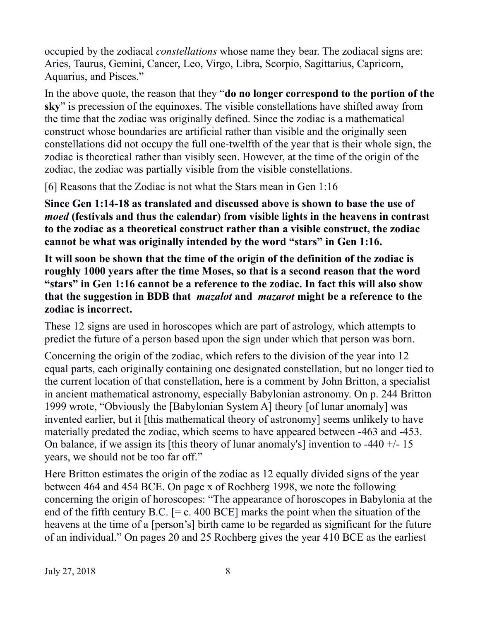occupied by the zodiacal *constellations* whose name they bear. The zodiacal signs are: Aries, Taurus, Gemini, Cancer, Leo, Virgo, Libra, Scorpio, Sagittarius, Capricorn, Aquarius, and Pisces."

In the above quote, the reason that they "**do no longer correspond to the portion of the sky**" is precession of the equinoxes. The visible constellations have shifted away from the time that the zodiac was originally defined. Since the zodiac is a mathematical construct whose boundaries are artificial rather than visible and the originally seen constellations did not occupy the full one-twelfth of the year that is their whole sign, the zodiac is theoretical rather than visibly seen. However, at the time of the origin of the zodiac, the zodiac was partially visible from the visible constellations.

[6] Reasons that the Zodiac is not what the Stars mean in Gen 1:16

**Since Gen 1:14-18 as translated and discussed above is shown to base the use of**  *moed* **(festivals and thus the calendar) from visible lights in the heavens in contrast to the zodiac as a theoretical construct rather than a visible construct, the zodiac cannot be what was originally intended by the word "stars" in Gen 1:16.**

**It will soon be shown that the time of the origin of the definition of the zodiac is roughly 1000 years after the time Moses, so that is a second reason that the word "stars" in Gen 1:16 cannot be a reference to the zodiac. In fact this will also show that the suggestion in BDB that** *mazalot* **and** *mazarot* **might be a reference to the zodiac is incorrect.**

These 12 signs are used in horoscopes which are part of astrology, which attempts to predict the future of a person based upon the sign under which that person was born.

Concerning the origin of the zodiac, which refers to the division of the year into 12 equal parts, each originally containing one designated constellation, but no longer tied to the current location of that constellation, here is a comment by John Britton, a specialist in ancient mathematical astronomy, especially Babylonian astronomy. On p. 244 Britton 1999 wrote, "Obviously the [Babylonian System A] theory [of lunar anomaly] was invented earlier, but it [this mathematical theory of astronomy] seems unlikely to have materially predated the zodiac, which seems to have appeared between -463 and -453. On balance, if we assign its [this theory of lunar anomaly's] invention to -440  $+/-15$ years, we should not be too far off."

Here Britton estimates the origin of the zodiac as 12 equally divided signs of the year between 464 and 454 BCE. On page x of Rochberg 1998, we note the following concerning the origin of horoscopes: "The appearance of horoscopes in Babylonia at the end of the fifth century B.C.  $[= c. 400 \text{ BCE}]$  marks the point when the situation of the heavens at the time of a [person's] birth came to be regarded as significant for the future of an individual." On pages 20 and 25 Rochberg gives the year 410 BCE as the earliest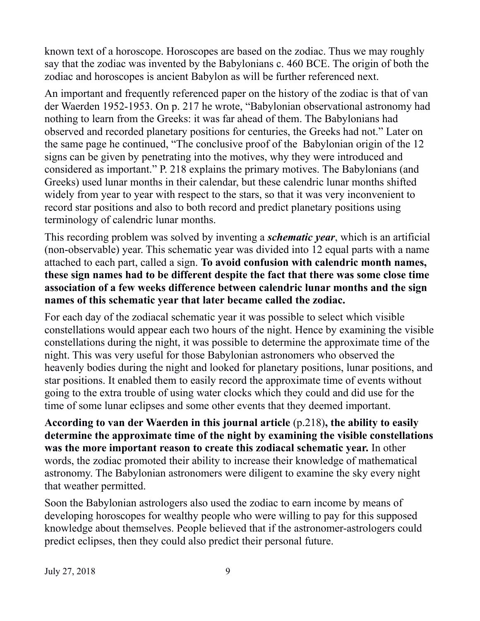known text of a horoscope. Horoscopes are based on the zodiac. Thus we may roughly say that the zodiac was invented by the Babylonians c. 460 BCE. The origin of both the zodiac and horoscopes is ancient Babylon as will be further referenced next.

An important and frequently referenced paper on the history of the zodiac is that of van der Waerden 1952-1953. On p. 217 he wrote, "Babylonian observational astronomy had nothing to learn from the Greeks: it was far ahead of them. The Babylonians had observed and recorded planetary positions for centuries, the Greeks had not." Later on the same page he continued, "The conclusive proof of the Babylonian origin of the 12 signs can be given by penetrating into the motives, why they were introduced and considered as important." P. 218 explains the primary motives. The Babylonians (and Greeks) used lunar months in their calendar, but these calendric lunar months shifted widely from year to year with respect to the stars, so that it was very inconvenient to record star positions and also to both record and predict planetary positions using terminology of calendric lunar months.

This recording problem was solved by inventing a *schematic year*, which is an artificial (non-observable) year. This schematic year was divided into 12 equal parts with a name attached to each part, called a sign. **To avoid confusion with calendric month names, these sign names had to be different despite the fact that there was some close time association of a few weeks difference between calendric lunar months and the sign names of this schematic year that later became called the zodiac.**

For each day of the zodiacal schematic year it was possible to select which visible constellations would appear each two hours of the night. Hence by examining the visible constellations during the night, it was possible to determine the approximate time of the night. This was very useful for those Babylonian astronomers who observed the heavenly bodies during the night and looked for planetary positions, lunar positions, and star positions. It enabled them to easily record the approximate time of events without going to the extra trouble of using water clocks which they could and did use for the time of some lunar eclipses and some other events that they deemed important.

**According to van der Waerden in this journal article** (p.218)**, the ability to easily determine the approximate time of the night by examining the visible constellations was the more important reason to create this zodiacal schematic year.** In other words, the zodiac promoted their ability to increase their knowledge of mathematical astronomy. The Babylonian astronomers were diligent to examine the sky every night that weather permitted.

Soon the Babylonian astrologers also used the zodiac to earn income by means of developing horoscopes for wealthy people who were willing to pay for this supposed knowledge about themselves. People believed that if the astronomer-astrologers could predict eclipses, then they could also predict their personal future.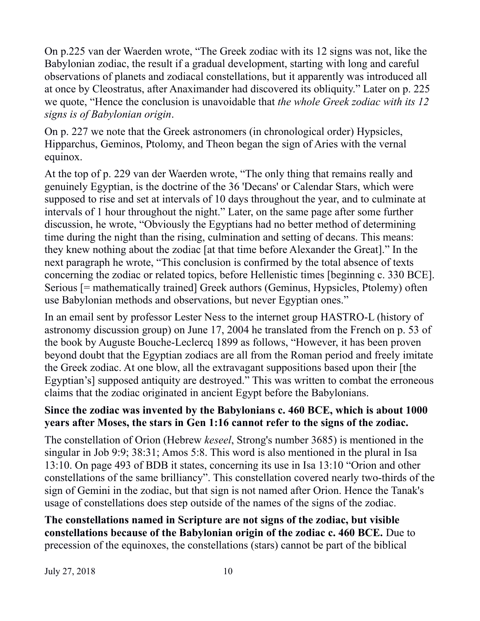On p.225 van der Waerden wrote, "The Greek zodiac with its 12 signs was not, like the Babylonian zodiac, the result if a gradual development, starting with long and careful observations of planets and zodiacal constellations, but it apparently was introduced all at once by Cleostratus, after Anaximander had discovered its obliquity." Later on p. 225 we quote, "Hence the conclusion is unavoidable that *the whole Greek zodiac with its 12 signs is of Babylonian origin*.

On p. 227 we note that the Greek astronomers (in chronological order) Hypsicles, Hipparchus, Geminos, Ptolomy, and Theon began the sign of Aries with the vernal equinox.

At the top of p. 229 van der Waerden wrote, "The only thing that remains really and genuinely Egyptian, is the doctrine of the 36 'Decans' or Calendar Stars, which were supposed to rise and set at intervals of 10 days throughout the year, and to culminate at intervals of 1 hour throughout the night." Later, on the same page after some further discussion, he wrote, "Obviously the Egyptians had no better method of determining time during the night than the rising, culmination and setting of decans. This means: they knew nothing about the zodiac [at that time before Alexander the Great]." In the next paragraph he wrote, "This conclusion is confirmed by the total absence of texts concerning the zodiac or related topics, before Hellenistic times [beginning c. 330 BCE]. Serious [= mathematically trained] Greek authors (Geminus, Hypsicles, Ptolemy) often use Babylonian methods and observations, but never Egyptian ones."

In an email sent by professor Lester Ness to the internet group HASTRO-L (history of astronomy discussion group) on June 17, 2004 he translated from the French on p. 53 of the book by Auguste Bouche-Leclercq 1899 as follows, "However, it has been proven beyond doubt that the Egyptian zodiacs are all from the Roman period and freely imitate the Greek zodiac. At one blow, all the extravagant suppositions based upon their [the Egyptian's] supposed antiquity are destroyed." This was written to combat the erroneous claims that the zodiac originated in ancient Egypt before the Babylonians.

### **Since the zodiac was invented by the Babylonians c. 460 BCE, which is about 1000 years after Moses, the stars in Gen 1:16 cannot refer to the signs of the zodiac.**

The constellation of Orion (Hebrew *keseel*, Strong's number 3685) is mentioned in the singular in Job 9:9; 38:31; Amos 5:8. This word is also mentioned in the plural in Isa 13:10. On page 493 of BDB it states, concerning its use in Isa 13:10 "Orion and other constellations of the same brilliancy". This constellation covered nearly two-thirds of the sign of Gemini in the zodiac, but that sign is not named after Orion. Hence the Tanak's usage of constellations does step outside of the names of the signs of the zodiac.

**The constellations named in Scripture are not signs of the zodiac, but visible constellations because of the Babylonian origin of the zodiac c. 460 BCE.** Due to precession of the equinoxes, the constellations (stars) cannot be part of the biblical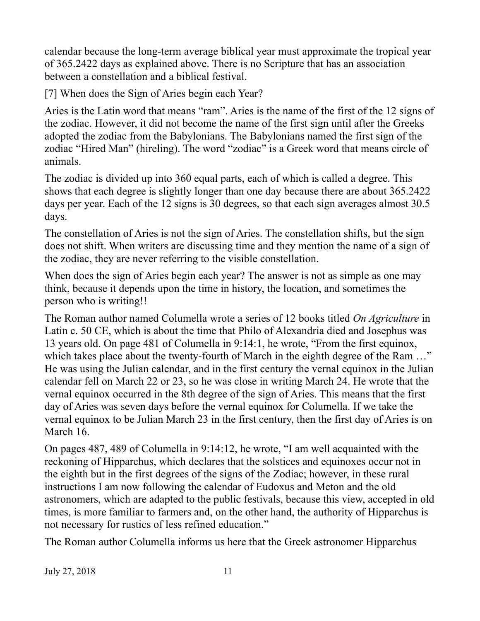calendar because the long-term average biblical year must approximate the tropical year of 365.2422 days as explained above. There is no Scripture that has an association between a constellation and a biblical festival.

[7] When does the Sign of Aries begin each Year?

Aries is the Latin word that means "ram". Aries is the name of the first of the 12 signs of the zodiac. However, it did not become the name of the first sign until after the Greeks adopted the zodiac from the Babylonians. The Babylonians named the first sign of the zodiac "Hired Man" (hireling). The word "zodiac" is a Greek word that means circle of animals.

The zodiac is divided up into 360 equal parts, each of which is called a degree. This shows that each degree is slightly longer than one day because there are about 365.2422 days per year. Each of the 12 signs is 30 degrees, so that each sign averages almost 30.5 days.

The constellation of Aries is not the sign of Aries. The constellation shifts, but the sign does not shift. When writers are discussing time and they mention the name of a sign of the zodiac, they are never referring to the visible constellation.

When does the sign of Aries begin each year? The answer is not as simple as one may think, because it depends upon the time in history, the location, and sometimes the person who is writing!!

The Roman author named Columella wrote a series of 12 books titled *On Agriculture* in Latin c. 50 CE, which is about the time that Philo of Alexandria died and Josephus was 13 years old. On page 481 of Columella in 9:14:1, he wrote, "From the first equinox, which takes place about the twenty-fourth of March in the eighth degree of the Ram ..." He was using the Julian calendar, and in the first century the vernal equinox in the Julian calendar fell on March 22 or 23, so he was close in writing March 24. He wrote that the vernal equinox occurred in the 8th degree of the sign of Aries. This means that the first day of Aries was seven days before the vernal equinox for Columella. If we take the vernal equinox to be Julian March 23 in the first century, then the first day of Aries is on March 16.

On pages 487, 489 of Columella in 9:14:12, he wrote, "I am well acquainted with the reckoning of Hipparchus, which declares that the solstices and equinoxes occur not in the eighth but in the first degrees of the signs of the Zodiac; however, in these rural instructions I am now following the calendar of Eudoxus and Meton and the old astronomers, which are adapted to the public festivals, because this view, accepted in old times, is more familiar to farmers and, on the other hand, the authority of Hipparchus is not necessary for rustics of less refined education."

The Roman author Columella informs us here that the Greek astronomer Hipparchus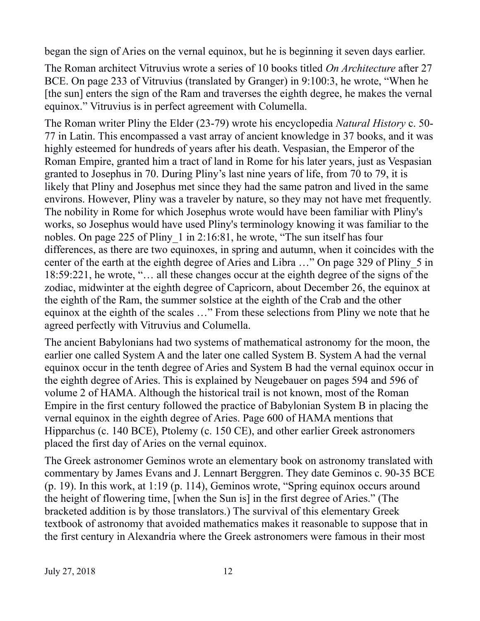began the sign of Aries on the vernal equinox, but he is beginning it seven days earlier.

The Roman architect Vitruvius wrote a series of 10 books titled *On Architecture* after 27 BCE. On page 233 of Vitruvius (translated by Granger) in 9:100:3, he wrote, "When he [the sun] enters the sign of the Ram and traverses the eighth degree, he makes the vernal equinox." Vitruvius is in perfect agreement with Columella.

The Roman writer Pliny the Elder (23-79) wrote his encyclopedia *Natural History* c. 50- 77 in Latin. This encompassed a vast array of ancient knowledge in 37 books, and it was highly esteemed for hundreds of years after his death. Vespasian, the Emperor of the Roman Empire, granted him a tract of land in Rome for his later years, just as Vespasian granted to Josephus in 70. During Pliny's last nine years of life, from 70 to 79, it is likely that Pliny and Josephus met since they had the same patron and lived in the same environs. However, Pliny was a traveler by nature, so they may not have met frequently. The nobility in Rome for which Josephus wrote would have been familiar with Pliny's works, so Josephus would have used Pliny's terminology knowing it was familiar to the nobles. On page 225 of Pliny\_1 in 2:16:81, he wrote, "The sun itself has four differences, as there are two equinoxes, in spring and autumn, when it coincides with the center of the earth at the eighth degree of Aries and Libra …" On page 329 of Pliny\_5 in 18:59:221, he wrote, "… all these changes occur at the eighth degree of the signs of the zodiac, midwinter at the eighth degree of Capricorn, about December 26, the equinox at the eighth of the Ram, the summer solstice at the eighth of the Crab and the other equinox at the eighth of the scales …" From these selections from Pliny we note that he agreed perfectly with Vitruvius and Columella.

The ancient Babylonians had two systems of mathematical astronomy for the moon, the earlier one called System A and the later one called System B. System A had the vernal equinox occur in the tenth degree of Aries and System B had the vernal equinox occur in the eighth degree of Aries. This is explained by Neugebauer on pages 594 and 596 of volume 2 of HAMA. Although the historical trail is not known, most of the Roman Empire in the first century followed the practice of Babylonian System B in placing the vernal equinox in the eighth degree of Aries. Page 600 of HAMA mentions that Hipparchus (c. 140 BCE), Ptolemy (c. 150 CE), and other earlier Greek astronomers placed the first day of Aries on the vernal equinox.

The Greek astronomer Geminos wrote an elementary book on astronomy translated with commentary by James Evans and J. Lennart Berggren. They date Geminos c. 90-35 BCE (p. 19). In this work, at 1:19 (p. 114), Geminos wrote, "Spring equinox occurs around the height of flowering time, [when the Sun is] in the first degree of Aries." (The bracketed addition is by those translators.) The survival of this elementary Greek textbook of astronomy that avoided mathematics makes it reasonable to suppose that in the first century in Alexandria where the Greek astronomers were famous in their most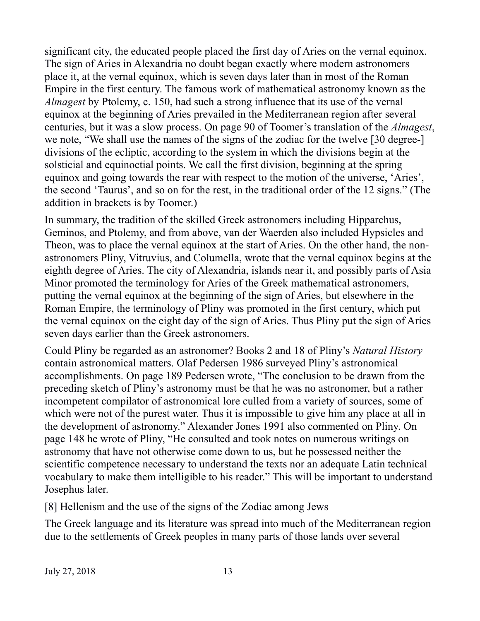significant city, the educated people placed the first day of Aries on the vernal equinox. The sign of Aries in Alexandria no doubt began exactly where modern astronomers place it, at the vernal equinox, which is seven days later than in most of the Roman Empire in the first century. The famous work of mathematical astronomy known as the *Almagest* by Ptolemy, c. 150, had such a strong influence that its use of the vernal equinox at the beginning of Aries prevailed in the Mediterranean region after several centuries, but it was a slow process. On page 90 of Toomer's translation of the *Almagest*, we note, "We shall use the names of the signs of the zodiac for the twelve [30 degree-] divisions of the ecliptic, according to the system in which the divisions begin at the solsticial and equinoctial points. We call the first division, beginning at the spring equinox and going towards the rear with respect to the motion of the universe, 'Aries', the second 'Taurus', and so on for the rest, in the traditional order of the 12 signs." (The addition in brackets is by Toomer.)

In summary, the tradition of the skilled Greek astronomers including Hipparchus, Geminos, and Ptolemy, and from above, van der Waerden also included Hypsicles and Theon, was to place the vernal equinox at the start of Aries. On the other hand, the nonastronomers Pliny, Vitruvius, and Columella, wrote that the vernal equinox begins at the eighth degree of Aries. The city of Alexandria, islands near it, and possibly parts of Asia Minor promoted the terminology for Aries of the Greek mathematical astronomers, putting the vernal equinox at the beginning of the sign of Aries, but elsewhere in the Roman Empire, the terminology of Pliny was promoted in the first century, which put the vernal equinox on the eight day of the sign of Aries. Thus Pliny put the sign of Aries seven days earlier than the Greek astronomers.

Could Pliny be regarded as an astronomer? Books 2 and 18 of Pliny's *Natural History* contain astronomical matters. Olaf Pedersen 1986 surveyed Pliny's astronomical accomplishments. On page 189 Pedersen wrote, "The conclusion to be drawn from the preceding sketch of Pliny's astronomy must be that he was no astronomer, but a rather incompetent compilator of astronomical lore culled from a variety of sources, some of which were not of the purest water. Thus it is impossible to give him any place at all in the development of astronomy." Alexander Jones 1991 also commented on Pliny. On page 148 he wrote of Pliny, "He consulted and took notes on numerous writings on astronomy that have not otherwise come down to us, but he possessed neither the scientific competence necessary to understand the texts nor an adequate Latin technical vocabulary to make them intelligible to his reader." This will be important to understand Josephus later.

[8] Hellenism and the use of the signs of the Zodiac among Jews

The Greek language and its literature was spread into much of the Mediterranean region due to the settlements of Greek peoples in many parts of those lands over several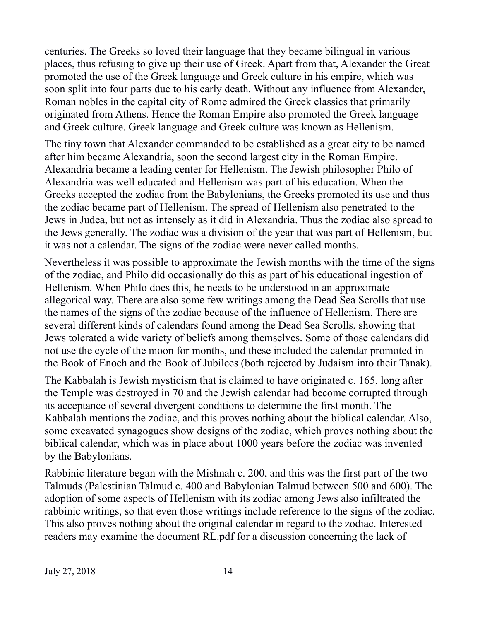centuries. The Greeks so loved their language that they became bilingual in various places, thus refusing to give up their use of Greek. Apart from that, Alexander the Great promoted the use of the Greek language and Greek culture in his empire, which was soon split into four parts due to his early death. Without any influence from Alexander, Roman nobles in the capital city of Rome admired the Greek classics that primarily originated from Athens. Hence the Roman Empire also promoted the Greek language and Greek culture. Greek language and Greek culture was known as Hellenism.

The tiny town that Alexander commanded to be established as a great city to be named after him became Alexandria, soon the second largest city in the Roman Empire. Alexandria became a leading center for Hellenism. The Jewish philosopher Philo of Alexandria was well educated and Hellenism was part of his education. When the Greeks accepted the zodiac from the Babylonians, the Greeks promoted its use and thus the zodiac became part of Hellenism. The spread of Hellenism also penetrated to the Jews in Judea, but not as intensely as it did in Alexandria. Thus the zodiac also spread to the Jews generally. The zodiac was a division of the year that was part of Hellenism, but it was not a calendar. The signs of the zodiac were never called months.

Nevertheless it was possible to approximate the Jewish months with the time of the signs of the zodiac, and Philo did occasionally do this as part of his educational ingestion of Hellenism. When Philo does this, he needs to be understood in an approximate allegorical way. There are also some few writings among the Dead Sea Scrolls that use the names of the signs of the zodiac because of the influence of Hellenism. There are several different kinds of calendars found among the Dead Sea Scrolls, showing that Jews tolerated a wide variety of beliefs among themselves. Some of those calendars did not use the cycle of the moon for months, and these included the calendar promoted in the Book of Enoch and the Book of Jubilees (both rejected by Judaism into their Tanak).

The Kabbalah is Jewish mysticism that is claimed to have originated c. 165, long after the Temple was destroyed in 70 and the Jewish calendar had become corrupted through its acceptance of several divergent conditions to determine the first month. The Kabbalah mentions the zodiac, and this proves nothing about the biblical calendar. Also, some excavated synagogues show designs of the zodiac, which proves nothing about the biblical calendar, which was in place about 1000 years before the zodiac was invented by the Babylonians.

Rabbinic literature began with the Mishnah c. 200, and this was the first part of the two Talmuds (Palestinian Talmud c. 400 and Babylonian Talmud between 500 and 600). The adoption of some aspects of Hellenism with its zodiac among Jews also infiltrated the rabbinic writings, so that even those writings include reference to the signs of the zodiac. This also proves nothing about the original calendar in regard to the zodiac. Interested readers may examine the document RL.pdf for a discussion concerning the lack of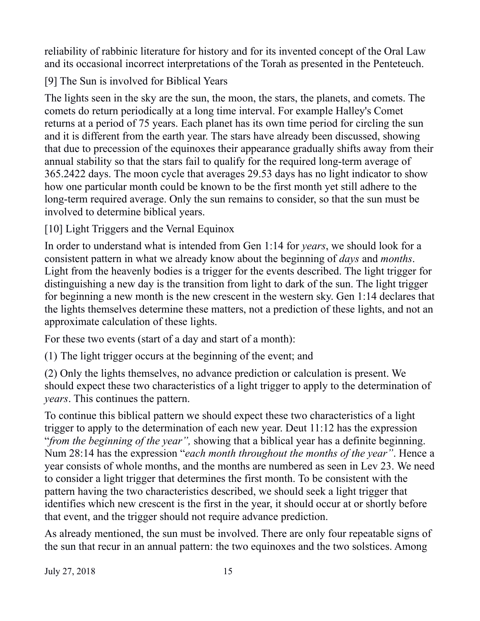reliability of rabbinic literature for history and for its invented concept of the Oral Law and its occasional incorrect interpretations of the Torah as presented in the Penteteuch.

[9] The Sun is involved for Biblical Years

The lights seen in the sky are the sun, the moon, the stars, the planets, and comets. The comets do return periodically at a long time interval. For example Halley's Comet returns at a period of 75 years. Each planet has its own time period for circling the sun and it is different from the earth year. The stars have already been discussed, showing that due to precession of the equinoxes their appearance gradually shifts away from their annual stability so that the stars fail to qualify for the required long-term average of 365.2422 days. The moon cycle that averages 29.53 days has no light indicator to show how one particular month could be known to be the first month yet still adhere to the long-term required average. Only the sun remains to consider, so that the sun must be involved to determine biblical years.

[10] Light Triggers and the Vernal Equinox

In order to understand what is intended from Gen 1:14 for *years*, we should look for a consistent pattern in what we already know about the beginning of *days* and *months*. Light from the heavenly bodies is a trigger for the events described. The light trigger for distinguishing a new day is the transition from light to dark of the sun. The light trigger for beginning a new month is the new crescent in the western sky. Gen 1:14 declares that the lights themselves determine these matters, not a prediction of these lights, and not an approximate calculation of these lights.

For these two events (start of a day and start of a month):

(1) The light trigger occurs at the beginning of the event; and

(2) Only the lights themselves, no advance prediction or calculation is present. We should expect these two characteristics of a light trigger to apply to the determination of *years*. This continues the pattern.

To continue this biblical pattern we should expect these two characteristics of a light trigger to apply to the determination of each new year. Deut 11:12 has the expression "*from the beginning of the year",* showing that a biblical year has a definite beginning. Num 28:14 has the expression "*each month throughout the months of the year"*. Hence a year consists of whole months, and the months are numbered as seen in Lev 23. We need to consider a light trigger that determines the first month. To be consistent with the pattern having the two characteristics described, we should seek a light trigger that identifies which new crescent is the first in the year, it should occur at or shortly before that event, and the trigger should not require advance prediction.

As already mentioned, the sun must be involved. There are only four repeatable signs of the sun that recur in an annual pattern: the two equinoxes and the two solstices. Among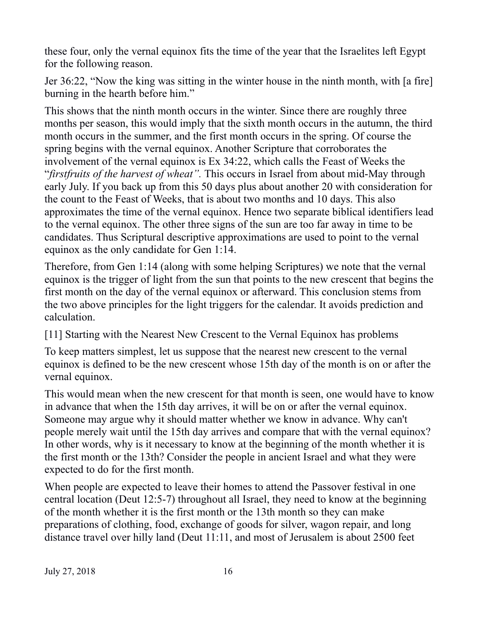these four, only the vernal equinox fits the time of the year that the Israelites left Egypt for the following reason.

Jer 36:22, "Now the king was sitting in the winter house in the ninth month, with [a fire] burning in the hearth before him."

This shows that the ninth month occurs in the winter. Since there are roughly three months per season, this would imply that the sixth month occurs in the autumn, the third month occurs in the summer, and the first month occurs in the spring. Of course the spring begins with the vernal equinox. Another Scripture that corroborates the involvement of the vernal equinox is Ex 34:22, which calls the Feast of Weeks the "*firstfruits of the harvest of wheat".* This occurs in Israel from about mid-May through early July. If you back up from this 50 days plus about another 20 with consideration for the count to the Feast of Weeks, that is about two months and 10 days. This also approximates the time of the vernal equinox. Hence two separate biblical identifiers lead to the vernal equinox. The other three signs of the sun are too far away in time to be candidates. Thus Scriptural descriptive approximations are used to point to the vernal equinox as the only candidate for Gen 1:14.

Therefore, from Gen 1:14 (along with some helping Scriptures) we note that the vernal equinox is the trigger of light from the sun that points to the new crescent that begins the first month on the day of the vernal equinox or afterward. This conclusion stems from the two above principles for the light triggers for the calendar. It avoids prediction and calculation.

[11] Starting with the Nearest New Crescent to the Vernal Equinox has problems

To keep matters simplest, let us suppose that the nearest new crescent to the vernal equinox is defined to be the new crescent whose 15th day of the month is on or after the vernal equinox.

This would mean when the new crescent for that month is seen, one would have to know in advance that when the 15th day arrives, it will be on or after the vernal equinox. Someone may argue why it should matter whether we know in advance. Why can't people merely wait until the 15th day arrives and compare that with the vernal equinox? In other words, why is it necessary to know at the beginning of the month whether it is the first month or the 13th? Consider the people in ancient Israel and what they were expected to do for the first month.

When people are expected to leave their homes to attend the Passover festival in one central location (Deut 12:5-7) throughout all Israel, they need to know at the beginning of the month whether it is the first month or the 13th month so they can make preparations of clothing, food, exchange of goods for silver, wagon repair, and long distance travel over hilly land (Deut 11:11, and most of Jerusalem is about 2500 feet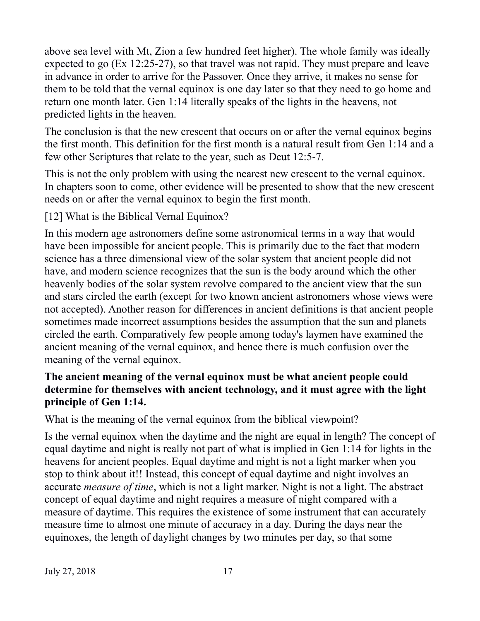above sea level with Mt, Zion a few hundred feet higher). The whole family was ideally expected to go (Ex 12:25-27), so that travel was not rapid. They must prepare and leave in advance in order to arrive for the Passover. Once they arrive, it makes no sense for them to be told that the vernal equinox is one day later so that they need to go home and return one month later. Gen 1:14 literally speaks of the lights in the heavens, not predicted lights in the heaven.

The conclusion is that the new crescent that occurs on or after the vernal equinox begins the first month. This definition for the first month is a natural result from Gen 1:14 and a few other Scriptures that relate to the year, such as Deut 12:5-7.

This is not the only problem with using the nearest new crescent to the vernal equinox. In chapters soon to come, other evidence will be presented to show that the new crescent needs on or after the vernal equinox to begin the first month.

[12] What is the Biblical Vernal Equinox?

In this modern age astronomers define some astronomical terms in a way that would have been impossible for ancient people. This is primarily due to the fact that modern science has a three dimensional view of the solar system that ancient people did not have, and modern science recognizes that the sun is the body around which the other heavenly bodies of the solar system revolve compared to the ancient view that the sun and stars circled the earth (except for two known ancient astronomers whose views were not accepted). Another reason for differences in ancient definitions is that ancient people sometimes made incorrect assumptions besides the assumption that the sun and planets circled the earth. Comparatively few people among today's laymen have examined the ancient meaning of the vernal equinox, and hence there is much confusion over the meaning of the vernal equinox.

## **The ancient meaning of the vernal equinox must be what ancient people could determine for themselves with ancient technology, and it must agree with the light principle of Gen 1:14.**

What is the meaning of the vernal equinox from the biblical viewpoint?

Is the vernal equinox when the daytime and the night are equal in length? The concept of equal daytime and night is really not part of what is implied in Gen 1:14 for lights in the heavens for ancient peoples. Equal daytime and night is not a light marker when you stop to think about it!! Instead, this concept of equal daytime and night involves an accurate *measure of time*, which is not a light marker. Night is not a light. The abstract concept of equal daytime and night requires a measure of night compared with a measure of daytime. This requires the existence of some instrument that can accurately measure time to almost one minute of accuracy in a day. During the days near the equinoxes, the length of daylight changes by two minutes per day, so that some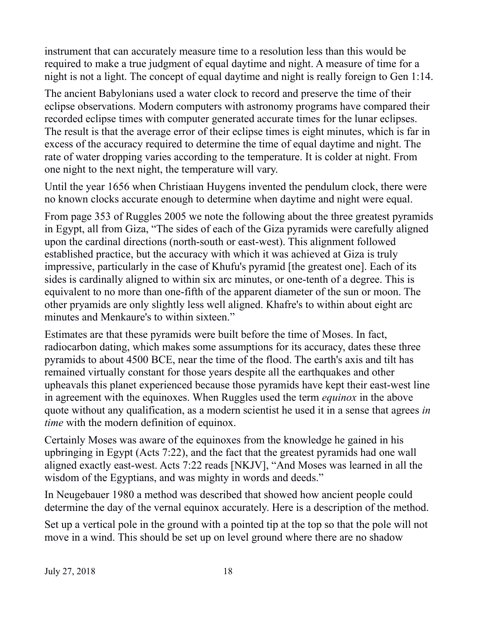instrument that can accurately measure time to a resolution less than this would be required to make a true judgment of equal daytime and night. A measure of time for a night is not a light. The concept of equal daytime and night is really foreign to Gen 1:14.

The ancient Babylonians used a water clock to record and preserve the time of their eclipse observations. Modern computers with astronomy programs have compared their recorded eclipse times with computer generated accurate times for the lunar eclipses. The result is that the average error of their eclipse times is eight minutes, which is far in excess of the accuracy required to determine the time of equal daytime and night. The rate of water dropping varies according to the temperature. It is colder at night. From one night to the next night, the temperature will vary.

Until the year 1656 when Christiaan Huygens invented the pendulum clock, there were no known clocks accurate enough to determine when daytime and night were equal.

From page 353 of Ruggles 2005 we note the following about the three greatest pyramids in Egypt, all from Giza, "The sides of each of the Giza pyramids were carefully aligned upon the cardinal directions (north-south or east-west). This alignment followed established practice, but the accuracy with which it was achieved at Giza is truly impressive, particularly in the case of Khufu's pyramid [the greatest one]. Each of its sides is cardinally aligned to within six arc minutes, or one-tenth of a degree. This is equivalent to no more than one-fifth of the apparent diameter of the sun or moon. The other pryamids are only slightly less well aligned. Khafre's to within about eight arc minutes and Menkaure's to within sixteen."

Estimates are that these pyramids were built before the time of Moses. In fact, radiocarbon dating, which makes some assumptions for its accuracy, dates these three pyramids to about 4500 BCE, near the time of the flood. The earth's axis and tilt has remained virtually constant for those years despite all the earthquakes and other upheavals this planet experienced because those pyramids have kept their east-west line in agreement with the equinoxes. When Ruggles used the term *equinox* in the above quote without any qualification, as a modern scientist he used it in a sense that agrees *in time* with the modern definition of equinox.

Certainly Moses was aware of the equinoxes from the knowledge he gained in his upbringing in Egypt (Acts 7:22), and the fact that the greatest pyramids had one wall aligned exactly east-west. Acts 7:22 reads [NKJV], "And Moses was learned in all the wisdom of the Egyptians, and was mighty in words and deeds."

In Neugebauer 1980 a method was described that showed how ancient people could determine the day of the vernal equinox accurately. Here is a description of the method.

Set up a vertical pole in the ground with a pointed tip at the top so that the pole will not move in a wind. This should be set up on level ground where there are no shadow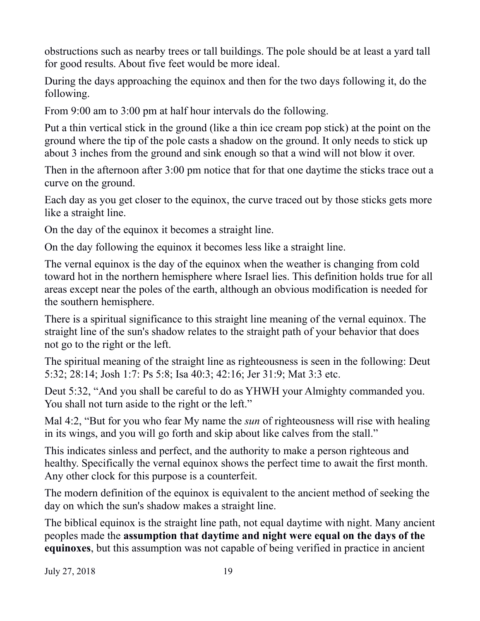obstructions such as nearby trees or tall buildings. The pole should be at least a yard tall for good results. About five feet would be more ideal.

During the days approaching the equinox and then for the two days following it, do the following.

From 9:00 am to 3:00 pm at half hour intervals do the following.

Put a thin vertical stick in the ground (like a thin ice cream pop stick) at the point on the ground where the tip of the pole casts a shadow on the ground. It only needs to stick up about 3 inches from the ground and sink enough so that a wind will not blow it over.

Then in the afternoon after 3:00 pm notice that for that one daytime the sticks trace out a curve on the ground.

Each day as you get closer to the equinox, the curve traced out by those sticks gets more like a straight line.

On the day of the equinox it becomes a straight line.

On the day following the equinox it becomes less like a straight line.

The vernal equinox is the day of the equinox when the weather is changing from cold toward hot in the northern hemisphere where Israel lies. This definition holds true for all areas except near the poles of the earth, although an obvious modification is needed for the southern hemisphere.

There is a spiritual significance to this straight line meaning of the vernal equinox. The straight line of the sun's shadow relates to the straight path of your behavior that does not go to the right or the left.

The spiritual meaning of the straight line as righteousness is seen in the following: Deut 5:32; 28:14; Josh 1:7: Ps 5:8; Isa 40:3; 42:16; Jer 31:9; Mat 3:3 etc.

Deut 5:32, "And you shall be careful to do as YHWH your Almighty commanded you. You shall not turn aside to the right or the left."

Mal 4:2, "But for you who fear My name the *sun* of righteousness will rise with healing in its wings, and you will go forth and skip about like calves from the stall."

This indicates sinless and perfect, and the authority to make a person righteous and healthy. Specifically the vernal equinox shows the perfect time to await the first month. Any other clock for this purpose is a counterfeit.

The modern definition of the equinox is equivalent to the ancient method of seeking the day on which the sun's shadow makes a straight line.

The biblical equinox is the straight line path, not equal daytime with night. Many ancient peoples made the **assumption that daytime and night were equal on the days of the equinoxes**, but this assumption was not capable of being verified in practice in ancient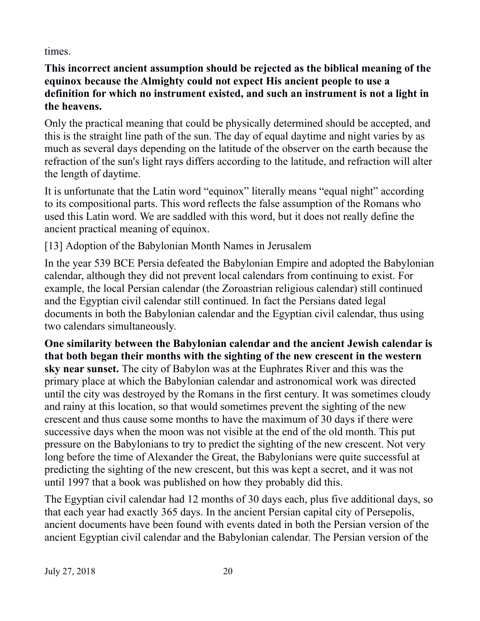times.

**This incorrect ancient assumption should be rejected as the biblical meaning of the equinox because the Almighty could not expect His ancient people to use a definition for which no instrument existed, and such an instrument is not a light in the heavens.**

Only the practical meaning that could be physically determined should be accepted, and this is the straight line path of the sun. The day of equal daytime and night varies by as much as several days depending on the latitude of the observer on the earth because the refraction of the sun's light rays differs according to the latitude, and refraction will alter the length of daytime.

It is unfortunate that the Latin word "equinox" literally means "equal night" according to its compositional parts. This word reflects the false assumption of the Romans who used this Latin word. We are saddled with this word, but it does not really define the ancient practical meaning of equinox.

[13] Adoption of the Babylonian Month Names in Jerusalem

In the year 539 BCE Persia defeated the Babylonian Empire and adopted the Babylonian calendar, although they did not prevent local calendars from continuing to exist. For example, the local Persian calendar (the Zoroastrian religious calendar) still continued and the Egyptian civil calendar still continued. In fact the Persians dated legal documents in both the Babylonian calendar and the Egyptian civil calendar, thus using two calendars simultaneously.

**One similarity between the Babylonian calendar and the ancient Jewish calendar is that both began their months with the sighting of the new crescent in the western sky near sunset.** The city of Babylon was at the Euphrates River and this was the primary place at which the Babylonian calendar and astronomical work was directed until the city was destroyed by the Romans in the first century. It was sometimes cloudy and rainy at this location, so that would sometimes prevent the sighting of the new crescent and thus cause some months to have the maximum of 30 days if there were successive days when the moon was not visible at the end of the old month. This put pressure on the Babylonians to try to predict the sighting of the new crescent. Not very long before the time of Alexander the Great, the Babylonians were quite successful at predicting the sighting of the new crescent, but this was kept a secret, and it was not until 1997 that a book was published on how they probably did this.

The Egyptian civil calendar had 12 months of 30 days each, plus five additional days, so that each year had exactly 365 days. In the ancient Persian capital city of Persepolis, ancient documents have been found with events dated in both the Persian version of the ancient Egyptian civil calendar and the Babylonian calendar. The Persian version of the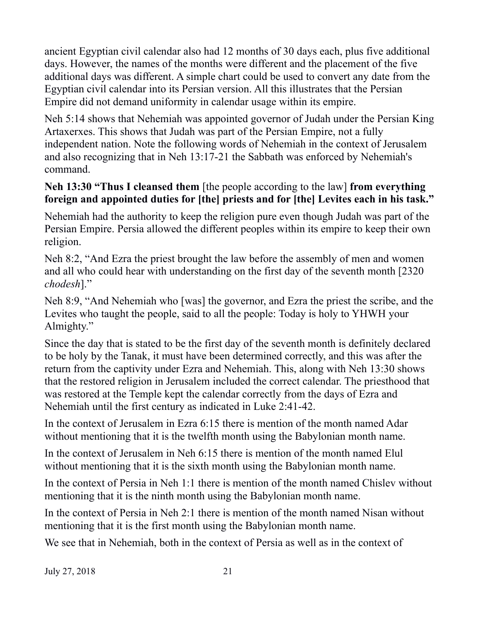ancient Egyptian civil calendar also had 12 months of 30 days each, plus five additional days. However, the names of the months were different and the placement of the five additional days was different. A simple chart could be used to convert any date from the Egyptian civil calendar into its Persian version. All this illustrates that the Persian Empire did not demand uniformity in calendar usage within its empire.

Neh 5:14 shows that Nehemiah was appointed governor of Judah under the Persian King Artaxerxes. This shows that Judah was part of the Persian Empire, not a fully independent nation. Note the following words of Nehemiah in the context of Jerusalem and also recognizing that in Neh 13:17-21 the Sabbath was enforced by Nehemiah's command.

# **Neh 13:30 "Thus I cleansed them** [the people according to the law] **from everything foreign and appointed duties for [the] priests and for [the] Levites each in his task."**

Nehemiah had the authority to keep the religion pure even though Judah was part of the Persian Empire. Persia allowed the different peoples within its empire to keep their own religion.

Neh 8:2, "And Ezra the priest brought the law before the assembly of men and women and all who could hear with understanding on the first day of the seventh month [2320 *chodesh*]."

Neh 8:9, "And Nehemiah who [was] the governor, and Ezra the priest the scribe, and the Levites who taught the people, said to all the people: Today is holy to YHWH your Almighty."

Since the day that is stated to be the first day of the seventh month is definitely declared to be holy by the Tanak, it must have been determined correctly, and this was after the return from the captivity under Ezra and Nehemiah. This, along with Neh 13:30 shows that the restored religion in Jerusalem included the correct calendar. The priesthood that was restored at the Temple kept the calendar correctly from the days of Ezra and Nehemiah until the first century as indicated in Luke 2:41-42.

In the context of Jerusalem in Ezra 6:15 there is mention of the month named Adar without mentioning that it is the twelfth month using the Babylonian month name.

In the context of Jerusalem in Neh 6:15 there is mention of the month named Elul without mentioning that it is the sixth month using the Babylonian month name.

In the context of Persia in Neh 1:1 there is mention of the month named Chislev without mentioning that it is the ninth month using the Babylonian month name.

In the context of Persia in Neh 2:1 there is mention of the month named Nisan without mentioning that it is the first month using the Babylonian month name.

We see that in Nehemiah, both in the context of Persia as well as in the context of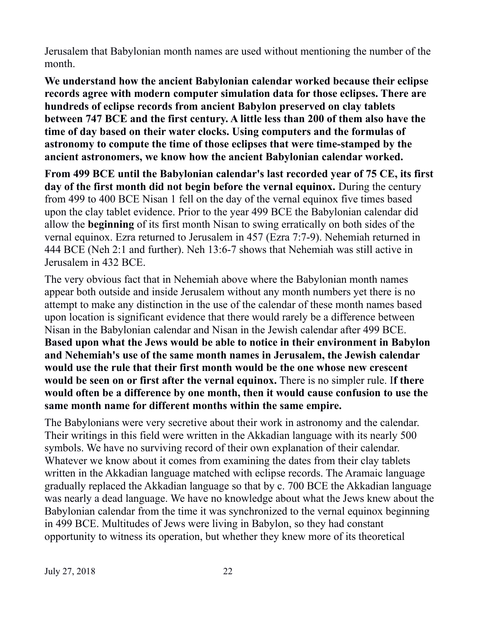Jerusalem that Babylonian month names are used without mentioning the number of the month.

**We understand how the ancient Babylonian calendar worked because their eclipse records agree with modern computer simulation data for those eclipses. There are hundreds of eclipse records from ancient Babylon preserved on clay tablets between 747 BCE and the first century. A little less than 200 of them also have the time of day based on their water clocks. Using computers and the formulas of astronomy to compute the time of those eclipses that were time-stamped by the ancient astronomers, we know how the ancient Babylonian calendar worked.**

**From 499 BCE until the Babylonian calendar's last recorded year of 75 CE, its first day of the first month did not begin before the vernal equinox.** During the century from 499 to 400 BCE Nisan 1 fell on the day of the vernal equinox five times based upon the clay tablet evidence. Prior to the year 499 BCE the Babylonian calendar did allow the **beginning** of its first month Nisan to swing erratically on both sides of the vernal equinox. Ezra returned to Jerusalem in 457 (Ezra 7:7-9). Nehemiah returned in 444 BCE (Neh 2:1 and further). Neh 13:6-7 shows that Nehemiah was still active in Jerusalem in 432 BCE.

The very obvious fact that in Nehemiah above where the Babylonian month names appear both outside and inside Jerusalem without any month numbers yet there is no attempt to make any distinction in the use of the calendar of these month names based upon location is significant evidence that there would rarely be a difference between Nisan in the Babylonian calendar and Nisan in the Jewish calendar after 499 BCE. **Based upon what the Jews would be able to notice in their environment in Babylon and Nehemiah's use of the same month names in Jerusalem, the Jewish calendar would use the rule that their first month would be the one whose new crescent would be seen on or first after the vernal equinox.** There is no simpler rule. I**f there would often be a difference by one month, then it would cause confusion to use the same month name for different months within the same empire.**

The Babylonians were very secretive about their work in astronomy and the calendar. Their writings in this field were written in the Akkadian language with its nearly 500 symbols. We have no surviving record of their own explanation of their calendar. Whatever we know about it comes from examining the dates from their clay tablets written in the Akkadian language matched with eclipse records. The Aramaic language gradually replaced the Akkadian language so that by c. 700 BCE the Akkadian language was nearly a dead language. We have no knowledge about what the Jews knew about the Babylonian calendar from the time it was synchronized to the vernal equinox beginning in 499 BCE. Multitudes of Jews were living in Babylon, so they had constant opportunity to witness its operation, but whether they knew more of its theoretical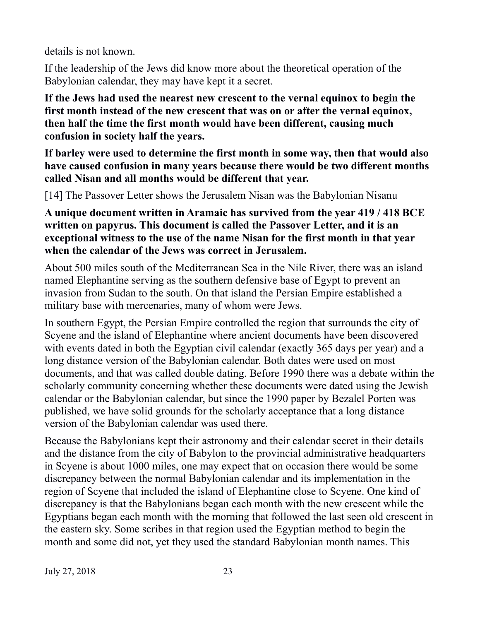details is not known.

If the leadership of the Jews did know more about the theoretical operation of the Babylonian calendar, they may have kept it a secret.

**If the Jews had used the nearest new crescent to the vernal equinox to begin the first month instead of the new crescent that was on or after the vernal equinox, then half the time the first month would have been different, causing much confusion in society half the years.**

**If barley were used to determine the first month in some way, then that would also have caused confusion in many years because there would be two different months called Nisan and all months would be different that year.**

[14] The Passover Letter shows the Jerusalem Nisan was the Babylonian Nisanu

**A unique document written in Aramaic has survived from the year 419 / 418 BCE written on papyrus. This document is called the Passover Letter, and it is an exceptional witness to the use of the name Nisan for the first month in that year when the calendar of the Jews was correct in Jerusalem.**

About 500 miles south of the Mediterranean Sea in the Nile River, there was an island named Elephantine serving as the southern defensive base of Egypt to prevent an invasion from Sudan to the south. On that island the Persian Empire established a military base with mercenaries, many of whom were Jews.

In southern Egypt, the Persian Empire controlled the region that surrounds the city of Scyene and the island of Elephantine where ancient documents have been discovered with events dated in both the Egyptian civil calendar (exactly 365 days per year) and a long distance version of the Babylonian calendar. Both dates were used on most documents, and that was called double dating. Before 1990 there was a debate within the scholarly community concerning whether these documents were dated using the Jewish calendar or the Babylonian calendar, but since the 1990 paper by Bezalel Porten was published, we have solid grounds for the scholarly acceptance that a long distance version of the Babylonian calendar was used there.

Because the Babylonians kept their astronomy and their calendar secret in their details and the distance from the city of Babylon to the provincial administrative headquarters in Scyene is about 1000 miles, one may expect that on occasion there would be some discrepancy between the normal Babylonian calendar and its implementation in the region of Scyene that included the island of Elephantine close to Scyene. One kind of discrepancy is that the Babylonians began each month with the new crescent while the Egyptians began each month with the morning that followed the last seen old crescent in the eastern sky. Some scribes in that region used the Egyptian method to begin the month and some did not, yet they used the standard Babylonian month names. This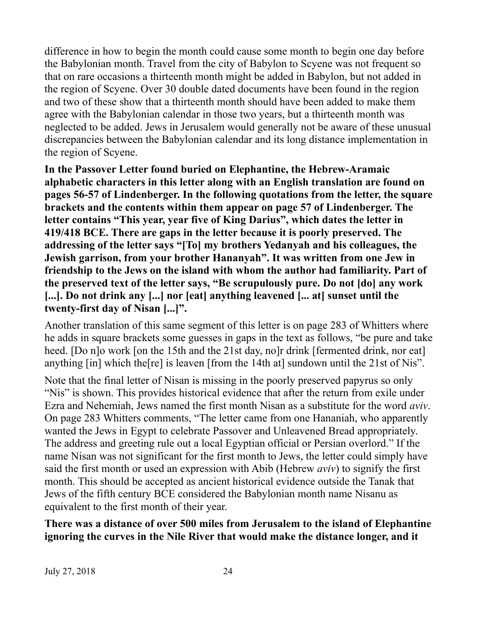difference in how to begin the month could cause some month to begin one day before the Babylonian month. Travel from the city of Babylon to Scyene was not frequent so that on rare occasions a thirteenth month might be added in Babylon, but not added in the region of Scyene. Over 30 double dated documents have been found in the region and two of these show that a thirteenth month should have been added to make them agree with the Babylonian calendar in those two years, but a thirteenth month was neglected to be added. Jews in Jerusalem would generally not be aware of these unusual discrepancies between the Babylonian calendar and its long distance implementation in the region of Scyene.

**In the Passover Letter found buried on Elephantine, the Hebrew-Aramaic alphabetic characters in this letter along with an English translation are found on pages 56-57 of Lindenberger. In the following quotations from the letter, the square brackets and the contents within them appear on page 57 of Lindenberger. The letter contains "This year, year five of King Darius", which dates the letter in 419/418 BCE. There are gaps in the letter because it is poorly preserved. The addressing of the letter says "[To] my brothers Yedanyah and his colleagues, the Jewish garrison, from your brother Hananyah". It was written from one Jew in friendship to the Jews on the island with whom the author had familiarity. Part of the preserved text of the letter says, "Be scrupulously pure. Do not [do] any work [...]. Do not drink any [...] nor [eat] anything leavened [... at] sunset until the twenty-first day of Nisan [...]".**

Another translation of this same segment of this letter is on page 283 of Whitters where he adds in square brackets some guesses in gaps in the text as follows, "be pure and take heed. [Do n]o work [on the 15th and the 21st day, no]r drink [fermented drink, nor eat] anything [in] which the[re] is leaven [from the 14th at] sundown until the 21st of Nis".

Note that the final letter of Nisan is missing in the poorly preserved papyrus so only "Nis" is shown. This provides historical evidence that after the return from exile under Ezra and Nehemiah, Jews named the first month Nisan as a substitute for the word *aviv*. On page 283 Whitters comments, "The letter came from one Hananiah, who apparently wanted the Jews in Egypt to celebrate Passover and Unleavened Bread appropriately. The address and greeting rule out a local Egyptian official or Persian overlord." If the name Nisan was not significant for the first month to Jews, the letter could simply have said the first month or used an expression with Abib (Hebrew *aviv*) to signify the first month. This should be accepted as ancient historical evidence outside the Tanak that Jews of the fifth century BCE considered the Babylonian month name Nisanu as equivalent to the first month of their year.

**There was a distance of over 500 miles from Jerusalem to the island of Elephantine ignoring the curves in the Nile River that would make the distance longer, and it**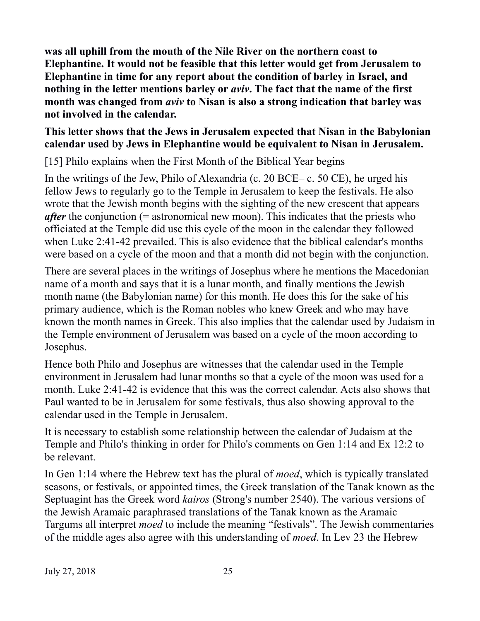**was all uphill from the mouth of the Nile River on the northern coast to Elephantine. It would not be feasible that this letter would get from Jerusalem to Elephantine in time for any report about the condition of barley in Israel, and nothing in the letter mentions barley or** *aviv***. The fact that the name of the first month was changed from** *aviv* **to Nisan is also a strong indication that barley was not involved in the calendar.**

#### **This letter shows that the Jews in Jerusalem expected that Nisan in the Babylonian calendar used by Jews in Elephantine would be equivalent to Nisan in Jerusalem.**

[15] Philo explains when the First Month of the Biblical Year begins

In the writings of the Jew, Philo of Alexandria (c. 20 BCE– c. 50 CE), he urged his fellow Jews to regularly go to the Temple in Jerusalem to keep the festivals. He also wrote that the Jewish month begins with the sighting of the new crescent that appears *after* the conjunction (= astronomical new moon). This indicates that the priests who officiated at the Temple did use this cycle of the moon in the calendar they followed when Luke 2:41-42 prevailed. This is also evidence that the biblical calendar's months were based on a cycle of the moon and that a month did not begin with the conjunction.

There are several places in the writings of Josephus where he mentions the Macedonian name of a month and says that it is a lunar month, and finally mentions the Jewish month name (the Babylonian name) for this month. He does this for the sake of his primary audience, which is the Roman nobles who knew Greek and who may have known the month names in Greek. This also implies that the calendar used by Judaism in the Temple environment of Jerusalem was based on a cycle of the moon according to Josephus.

Hence both Philo and Josephus are witnesses that the calendar used in the Temple environment in Jerusalem had lunar months so that a cycle of the moon was used for a month. Luke 2:41-42 is evidence that this was the correct calendar. Acts also shows that Paul wanted to be in Jerusalem for some festivals, thus also showing approval to the calendar used in the Temple in Jerusalem.

It is necessary to establish some relationship between the calendar of Judaism at the Temple and Philo's thinking in order for Philo's comments on Gen 1:14 and Ex 12:2 to be relevant.

In Gen 1:14 where the Hebrew text has the plural of *moed*, which is typically translated seasons, or festivals, or appointed times, the Greek translation of the Tanak known as the Septuagint has the Greek word *kairos* (Strong's number 2540). The various versions of the Jewish Aramaic paraphrased translations of the Tanak known as the Aramaic Targums all interpret *moed* to include the meaning "festivals". The Jewish commentaries of the middle ages also agree with this understanding of *moed*. In Lev 23 the Hebrew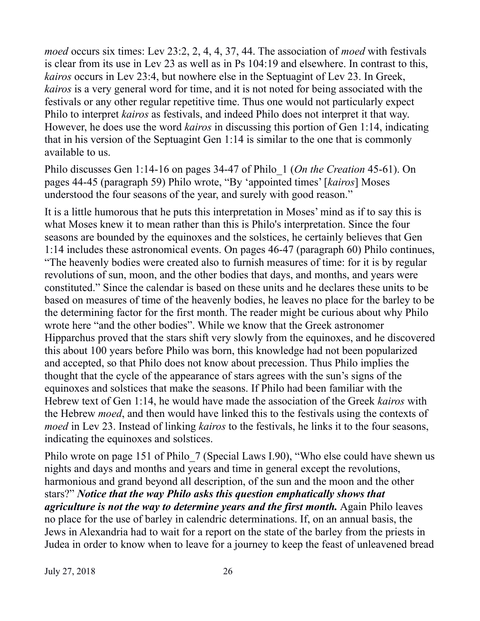*moed* occurs six times: Lev 23:2, 2, 4, 4, 37, 44. The association of *moed* with festivals is clear from its use in Lev 23 as well as in Ps 104:19 and elsewhere. In contrast to this, *kairos* occurs in Lev 23:4, but nowhere else in the Septuagint of Lev 23. In Greek, *kairos* is a very general word for time, and it is not noted for being associated with the festivals or any other regular repetitive time. Thus one would not particularly expect Philo to interpret *kairos* as festivals, and indeed Philo does not interpret it that way. However, he does use the word *kairos* in discussing this portion of Gen 1:14, indicating that in his version of the Septuagint Gen 1:14 is similar to the one that is commonly available to us.

Philo discusses Gen 1:14-16 on pages 34-47 of Philo\_1 (*On the Creation* 45-61). On pages 44-45 (paragraph 59) Philo wrote, "By 'appointed times' [*kairos*] Moses understood the four seasons of the year, and surely with good reason."

It is a little humorous that he puts this interpretation in Moses' mind as if to say this is what Moses knew it to mean rather than this is Philo's interpretation. Since the four seasons are bounded by the equinoxes and the solstices, he certainly believes that Gen 1:14 includes these astronomical events. On pages 46-47 (paragraph 60) Philo continues, "The heavenly bodies were created also to furnish measures of time: for it is by regular revolutions of sun, moon, and the other bodies that days, and months, and years were constituted." Since the calendar is based on these units and he declares these units to be based on measures of time of the heavenly bodies, he leaves no place for the barley to be the determining factor for the first month. The reader might be curious about why Philo wrote here "and the other bodies". While we know that the Greek astronomer Hipparchus proved that the stars shift very slowly from the equinoxes, and he discovered this about 100 years before Philo was born, this knowledge had not been popularized and accepted, so that Philo does not know about precession. Thus Philo implies the thought that the cycle of the appearance of stars agrees with the sun's signs of the equinoxes and solstices that make the seasons. If Philo had been familiar with the Hebrew text of Gen 1:14, he would have made the association of the Greek *kairos* with the Hebrew *moed*, and then would have linked this to the festivals using the contexts of *moed* in Lev 23. Instead of linking *kairos* to the festivals, he links it to the four seasons, indicating the equinoxes and solstices.

Philo wrote on page 151 of Philo 7 (Special Laws I.90), "Who else could have shewn us nights and days and months and years and time in general except the revolutions, harmonious and grand beyond all description, of the sun and the moon and the other stars?" *Notice that the way Philo asks this question emphatically shows that agriculture is not the way to determine years and the first month.* Again Philo leaves no place for the use of barley in calendric determinations. If, on an annual basis, the Jews in Alexandria had to wait for a report on the state of the barley from the priests in Judea in order to know when to leave for a journey to keep the feast of unleavened bread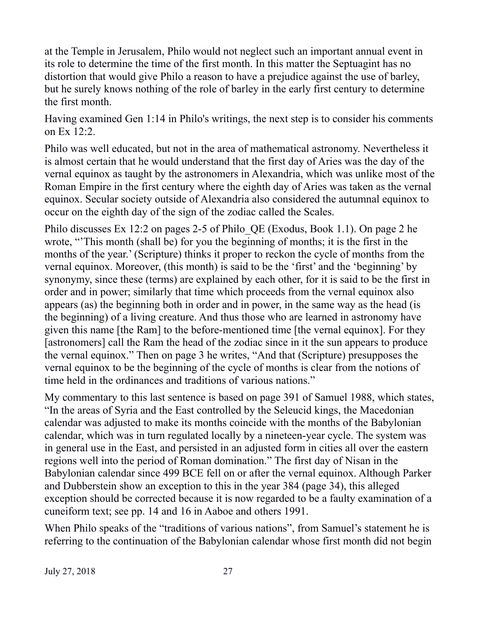at the Temple in Jerusalem, Philo would not neglect such an important annual event in its role to determine the time of the first month. In this matter the Septuagint has no distortion that would give Philo a reason to have a prejudice against the use of barley, but he surely knows nothing of the role of barley in the early first century to determine the first month.

Having examined Gen 1:14 in Philo's writings, the next step is to consider his comments on Ex 12:2.

Philo was well educated, but not in the area of mathematical astronomy. Nevertheless it is almost certain that he would understand that the first day of Aries was the day of the vernal equinox as taught by the astronomers in Alexandria, which was unlike most of the Roman Empire in the first century where the eighth day of Aries was taken as the vernal equinox. Secular society outside of Alexandria also considered the autumnal equinox to occur on the eighth day of the sign of the zodiac called the Scales.

Philo discusses Ex 12:2 on pages 2-5 of Philo\_QE (Exodus, Book 1.1). On page 2 he wrote, "'This month (shall be) for you the beginning of months; it is the first in the months of the year.' (Scripture) thinks it proper to reckon the cycle of months from the vernal equinox. Moreover, (this month) is said to be the 'first' and the 'beginning' by synonymy, since these (terms) are explained by each other, for it is said to be the first in order and in power; similarly that time which proceeds from the vernal equinox also appears (as) the beginning both in order and in power, in the same way as the head (is the beginning) of a living creature. And thus those who are learned in astronomy have given this name [the Ram] to the before-mentioned time [the vernal equinox]. For they [astronomers] call the Ram the head of the zodiac since in it the sun appears to produce the vernal equinox." Then on page 3 he writes, "And that (Scripture) presupposes the vernal equinox to be the beginning of the cycle of months is clear from the notions of time held in the ordinances and traditions of various nations."

My commentary to this last sentence is based on page 391 of Samuel 1988, which states, "In the areas of Syria and the East controlled by the Seleucid kings, the Macedonian calendar was adjusted to make its months coincide with the months of the Babylonian calendar, which was in turn regulated locally by a nineteen-year cycle. The system was in general use in the East, and persisted in an adjusted form in cities all over the eastern regions well into the period of Roman domination." The first day of Nisan in the Babylonian calendar since 499 BCE fell on or after the vernal equinox. Although Parker and Dubberstein show an exception to this in the year 384 (page 34), this alleged exception should be corrected because it is now regarded to be a faulty examination of a cuneiform text; see pp. 14 and 16 in Aaboe and others 1991.

When Philo speaks of the "traditions of various nations", from Samuel's statement he is referring to the continuation of the Babylonian calendar whose first month did not begin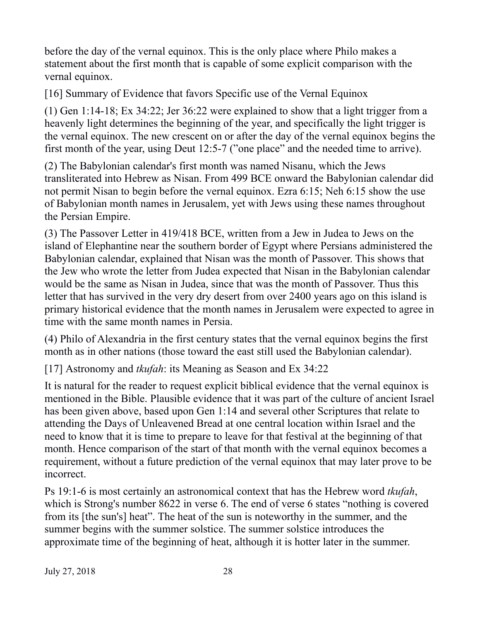before the day of the vernal equinox. This is the only place where Philo makes a statement about the first month that is capable of some explicit comparison with the vernal equinox.

[16] Summary of Evidence that favors Specific use of the Vernal Equinox

(1) Gen 1:14-18; Ex 34:22; Jer 36:22 were explained to show that a light trigger from a heavenly light determines the beginning of the year, and specifically the light trigger is the vernal equinox. The new crescent on or after the day of the vernal equinox begins the first month of the year, using Deut 12:5-7 ("one place" and the needed time to arrive).

(2) The Babylonian calendar's first month was named Nisanu, which the Jews transliterated into Hebrew as Nisan. From 499 BCE onward the Babylonian calendar did not permit Nisan to begin before the vernal equinox. Ezra 6:15; Neh 6:15 show the use of Babylonian month names in Jerusalem, yet with Jews using these names throughout the Persian Empire.

(3) The Passover Letter in 419/418 BCE, written from a Jew in Judea to Jews on the island of Elephantine near the southern border of Egypt where Persians administered the Babylonian calendar, explained that Nisan was the month of Passover. This shows that the Jew who wrote the letter from Judea expected that Nisan in the Babylonian calendar would be the same as Nisan in Judea, since that was the month of Passover. Thus this letter that has survived in the very dry desert from over 2400 years ago on this island is primary historical evidence that the month names in Jerusalem were expected to agree in time with the same month names in Persia.

(4) Philo of Alexandria in the first century states that the vernal equinox begins the first month as in other nations (those toward the east still used the Babylonian calendar).

[17] Astronomy and *tkufah*: its Meaning as Season and Ex 34:22

It is natural for the reader to request explicit biblical evidence that the vernal equinox is mentioned in the Bible. Plausible evidence that it was part of the culture of ancient Israel has been given above, based upon Gen 1:14 and several other Scriptures that relate to attending the Days of Unleavened Bread at one central location within Israel and the need to know that it is time to prepare to leave for that festival at the beginning of that month. Hence comparison of the start of that month with the vernal equinox becomes a requirement, without a future prediction of the vernal equinox that may later prove to be incorrect.

Ps 19:1-6 is most certainly an astronomical context that has the Hebrew word *tkufah*, which is Strong's number 8622 in verse 6. The end of verse 6 states "nothing is covered from its [the sun's] heat". The heat of the sun is noteworthy in the summer, and the summer begins with the summer solstice. The summer solstice introduces the approximate time of the beginning of heat, although it is hotter later in the summer.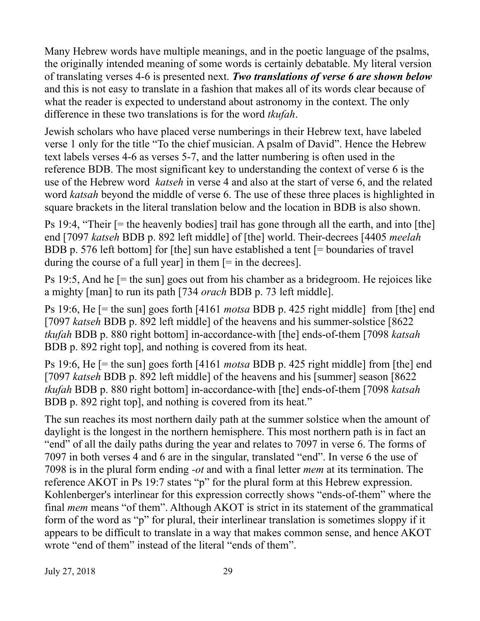Many Hebrew words have multiple meanings, and in the poetic language of the psalms, the originally intended meaning of some words is certainly debatable. My literal version of translating verses 4-6 is presented next. *Two translations of verse 6 are shown below* and this is not easy to translate in a fashion that makes all of its words clear because of what the reader is expected to understand about astronomy in the context. The only difference in these two translations is for the word *tkufah*.

Jewish scholars who have placed verse numberings in their Hebrew text, have labeled verse 1 only for the title "To the chief musician. A psalm of David". Hence the Hebrew text labels verses 4-6 as verses 5-7, and the latter numbering is often used in the reference BDB. The most significant key to understanding the context of verse 6 is the use of the Hebrew word *katseh* in verse 4 and also at the start of verse 6, and the related word *katsah* beyond the middle of verse 6. The use of these three places is highlighted in square brackets in the literal translation below and the location in BDB is also shown.

Ps 19:4, "Their [= the heavenly bodies] trail has gone through all the earth, and into [the] end [7097 *katseh* BDB p. 892 left middle] of [the] world. Their-decrees [4405 *meelah* BDB p. 576 left bottom] for [the] sun have established a tent [= boundaries of travel during the course of a full year] in them  $[=$  in the decrees].

Ps 19:5, And he [= the sun] goes out from his chamber as a bridegroom. He rejoices like a mighty [man] to run its path [734 *orach* BDB p. 73 left middle].

Ps 19:6, He [= the sun] goes forth [4161 *motsa* BDB p. 425 right middle] from [the] end [7097 *katseh* BDB p. 892 left middle] of the heavens and his summer-solstice [8622 *tkufah* BDB p. 880 right bottom] in-accordance-with [the] ends-of-them [7098 *katsah*  BDB p. 892 right top], and nothing is covered from its heat.

Ps 19:6, He [= the sun] goes forth [4161 *motsa* BDB p. 425 right middle] from [the] end [7097 *katseh* BDB p. 892 left middle] of the heavens and his [summer] season [8622 *tkufah* BDB p. 880 right bottom] in-accordance-with [the] ends-of-them [7098 *katsah*  BDB p. 892 right top], and nothing is covered from its heat."

The sun reaches its most northern daily path at the summer solstice when the amount of daylight is the longest in the northern hemisphere. This most northern path is in fact an "end" of all the daily paths during the year and relates to 7097 in verse 6. The forms of 7097 in both verses 4 and 6 are in the singular, translated "end". In verse 6 the use of 7098 is in the plural form ending *-ot* and with a final letter *mem* at its termination. The reference AKOT in Ps 19:7 states "p" for the plural form at this Hebrew expression. Kohlenberger's interlinear for this expression correctly shows "ends-of-them" where the final *mem* means "of them". Although AKOT is strict in its statement of the grammatical form of the word as "p" for plural, their interlinear translation is sometimes sloppy if it appears to be difficult to translate in a way that makes common sense, and hence AKOT wrote "end of them" instead of the literal "ends of them".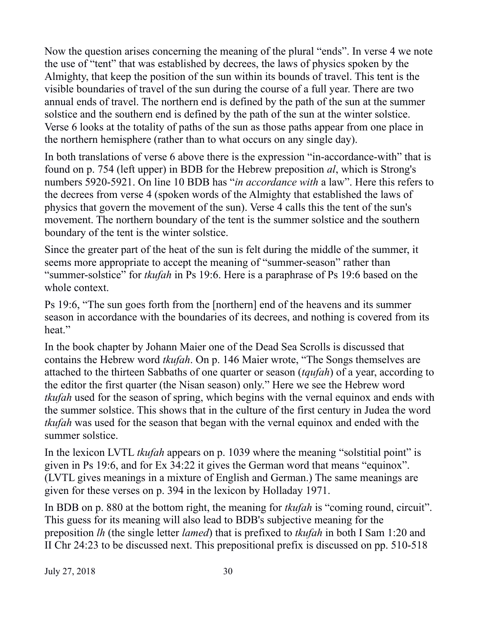Now the question arises concerning the meaning of the plural "ends". In verse 4 we note the use of "tent" that was established by decrees, the laws of physics spoken by the Almighty, that keep the position of the sun within its bounds of travel. This tent is the visible boundaries of travel of the sun during the course of a full year. There are two annual ends of travel. The northern end is defined by the path of the sun at the summer solstice and the southern end is defined by the path of the sun at the winter solstice. Verse 6 looks at the totality of paths of the sun as those paths appear from one place in the northern hemisphere (rather than to what occurs on any single day).

In both translations of verse 6 above there is the expression "in-accordance-with" that is found on p. 754 (left upper) in BDB for the Hebrew preposition *al*, which is Strong's numbers 5920-5921. On line 10 BDB has "*in accordance with* a law". Here this refers to the decrees from verse 4 (spoken words of the Almighty that established the laws of physics that govern the movement of the sun). Verse 4 calls this the tent of the sun's movement. The northern boundary of the tent is the summer solstice and the southern boundary of the tent is the winter solstice.

Since the greater part of the heat of the sun is felt during the middle of the summer, it seems more appropriate to accept the meaning of "summer-season" rather than "summer-solstice" for *tkufah* in Ps 19:6. Here is a paraphrase of Ps 19:6 based on the whole context.

Ps 19:6, "The sun goes forth from the [northern] end of the heavens and its summer season in accordance with the boundaries of its decrees, and nothing is covered from its heat."

In the book chapter by Johann Maier one of the Dead Sea Scrolls is discussed that contains the Hebrew word *tkufah*. On p. 146 Maier wrote, "The Songs themselves are attached to the thirteen Sabbaths of one quarter or season (*tqufah*) of a year, according to the editor the first quarter (the Nisan season) only." Here we see the Hebrew word *tkufah* used for the season of spring, which begins with the vernal equinox and ends with the summer solstice. This shows that in the culture of the first century in Judea the word *tkufah* was used for the season that began with the vernal equinox and ended with the summer solstice.

In the lexicon LVTL *tkufah* appears on p. 1039 where the meaning "solstitial point" is given in Ps 19:6, and for Ex 34:22 it gives the German word that means "equinox". (LVTL gives meanings in a mixture of English and German.) The same meanings are given for these verses on p. 394 in the lexicon by Holladay 1971.

In BDB on p. 880 at the bottom right, the meaning for *tkufah* is "coming round, circuit". This guess for its meaning will also lead to BDB's subjective meaning for the preposition *lh* (the single letter *lamed*) that is prefixed to *tkufah* in both I Sam 1:20 and II Chr 24:23 to be discussed next. This prepositional prefix is discussed on pp. 510-518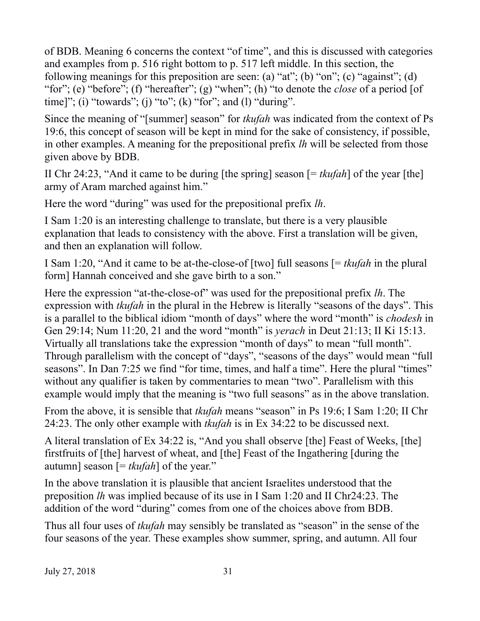of BDB. Meaning 6 concerns the context "of time", and this is discussed with categories and examples from p. 516 right bottom to p. 517 left middle. In this section, the following meanings for this preposition are seen: (a) "at"; (b) "on"; (c) "against"; (d) "for"; (e) "before"; (f) "hereafter"; (g) "when"; (h) "to denote the *close* of a period [of time]"; (i) "towards"; (j) "to"; (k) "for"; and (l) "during".

Since the meaning of "[summer] season" for *tkufah* was indicated from the context of Ps 19:6, this concept of season will be kept in mind for the sake of consistency, if possible, in other examples. A meaning for the prepositional prefix *lh* will be selected from those given above by BDB.

II Chr 24:23, "And it came to be during [the spring] season [= *tkufah*] of the year [the] army of Aram marched against him."

Here the word "during" was used for the prepositional prefix *lh*.

I Sam 1:20 is an interesting challenge to translate, but there is a very plausible explanation that leads to consistency with the above. First a translation will be given, and then an explanation will follow.

I Sam 1:20, "And it came to be at-the-close-of [two] full seasons [= *tkufah* in the plural form] Hannah conceived and she gave birth to a son."

Here the expression "at-the-close-of" was used for the prepositional prefix *lh*. The expression with *tkufah* in the plural in the Hebrew is literally "seasons of the days". This is a parallel to the biblical idiom "month of days" where the word "month" is *chodesh* in Gen 29:14; Num 11:20, 21 and the word "month" is *yerach* in Deut 21:13; II Ki 15:13. Virtually all translations take the expression "month of days" to mean "full month". Through parallelism with the concept of "days", "seasons of the days" would mean "full seasons". In Dan 7:25 we find "for time, times, and half a time". Here the plural "times" without any qualifier is taken by commentaries to mean "two". Parallelism with this example would imply that the meaning is "two full seasons" as in the above translation.

From the above, it is sensible that *tkufah* means "season" in Ps 19:6; I Sam 1:20; II Chr 24:23. The only other example with *tkufah* is in Ex 34:22 to be discussed next.

A literal translation of Ex 34:22 is, "And you shall observe [the] Feast of Weeks, [the] firstfruits of [the] harvest of wheat, and [the] Feast of the Ingathering [during the autumn] season [= *tkufah*] of the year."

In the above translation it is plausible that ancient Israelites understood that the preposition *lh* was implied because of its use in I Sam 1:20 and II Chr24:23. The addition of the word "during" comes from one of the choices above from BDB.

Thus all four uses of *tkufah* may sensibly be translated as "season" in the sense of the four seasons of the year. These examples show summer, spring, and autumn. All four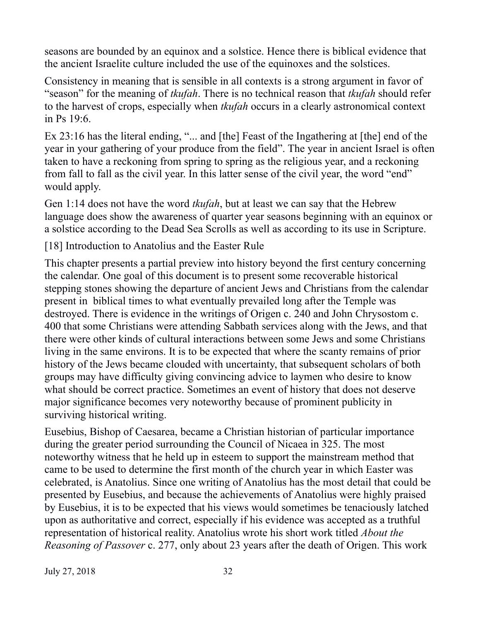seasons are bounded by an equinox and a solstice. Hence there is biblical evidence that the ancient Israelite culture included the use of the equinoxes and the solstices.

Consistency in meaning that is sensible in all contexts is a strong argument in favor of "season" for the meaning of *tkufah*. There is no technical reason that *tkufah* should refer to the harvest of crops, especially when *tkufah* occurs in a clearly astronomical context in Ps 19:6.

Ex 23:16 has the literal ending, "... and [the] Feast of the Ingathering at [the] end of the year in your gathering of your produce from the field". The year in ancient Israel is often taken to have a reckoning from spring to spring as the religious year, and a reckoning from fall to fall as the civil year. In this latter sense of the civil year, the word "end" would apply.

Gen 1:14 does not have the word *tkufah*, but at least we can say that the Hebrew language does show the awareness of quarter year seasons beginning with an equinox or a solstice according to the Dead Sea Scrolls as well as according to its use in Scripture.

[18] Introduction to Anatolius and the Easter Rule

This chapter presents a partial preview into history beyond the first century concerning the calendar. One goal of this document is to present some recoverable historical stepping stones showing the departure of ancient Jews and Christians from the calendar present in biblical times to what eventually prevailed long after the Temple was destroyed. There is evidence in the writings of Origen c. 240 and John Chrysostom c. 400 that some Christians were attending Sabbath services along with the Jews, and that there were other kinds of cultural interactions between some Jews and some Christians living in the same environs. It is to be expected that where the scanty remains of prior history of the Jews became clouded with uncertainty, that subsequent scholars of both groups may have difficulty giving convincing advice to laymen who desire to know what should be correct practice. Sometimes an event of history that does not deserve major significance becomes very noteworthy because of prominent publicity in surviving historical writing.

Eusebius, Bishop of Caesarea, became a Christian historian of particular importance during the greater period surrounding the Council of Nicaea in 325. The most noteworthy witness that he held up in esteem to support the mainstream method that came to be used to determine the first month of the church year in which Easter was celebrated, is Anatolius. Since one writing of Anatolius has the most detail that could be presented by Eusebius, and because the achievements of Anatolius were highly praised by Eusebius, it is to be expected that his views would sometimes be tenaciously latched upon as authoritative and correct, especially if his evidence was accepted as a truthful representation of historical reality. Anatolius wrote his short work titled *About the Reasoning of Passover* c. 277, only about 23 years after the death of Origen. This work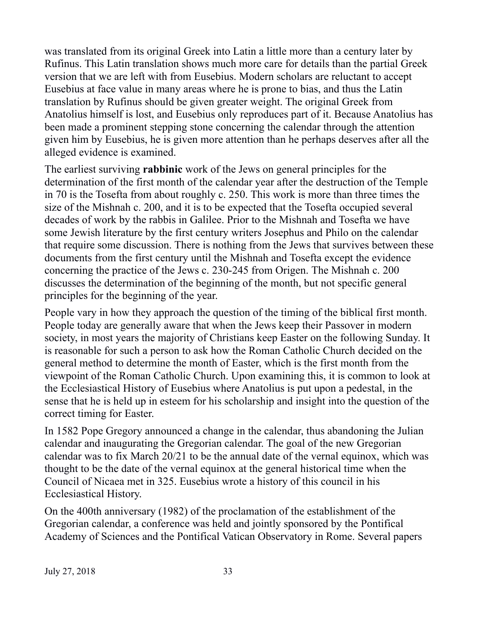was translated from its original Greek into Latin a little more than a century later by Rufinus. This Latin translation shows much more care for details than the partial Greek version that we are left with from Eusebius. Modern scholars are reluctant to accept Eusebius at face value in many areas where he is prone to bias, and thus the Latin translation by Rufinus should be given greater weight. The original Greek from Anatolius himself is lost, and Eusebius only reproduces part of it. Because Anatolius has been made a prominent stepping stone concerning the calendar through the attention given him by Eusebius, he is given more attention than he perhaps deserves after all the alleged evidence is examined.

The earliest surviving **rabbinic** work of the Jews on general principles for the determination of the first month of the calendar year after the destruction of the Temple in 70 is the Tosefta from about roughly c. 250. This work is more than three times the size of the Mishnah c. 200, and it is to be expected that the Tosefta occupied several decades of work by the rabbis in Galilee. Prior to the Mishnah and Tosefta we have some Jewish literature by the first century writers Josephus and Philo on the calendar that require some discussion. There is nothing from the Jews that survives between these documents from the first century until the Mishnah and Tosefta except the evidence concerning the practice of the Jews c. 230-245 from Origen. The Mishnah c. 200 discusses the determination of the beginning of the month, but not specific general principles for the beginning of the year.

People vary in how they approach the question of the timing of the biblical first month. People today are generally aware that when the Jews keep their Passover in modern society, in most years the majority of Christians keep Easter on the following Sunday. It is reasonable for such a person to ask how the Roman Catholic Church decided on the general method to determine the month of Easter, which is the first month from the viewpoint of the Roman Catholic Church. Upon examining this, it is common to look at the Ecclesiastical History of Eusebius where Anatolius is put upon a pedestal, in the sense that he is held up in esteem for his scholarship and insight into the question of the correct timing for Easter.

In 1582 Pope Gregory announced a change in the calendar, thus abandoning the Julian calendar and inaugurating the Gregorian calendar. The goal of the new Gregorian calendar was to fix March 20/21 to be the annual date of the vernal equinox, which was thought to be the date of the vernal equinox at the general historical time when the Council of Nicaea met in 325. Eusebius wrote a history of this council in his Ecclesiastical History.

On the 400th anniversary (1982) of the proclamation of the establishment of the Gregorian calendar, a conference was held and jointly sponsored by the Pontifical Academy of Sciences and the Pontifical Vatican Observatory in Rome. Several papers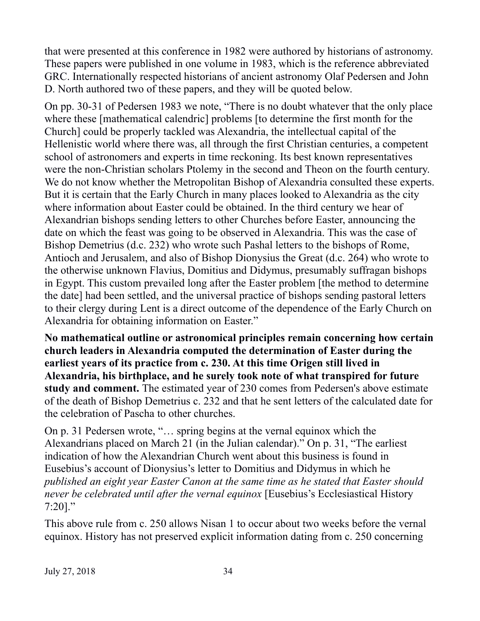that were presented at this conference in 1982 were authored by historians of astronomy. These papers were published in one volume in 1983, which is the reference abbreviated GRC. Internationally respected historians of ancient astronomy Olaf Pedersen and John D. North authored two of these papers, and they will be quoted below.

On pp. 30-31 of Pedersen 1983 we note, "There is no doubt whatever that the only place where these [mathematical calendric] problems [to determine the first month for the Church] could be properly tackled was Alexandria, the intellectual capital of the Hellenistic world where there was, all through the first Christian centuries, a competent school of astronomers and experts in time reckoning. Its best known representatives were the non-Christian scholars Ptolemy in the second and Theon on the fourth century. We do not know whether the Metropolitan Bishop of Alexandria consulted these experts. But it is certain that the Early Church in many places looked to Alexandria as the city where information about Easter could be obtained. In the third century we hear of Alexandrian bishops sending letters to other Churches before Easter, announcing the date on which the feast was going to be observed in Alexandria. This was the case of Bishop Demetrius (d.c. 232) who wrote such Pashal letters to the bishops of Rome, Antioch and Jerusalem, and also of Bishop Dionysius the Great (d.c. 264) who wrote to the otherwise unknown Flavius, Domitius and Didymus, presumably suffragan bishops in Egypt. This custom prevailed long after the Easter problem [the method to determine the date] had been settled, and the universal practice of bishops sending pastoral letters to their clergy during Lent is a direct outcome of the dependence of the Early Church on Alexandria for obtaining information on Easter."

**No mathematical outline or astronomical principles remain concerning how certain church leaders in Alexandria computed the determination of Easter during the earliest years of its practice from c. 230. At this time Origen still lived in Alexandria, his birthplace, and he surely took note of what transpired for future study and comment.** The estimated year of 230 comes from Pedersen's above estimate of the death of Bishop Demetrius c. 232 and that he sent letters of the calculated date for the celebration of Pascha to other churches.

On p. 31 Pedersen wrote, "… spring begins at the vernal equinox which the Alexandrians placed on March 21 (in the Julian calendar)." On p. 31, "The earliest indication of how the Alexandrian Church went about this business is found in Eusebius's account of Dionysius's letter to Domitius and Didymus in which he *published an eight year Easter Canon at the same time as he stated that Easter should never be celebrated until after the vernal equinox* [Eusebius's Ecclesiastical History 7:20]."

This above rule from c. 250 allows Nisan 1 to occur about two weeks before the vernal equinox. History has not preserved explicit information dating from c. 250 concerning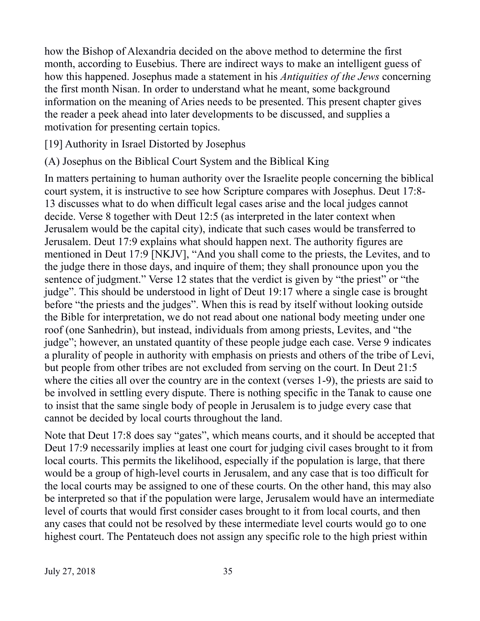how the Bishop of Alexandria decided on the above method to determine the first month, according to Eusebius. There are indirect ways to make an intelligent guess of how this happened. Josephus made a statement in his *Antiquities of the Jews* concerning the first month Nisan. In order to understand what he meant, some background information on the meaning of Aries needs to be presented. This present chapter gives the reader a peek ahead into later developments to be discussed, and supplies a motivation for presenting certain topics.

## [19] Authority in Israel Distorted by Josephus

(A) Josephus on the Biblical Court System and the Biblical King

In matters pertaining to human authority over the Israelite people concerning the biblical court system, it is instructive to see how Scripture compares with Josephus. Deut 17:8- 13 discusses what to do when difficult legal cases arise and the local judges cannot decide. Verse 8 together with Deut 12:5 (as interpreted in the later context when Jerusalem would be the capital city), indicate that such cases would be transferred to Jerusalem. Deut 17:9 explains what should happen next. The authority figures are mentioned in Deut 17:9 [NKJV], "And you shall come to the priests, the Levites, and to the judge there in those days, and inquire of them; they shall pronounce upon you the sentence of judgment." Verse 12 states that the verdict is given by "the priest" or "the judge". This should be understood in light of Deut 19:17 where a single case is brought before "the priests and the judges". When this is read by itself without looking outside the Bible for interpretation, we do not read about one national body meeting under one roof (one Sanhedrin), but instead, individuals from among priests, Levites, and "the judge"; however, an unstated quantity of these people judge each case. Verse 9 indicates a plurality of people in authority with emphasis on priests and others of the tribe of Levi, but people from other tribes are not excluded from serving on the court. In Deut 21:5 where the cities all over the country are in the context (verses 1-9), the priests are said to be involved in settling every dispute. There is nothing specific in the Tanak to cause one to insist that the same single body of people in Jerusalem is to judge every case that cannot be decided by local courts throughout the land.

Note that Deut 17:8 does say "gates", which means courts, and it should be accepted that Deut 17:9 necessarily implies at least one court for judging civil cases brought to it from local courts. This permits the likelihood, especially if the population is large, that there would be a group of high-level courts in Jerusalem, and any case that is too difficult for the local courts may be assigned to one of these courts. On the other hand, this may also be interpreted so that if the population were large, Jerusalem would have an intermediate level of courts that would first consider cases brought to it from local courts, and then any cases that could not be resolved by these intermediate level courts would go to one highest court. The Pentateuch does not assign any specific role to the high priest within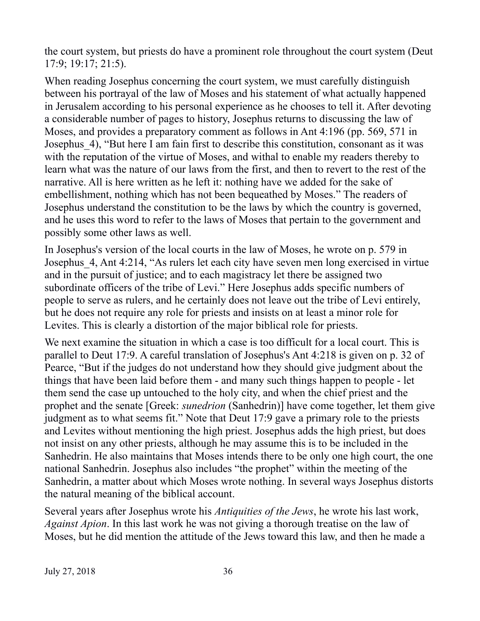the court system, but priests do have a prominent role throughout the court system (Deut 17:9; 19:17; 21:5).

When reading Josephus concerning the court system, we must carefully distinguish between his portrayal of the law of Moses and his statement of what actually happened in Jerusalem according to his personal experience as he chooses to tell it. After devoting a considerable number of pages to history, Josephus returns to discussing the law of Moses, and provides a preparatory comment as follows in Ant 4:196 (pp. 569, 571 in Josephus\_4), "But here I am fain first to describe this constitution, consonant as it was with the reputation of the virtue of Moses, and withal to enable my readers thereby to learn what was the nature of our laws from the first, and then to revert to the rest of the narrative. All is here written as he left it: nothing have we added for the sake of embellishment, nothing which has not been bequeathed by Moses." The readers of Josephus understand the constitution to be the laws by which the country is governed, and he uses this word to refer to the laws of Moses that pertain to the government and possibly some other laws as well.

In Josephus's version of the local courts in the law of Moses, he wrote on p. 579 in Josephus\_4, Ant 4:214, "As rulers let each city have seven men long exercised in virtue and in the pursuit of justice; and to each magistracy let there be assigned two subordinate officers of the tribe of Levi." Here Josephus adds specific numbers of people to serve as rulers, and he certainly does not leave out the tribe of Levi entirely, but he does not require any role for priests and insists on at least a minor role for Levites. This is clearly a distortion of the major biblical role for priests.

We next examine the situation in which a case is too difficult for a local court. This is parallel to Deut 17:9. A careful translation of Josephus's Ant 4:218 is given on p. 32 of Pearce, "But if the judges do not understand how they should give judgment about the things that have been laid before them - and many such things happen to people - let them send the case up untouched to the holy city, and when the chief priest and the prophet and the senate [Greek: *sunedrion* (Sanhedrin)] have come together, let them give judgment as to what seems fit." Note that Deut 17:9 gave a primary role to the priests and Levites without mentioning the high priest. Josephus adds the high priest, but does not insist on any other priests, although he may assume this is to be included in the Sanhedrin. He also maintains that Moses intends there to be only one high court, the one national Sanhedrin. Josephus also includes "the prophet" within the meeting of the Sanhedrin, a matter about which Moses wrote nothing. In several ways Josephus distorts the natural meaning of the biblical account.

Several years after Josephus wrote his *Antiquities of the Jews*, he wrote his last work, *Against Apion*. In this last work he was not giving a thorough treatise on the law of Moses, but he did mention the attitude of the Jews toward this law, and then he made a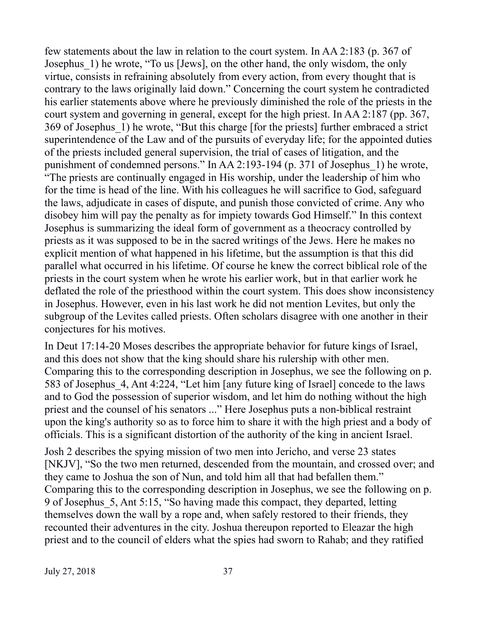few statements about the law in relation to the court system. In AA 2:183 (p. 367 of Josephus 1) he wrote, "To us [Jews], on the other hand, the only wisdom, the only virtue, consists in refraining absolutely from every action, from every thought that is contrary to the laws originally laid down." Concerning the court system he contradicted his earlier statements above where he previously diminished the role of the priests in the court system and governing in general, except for the high priest. In AA 2:187 (pp. 367, 369 of Josephus\_1) he wrote, "But this charge [for the priests] further embraced a strict superintendence of the Law and of the pursuits of everyday life; for the appointed duties of the priests included general supervision, the trial of cases of litigation, and the punishment of condemned persons." In AA 2:193-194 (p. 371 of Josephus\_1) he wrote, "The priests are continually engaged in His worship, under the leadership of him who for the time is head of the line. With his colleagues he will sacrifice to God, safeguard the laws, adjudicate in cases of dispute, and punish those convicted of crime. Any who disobey him will pay the penalty as for impiety towards God Himself." In this context Josephus is summarizing the ideal form of government as a theocracy controlled by priests as it was supposed to be in the sacred writings of the Jews. Here he makes no explicit mention of what happened in his lifetime, but the assumption is that this did parallel what occurred in his lifetime. Of course he knew the correct biblical role of the priests in the court system when he wrote his earlier work, but in that earlier work he deflated the role of the priesthood within the court system. This does show inconsistency in Josephus. However, even in his last work he did not mention Levites, but only the subgroup of the Levites called priests. Often scholars disagree with one another in their conjectures for his motives.

In Deut 17:14-20 Moses describes the appropriate behavior for future kings of Israel, and this does not show that the king should share his rulership with other men. Comparing this to the corresponding description in Josephus, we see the following on p. 583 of Josephus\_4, Ant 4:224, "Let him [any future king of Israel] concede to the laws and to God the possession of superior wisdom, and let him do nothing without the high priest and the counsel of his senators ..." Here Josephus puts a non-biblical restraint upon the king's authority so as to force him to share it with the high priest and a body of officials. This is a significant distortion of the authority of the king in ancient Israel.

Josh 2 describes the spying mission of two men into Jericho, and verse 23 states [NKJV], "So the two men returned, descended from the mountain, and crossed over; and they came to Joshua the son of Nun, and told him all that had befallen them." Comparing this to the corresponding description in Josephus, we see the following on p. 9 of Josephus\_5, Ant 5:15, "So having made this compact, they departed, letting themselves down the wall by a rope and, when safely restored to their friends, they recounted their adventures in the city. Joshua thereupon reported to Eleazar the high priest and to the council of elders what the spies had sworn to Rahab; and they ratified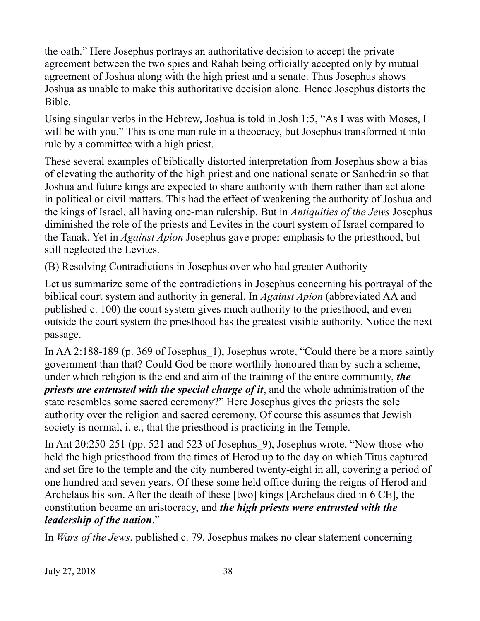the oath." Here Josephus portrays an authoritative decision to accept the private agreement between the two spies and Rahab being officially accepted only by mutual agreement of Joshua along with the high priest and a senate. Thus Josephus shows Joshua as unable to make this authoritative decision alone. Hence Josephus distorts the Bible.

Using singular verbs in the Hebrew, Joshua is told in Josh 1:5, "As I was with Moses, I will be with you." This is one man rule in a theocracy, but Josephus transformed it into rule by a committee with a high priest.

These several examples of biblically distorted interpretation from Josephus show a bias of elevating the authority of the high priest and one national senate or Sanhedrin so that Joshua and future kings are expected to share authority with them rather than act alone in political or civil matters. This had the effect of weakening the authority of Joshua and the kings of Israel, all having one-man rulership. But in *Antiquities of the Jews* Josephus diminished the role of the priests and Levites in the court system of Israel compared to the Tanak. Yet in *Against Apion* Josephus gave proper emphasis to the priesthood, but still neglected the Levites.

(B) Resolving Contradictions in Josephus over who had greater Authority

Let us summarize some of the contradictions in Josephus concerning his portrayal of the biblical court system and authority in general. In *Against Apion* (abbreviated AA and published c. 100) the court system gives much authority to the priesthood, and even outside the court system the priesthood has the greatest visible authority. Notice the next passage.

In AA 2:188-189 (p. 369 of Josephus 1), Josephus wrote, "Could there be a more saintly government than that? Could God be more worthily honoured than by such a scheme, under which religion is the end and aim of the training of the entire community, *the priests are entrusted with the special charge of it*, and the whole administration of the state resembles some sacred ceremony?" Here Josephus gives the priests the sole authority over the religion and sacred ceremony. Of course this assumes that Jewish society is normal, i. e., that the priesthood is practicing in the Temple.

In Ant 20:250-251 (pp. 521 and 523 of Josephus\_9), Josephus wrote, "Now those who held the high priesthood from the times of Herod up to the day on which Titus captured and set fire to the temple and the city numbered twenty-eight in all, covering a period of one hundred and seven years. Of these some held office during the reigns of Herod and Archelaus his son. After the death of these [two] kings [Archelaus died in 6 CE], the constitution became an aristocracy, and *the high priests were entrusted with the leadership of the nation*."

In *Wars of the Jews*, published c. 79, Josephus makes no clear statement concerning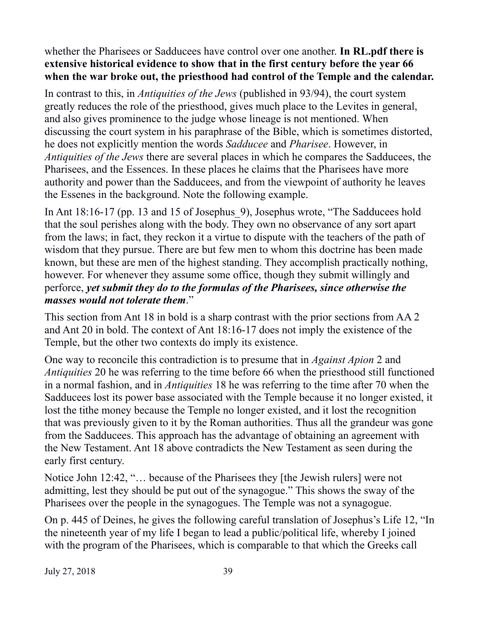whether the Pharisees or Sadducees have control over one another. **In RL.pdf there is extensive historical evidence to show that in the first century before the year 66 when the war broke out, the priesthood had control of the Temple and the calendar.**

In contrast to this, in *Antiquities of the Jews* (published in 93/94), the court system greatly reduces the role of the priesthood, gives much place to the Levites in general, and also gives prominence to the judge whose lineage is not mentioned. When discussing the court system in his paraphrase of the Bible, which is sometimes distorted, he does not explicitly mention the words *Sadducee* and *Pharisee*. However, in *Antiquities of the Jews* there are several places in which he compares the Sadducees, the Pharisees, and the Essences. In these places he claims that the Pharisees have more authority and power than the Sadducees, and from the viewpoint of authority he leaves the Essenes in the background. Note the following example.

In Ant 18:16-17 (pp. 13 and 15 of Josephus 9), Josephus wrote, "The Sadducees hold that the soul perishes along with the body. They own no observance of any sort apart from the laws; in fact, they reckon it a virtue to dispute with the teachers of the path of wisdom that they pursue. There are but few men to whom this doctrine has been made known, but these are men of the highest standing. They accomplish practically nothing, however. For whenever they assume some office, though they submit willingly and perforce, *yet submit they do to the formulas of the Pharisees, since otherwise the masses would not tolerate them*."

This section from Ant 18 in bold is a sharp contrast with the prior sections from AA 2 and Ant 20 in bold. The context of Ant 18:16-17 does not imply the existence of the Temple, but the other two contexts do imply its existence.

One way to reconcile this contradiction is to presume that in *Against Apion* 2 and *Antiquities* 20 he was referring to the time before 66 when the priesthood still functioned in a normal fashion, and in *Antiquities* 18 he was referring to the time after 70 when the Sadducees lost its power base associated with the Temple because it no longer existed, it lost the tithe money because the Temple no longer existed, and it lost the recognition that was previously given to it by the Roman authorities. Thus all the grandeur was gone from the Sadducees. This approach has the advantage of obtaining an agreement with the New Testament. Ant 18 above contradicts the New Testament as seen during the early first century.

Notice John 12:42, "… because of the Pharisees they [the Jewish rulers] were not admitting, lest they should be put out of the synagogue." This shows the sway of the Pharisees over the people in the synagogues. The Temple was not a synagogue.

On p. 445 of Deines, he gives the following careful translation of Josephus's Life 12, "In the nineteenth year of my life I began to lead a public/political life, whereby I joined with the program of the Pharisees, which is comparable to that which the Greeks call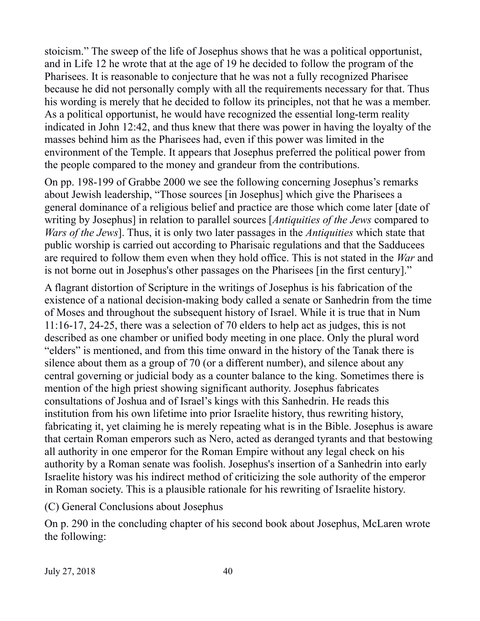stoicism." The sweep of the life of Josephus shows that he was a political opportunist, and in Life 12 he wrote that at the age of 19 he decided to follow the program of the Pharisees. It is reasonable to conjecture that he was not a fully recognized Pharisee because he did not personally comply with all the requirements necessary for that. Thus his wording is merely that he decided to follow its principles, not that he was a member. As a political opportunist, he would have recognized the essential long-term reality indicated in John 12:42, and thus knew that there was power in having the loyalty of the masses behind him as the Pharisees had, even if this power was limited in the environment of the Temple. It appears that Josephus preferred the political power from the people compared to the money and grandeur from the contributions.

On pp. 198-199 of Grabbe 2000 we see the following concerning Josephus's remarks about Jewish leadership, "Those sources [in Josephus] which give the Pharisees a general dominance of a religious belief and practice are those which come later [date of writing by Josephus] in relation to parallel sources [*Antiquities of the Jews* compared to *Wars of the Jews*]. Thus, it is only two later passages in the *Antiquities* which state that public worship is carried out according to Pharisaic regulations and that the Sadducees are required to follow them even when they hold office. This is not stated in the *War* and is not borne out in Josephus's other passages on the Pharisees [in the first century]."

A flagrant distortion of Scripture in the writings of Josephus is his fabrication of the existence of a national decision-making body called a senate or Sanhedrin from the time of Moses and throughout the subsequent history of Israel. While it is true that in Num 11:16-17, 24-25, there was a selection of 70 elders to help act as judges, this is not described as one chamber or unified body meeting in one place. Only the plural word "elders" is mentioned, and from this time onward in the history of the Tanak there is silence about them as a group of 70 (or a different number), and silence about any central governing or judicial body as a counter balance to the king. Sometimes there is mention of the high priest showing significant authority. Josephus fabricates consultations of Joshua and of Israel's kings with this Sanhedrin. He reads this institution from his own lifetime into prior Israelite history, thus rewriting history, fabricating it, yet claiming he is merely repeating what is in the Bible. Josephus is aware that certain Roman emperors such as Nero, acted as deranged tyrants and that bestowing all authority in one emperor for the Roman Empire without any legal check on his authority by a Roman senate was foolish. Josephus's insertion of a Sanhedrin into early Israelite history was his indirect method of criticizing the sole authority of the emperor in Roman society. This is a plausible rationale for his rewriting of Israelite history.

(C) General Conclusions about Josephus

On p. 290 in the concluding chapter of his second book about Josephus, McLaren wrote the following: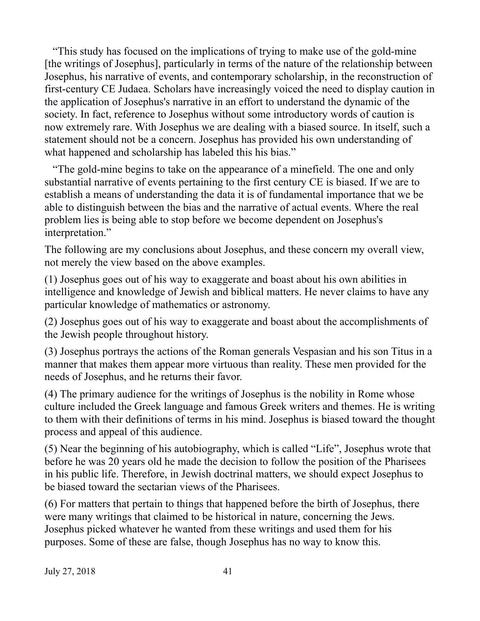"This study has focused on the implications of trying to make use of the gold-mine [the writings of Josephus], particularly in terms of the nature of the relationship between Josephus, his narrative of events, and contemporary scholarship, in the reconstruction of first-century CE Judaea. Scholars have increasingly voiced the need to display caution in the application of Josephus's narrative in an effort to understand the dynamic of the society. In fact, reference to Josephus without some introductory words of caution is now extremely rare. With Josephus we are dealing with a biased source. In itself, such a statement should not be a concern. Josephus has provided his own understanding of what happened and scholarship has labeled this his bias."

 "The gold-mine begins to take on the appearance of a minefield. The one and only substantial narrative of events pertaining to the first century CE is biased. If we are to establish a means of understanding the data it is of fundamental importance that we be able to distinguish between the bias and the narrative of actual events. Where the real problem lies is being able to stop before we become dependent on Josephus's interpretation."

The following are my conclusions about Josephus, and these concern my overall view, not merely the view based on the above examples.

(1) Josephus goes out of his way to exaggerate and boast about his own abilities in intelligence and knowledge of Jewish and biblical matters. He never claims to have any particular knowledge of mathematics or astronomy.

(2) Josephus goes out of his way to exaggerate and boast about the accomplishments of the Jewish people throughout history.

(3) Josephus portrays the actions of the Roman generals Vespasian and his son Titus in a manner that makes them appear more virtuous than reality. These men provided for the needs of Josephus, and he returns their favor.

(4) The primary audience for the writings of Josephus is the nobility in Rome whose culture included the Greek language and famous Greek writers and themes. He is writing to them with their definitions of terms in his mind. Josephus is biased toward the thought process and appeal of this audience.

(5) Near the beginning of his autobiography, which is called "Life", Josephus wrote that before he was 20 years old he made the decision to follow the position of the Pharisees in his public life. Therefore, in Jewish doctrinal matters, we should expect Josephus to be biased toward the sectarian views of the Pharisees.

(6) For matters that pertain to things that happened before the birth of Josephus, there were many writings that claimed to be historical in nature, concerning the Jews. Josephus picked whatever he wanted from these writings and used them for his purposes. Some of these are false, though Josephus has no way to know this.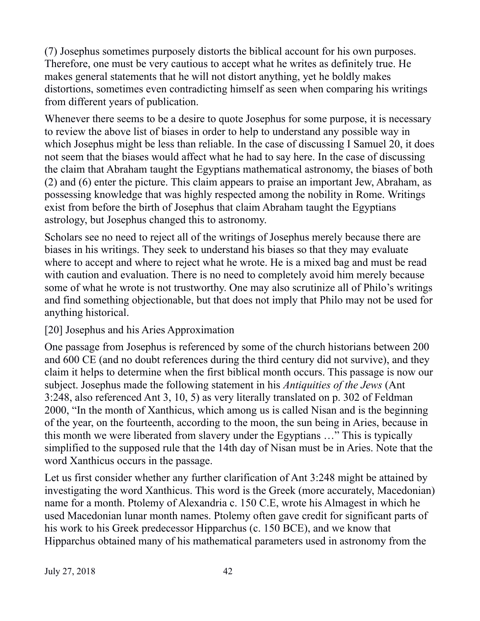(7) Josephus sometimes purposely distorts the biblical account for his own purposes. Therefore, one must be very cautious to accept what he writes as definitely true. He makes general statements that he will not distort anything, yet he boldly makes distortions, sometimes even contradicting himself as seen when comparing his writings from different years of publication.

Whenever there seems to be a desire to quote Josephus for some purpose, it is necessary to review the above list of biases in order to help to understand any possible way in which Josephus might be less than reliable. In the case of discussing I Samuel 20, it does not seem that the biases would affect what he had to say here. In the case of discussing the claim that Abraham taught the Egyptians mathematical astronomy, the biases of both (2) and (6) enter the picture. This claim appears to praise an important Jew, Abraham, as possessing knowledge that was highly respected among the nobility in Rome. Writings exist from before the birth of Josephus that claim Abraham taught the Egyptians astrology, but Josephus changed this to astronomy.

Scholars see no need to reject all of the writings of Josephus merely because there are biases in his writings. They seek to understand his biases so that they may evaluate where to accept and where to reject what he wrote. He is a mixed bag and must be read with caution and evaluation. There is no need to completely avoid him merely because some of what he wrote is not trustworthy. One may also scrutinize all of Philo's writings and find something objectionable, but that does not imply that Philo may not be used for anything historical.

## [20] Josephus and his Aries Approximation

One passage from Josephus is referenced by some of the church historians between 200 and 600 CE (and no doubt references during the third century did not survive), and they claim it helps to determine when the first biblical month occurs. This passage is now our subject. Josephus made the following statement in his *Antiquities of the Jews* (Ant 3:248, also referenced Ant 3, 10, 5) as very literally translated on p. 302 of Feldman 2000, "In the month of Xanthicus, which among us is called Nisan and is the beginning of the year, on the fourteenth, according to the moon, the sun being in Aries, because in this month we were liberated from slavery under the Egyptians …" This is typically simplified to the supposed rule that the 14th day of Nisan must be in Aries. Note that the word Xanthicus occurs in the passage.

Let us first consider whether any further clarification of Ant 3:248 might be attained by investigating the word Xanthicus. This word is the Greek (more accurately, Macedonian) name for a month. Ptolemy of Alexandria c. 150 C.E, wrote his Almagest in which he used Macedonian lunar month names. Ptolemy often gave credit for significant parts of his work to his Greek predecessor Hipparchus (c. 150 BCE), and we know that Hipparchus obtained many of his mathematical parameters used in astronomy from the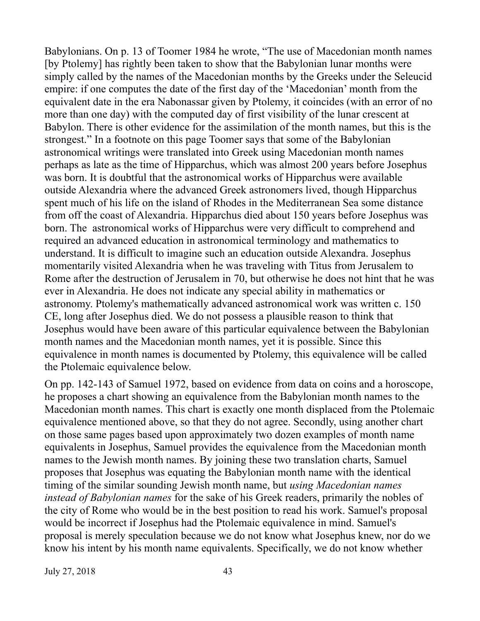Babylonians. On p. 13 of Toomer 1984 he wrote, "The use of Macedonian month names [by Ptolemy] has rightly been taken to show that the Babylonian lunar months were simply called by the names of the Macedonian months by the Greeks under the Seleucid empire: if one computes the date of the first day of the 'Macedonian' month from the equivalent date in the era Nabonassar given by Ptolemy, it coincides (with an error of no more than one day) with the computed day of first visibility of the lunar crescent at Babylon. There is other evidence for the assimilation of the month names, but this is the strongest." In a footnote on this page Toomer says that some of the Babylonian astronomical writings were translated into Greek using Macedonian month names perhaps as late as the time of Hipparchus, which was almost 200 years before Josephus was born. It is doubtful that the astronomical works of Hipparchus were available outside Alexandria where the advanced Greek astronomers lived, though Hipparchus spent much of his life on the island of Rhodes in the Mediterranean Sea some distance from off the coast of Alexandria. Hipparchus died about 150 years before Josephus was born. The astronomical works of Hipparchus were very difficult to comprehend and required an advanced education in astronomical terminology and mathematics to understand. It is difficult to imagine such an education outside Alexandra. Josephus momentarily visited Alexandria when he was traveling with Titus from Jerusalem to Rome after the destruction of Jerusalem in 70, but otherwise he does not hint that he was ever in Alexandria. He does not indicate any special ability in mathematics or astronomy. Ptolemy's mathematically advanced astronomical work was written c. 150 CE, long after Josephus died. We do not possess a plausible reason to think that Josephus would have been aware of this particular equivalence between the Babylonian month names and the Macedonian month names, yet it is possible. Since this equivalence in month names is documented by Ptolemy, this equivalence will be called the Ptolemaic equivalence below.

On pp. 142-143 of Samuel 1972, based on evidence from data on coins and a horoscope, he proposes a chart showing an equivalence from the Babylonian month names to the Macedonian month names. This chart is exactly one month displaced from the Ptolemaic equivalence mentioned above, so that they do not agree. Secondly, using another chart on those same pages based upon approximately two dozen examples of month name equivalents in Josephus, Samuel provides the equivalence from the Macedonian month names to the Jewish month names. By joining these two translation charts, Samuel proposes that Josephus was equating the Babylonian month name with the identical timing of the similar sounding Jewish month name, but *using Macedonian names instead of Babylonian names* for the sake of his Greek readers, primarily the nobles of the city of Rome who would be in the best position to read his work. Samuel's proposal would be incorrect if Josephus had the Ptolemaic equivalence in mind. Samuel's proposal is merely speculation because we do not know what Josephus knew, nor do we know his intent by his month name equivalents. Specifically, we do not know whether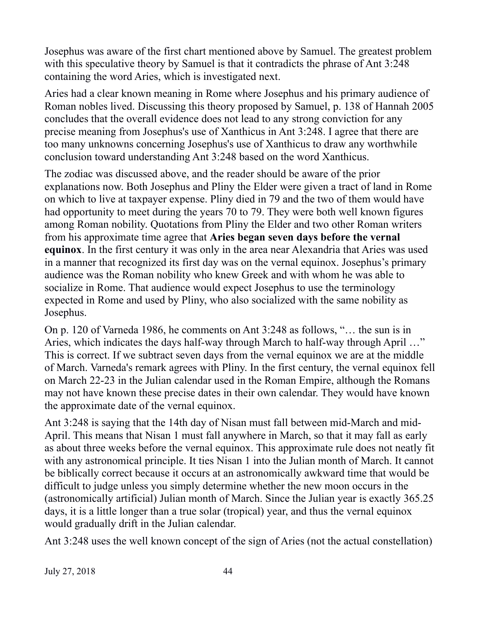Josephus was aware of the first chart mentioned above by Samuel. The greatest problem with this speculative theory by Samuel is that it contradicts the phrase of Ant 3:248 containing the word Aries, which is investigated next.

Aries had a clear known meaning in Rome where Josephus and his primary audience of Roman nobles lived. Discussing this theory proposed by Samuel, p. 138 of Hannah 2005 concludes that the overall evidence does not lead to any strong conviction for any precise meaning from Josephus's use of Xanthicus in Ant 3:248. I agree that there are too many unknowns concerning Josephus's use of Xanthicus to draw any worthwhile conclusion toward understanding Ant 3:248 based on the word Xanthicus.

The zodiac was discussed above, and the reader should be aware of the prior explanations now. Both Josephus and Pliny the Elder were given a tract of land in Rome on which to live at taxpayer expense. Pliny died in 79 and the two of them would have had opportunity to meet during the years 70 to 79. They were both well known figures among Roman nobility. Quotations from Pliny the Elder and two other Roman writers from his approximate time agree that **Aries began seven days before the vernal equinox**. In the first century it was only in the area near Alexandria that Aries was used in a manner that recognized its first day was on the vernal equinox. Josephus's primary audience was the Roman nobility who knew Greek and with whom he was able to socialize in Rome. That audience would expect Josephus to use the terminology expected in Rome and used by Pliny, who also socialized with the same nobility as Josephus.

On p. 120 of Varneda 1986, he comments on Ant 3:248 as follows, "… the sun is in Aries, which indicates the days half-way through March to half-way through April …" This is correct. If we subtract seven days from the vernal equinox we are at the middle of March. Varneda's remark agrees with Pliny. In the first century, the vernal equinox fell on March 22-23 in the Julian calendar used in the Roman Empire, although the Romans may not have known these precise dates in their own calendar. They would have known the approximate date of the vernal equinox.

Ant 3:248 is saying that the 14th day of Nisan must fall between mid-March and mid-April. This means that Nisan 1 must fall anywhere in March, so that it may fall as early as about three weeks before the vernal equinox. This approximate rule does not neatly fit with any astronomical principle. It ties Nisan 1 into the Julian month of March. It cannot be biblically correct because it occurs at an astronomically awkward time that would be difficult to judge unless you simply determine whether the new moon occurs in the (astronomically artificial) Julian month of March. Since the Julian year is exactly 365.25 days, it is a little longer than a true solar (tropical) year, and thus the vernal equinox would gradually drift in the Julian calendar.

Ant 3:248 uses the well known concept of the sign of Aries (not the actual constellation)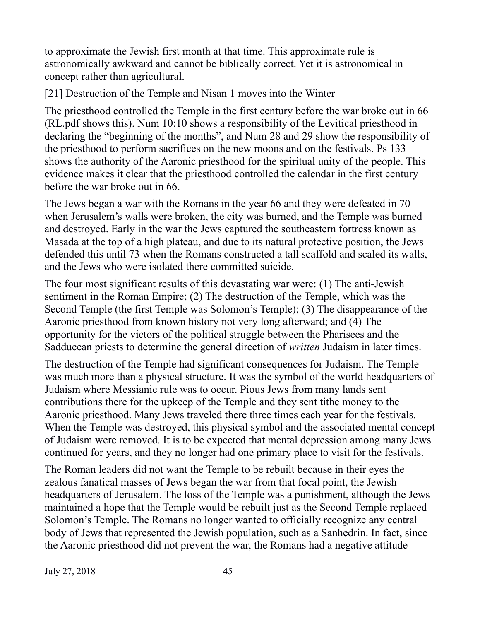to approximate the Jewish first month at that time. This approximate rule is astronomically awkward and cannot be biblically correct. Yet it is astronomical in concept rather than agricultural.

[21] Destruction of the Temple and Nisan 1 moves into the Winter

The priesthood controlled the Temple in the first century before the war broke out in 66 (RL.pdf shows this). Num 10:10 shows a responsibility of the Levitical priesthood in declaring the "beginning of the months", and Num 28 and 29 show the responsibility of the priesthood to perform sacrifices on the new moons and on the festivals. Ps 133 shows the authority of the Aaronic priesthood for the spiritual unity of the people. This evidence makes it clear that the priesthood controlled the calendar in the first century before the war broke out in 66.

The Jews began a war with the Romans in the year 66 and they were defeated in 70 when Jerusalem's walls were broken, the city was burned, and the Temple was burned and destroyed. Early in the war the Jews captured the southeastern fortress known as Masada at the top of a high plateau, and due to its natural protective position, the Jews defended this until 73 when the Romans constructed a tall scaffold and scaled its walls, and the Jews who were isolated there committed suicide.

The four most significant results of this devastating war were: (1) The anti-Jewish sentiment in the Roman Empire; (2) The destruction of the Temple, which was the Second Temple (the first Temple was Solomon's Temple); (3) The disappearance of the Aaronic priesthood from known history not very long afterward; and (4) The opportunity for the victors of the political struggle between the Pharisees and the Sadducean priests to determine the general direction of *written* Judaism in later times.

The destruction of the Temple had significant consequences for Judaism. The Temple was much more than a physical structure. It was the symbol of the world headquarters of Judaism where Messianic rule was to occur. Pious Jews from many lands sent contributions there for the upkeep of the Temple and they sent tithe money to the Aaronic priesthood. Many Jews traveled there three times each year for the festivals. When the Temple was destroyed, this physical symbol and the associated mental concept of Judaism were removed. It is to be expected that mental depression among many Jews continued for years, and they no longer had one primary place to visit for the festivals.

The Roman leaders did not want the Temple to be rebuilt because in their eyes the zealous fanatical masses of Jews began the war from that focal point, the Jewish headquarters of Jerusalem. The loss of the Temple was a punishment, although the Jews maintained a hope that the Temple would be rebuilt just as the Second Temple replaced Solomon's Temple. The Romans no longer wanted to officially recognize any central body of Jews that represented the Jewish population, such as a Sanhedrin. In fact, since the Aaronic priesthood did not prevent the war, the Romans had a negative attitude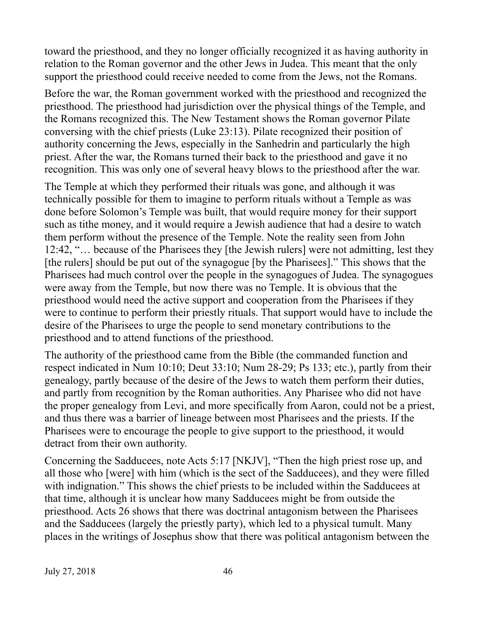toward the priesthood, and they no longer officially recognized it as having authority in relation to the Roman governor and the other Jews in Judea. This meant that the only support the priesthood could receive needed to come from the Jews, not the Romans.

Before the war, the Roman government worked with the priesthood and recognized the priesthood. The priesthood had jurisdiction over the physical things of the Temple, and the Romans recognized this. The New Testament shows the Roman governor Pilate conversing with the chief priests (Luke 23:13). Pilate recognized their position of authority concerning the Jews, especially in the Sanhedrin and particularly the high priest. After the war, the Romans turned their back to the priesthood and gave it no recognition. This was only one of several heavy blows to the priesthood after the war.

The Temple at which they performed their rituals was gone, and although it was technically possible for them to imagine to perform rituals without a Temple as was done before Solomon's Temple was built, that would require money for their support such as tithe money, and it would require a Jewish audience that had a desire to watch them perform without the presence of the Temple. Note the reality seen from John 12:42, "… because of the Pharisees they [the Jewish rulers] were not admitting, lest they [the rulers] should be put out of the synagogue [by the Pharisees]." This shows that the Pharisees had much control over the people in the synagogues of Judea. The synagogues were away from the Temple, but now there was no Temple. It is obvious that the priesthood would need the active support and cooperation from the Pharisees if they were to continue to perform their priestly rituals. That support would have to include the desire of the Pharisees to urge the people to send monetary contributions to the priesthood and to attend functions of the priesthood.

The authority of the priesthood came from the Bible (the commanded function and respect indicated in Num 10:10; Deut 33:10; Num 28-29; Ps 133; etc.), partly from their genealogy, partly because of the desire of the Jews to watch them perform their duties, and partly from recognition by the Roman authorities. Any Pharisee who did not have the proper genealogy from Levi, and more specifically from Aaron, could not be a priest, and thus there was a barrier of lineage between most Pharisees and the priests. If the Pharisees were to encourage the people to give support to the priesthood, it would detract from their own authority.

Concerning the Sadducees, note Acts 5:17 [NKJV], "Then the high priest rose up, and all those who [were] with him (which is the sect of the Sadducees), and they were filled with indignation." This shows the chief priests to be included within the Sadducees at that time, although it is unclear how many Sadducees might be from outside the priesthood. Acts 26 shows that there was doctrinal antagonism between the Pharisees and the Sadducees (largely the priestly party), which led to a physical tumult. Many places in the writings of Josephus show that there was political antagonism between the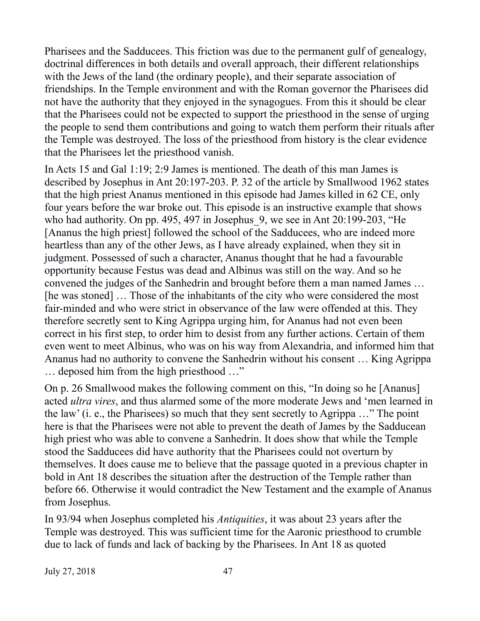Pharisees and the Sadducees. This friction was due to the permanent gulf of genealogy, doctrinal differences in both details and overall approach, their different relationships with the Jews of the land (the ordinary people), and their separate association of friendships. In the Temple environment and with the Roman governor the Pharisees did not have the authority that they enjoyed in the synagogues. From this it should be clear that the Pharisees could not be expected to support the priesthood in the sense of urging the people to send them contributions and going to watch them perform their rituals after the Temple was destroyed. The loss of the priesthood from history is the clear evidence that the Pharisees let the priesthood vanish.

In Acts 15 and Gal 1:19; 2:9 James is mentioned. The death of this man James is described by Josephus in Ant 20:197-203. P. 32 of the article by Smallwood 1962 states that the high priest Ananus mentioned in this episode had James killed in 62 CE, only four years before the war broke out. This episode is an instructive example that shows who had authority. On pp. 495, 497 in Josephus 9, we see in Ant 20:199-203, "He [Ananus the high priest] followed the school of the Sadducees, who are indeed more heartless than any of the other Jews, as I have already explained, when they sit in judgment. Possessed of such a character, Ananus thought that he had a favourable opportunity because Festus was dead and Albinus was still on the way. And so he convened the judges of the Sanhedrin and brought before them a man named James … [he was stoned] … Those of the inhabitants of the city who were considered the most fair-minded and who were strict in observance of the law were offended at this. They therefore secretly sent to King Agrippa urging him, for Ananus had not even been correct in his first step, to order him to desist from any further actions. Certain of them even went to meet Albinus, who was on his way from Alexandria, and informed him that Ananus had no authority to convene the Sanhedrin without his consent … King Agrippa … deposed him from the high priesthood …"

On p. 26 Smallwood makes the following comment on this, "In doing so he [Ananus] acted *ultra vires*, and thus alarmed some of the more moderate Jews and 'men learned in the law' (i. e., the Pharisees) so much that they sent secretly to Agrippa …" The point here is that the Pharisees were not able to prevent the death of James by the Sadducean high priest who was able to convene a Sanhedrin. It does show that while the Temple stood the Sadducees did have authority that the Pharisees could not overturn by themselves. It does cause me to believe that the passage quoted in a previous chapter in bold in Ant 18 describes the situation after the destruction of the Temple rather than before 66. Otherwise it would contradict the New Testament and the example of Ananus from Josephus.

In 93/94 when Josephus completed his *Antiquities*, it was about 23 years after the Temple was destroyed. This was sufficient time for the Aaronic priesthood to crumble due to lack of funds and lack of backing by the Pharisees. In Ant 18 as quoted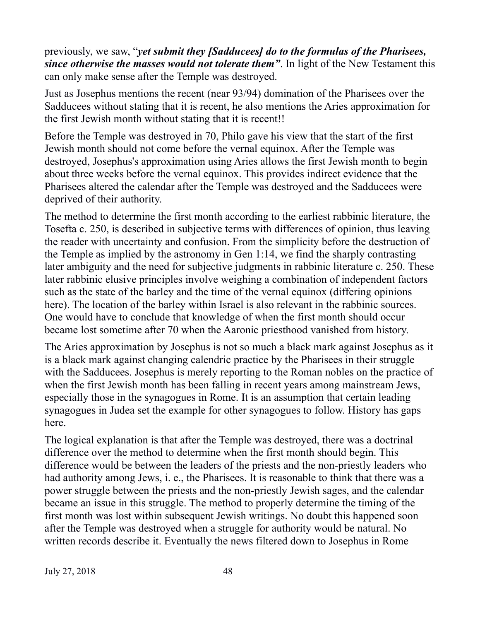previously, we saw, "*yet submit they [Sadducees] do to the formulas of the Pharisees, since otherwise the masses would not tolerate them"*. In light of the New Testament this can only make sense after the Temple was destroyed.

Just as Josephus mentions the recent (near 93/94) domination of the Pharisees over the Sadducees without stating that it is recent, he also mentions the Aries approximation for the first Jewish month without stating that it is recent!!

Before the Temple was destroyed in 70, Philo gave his view that the start of the first Jewish month should not come before the vernal equinox. After the Temple was destroyed, Josephus's approximation using Aries allows the first Jewish month to begin about three weeks before the vernal equinox. This provides indirect evidence that the Pharisees altered the calendar after the Temple was destroyed and the Sadducees were deprived of their authority.

The method to determine the first month according to the earliest rabbinic literature, the Tosefta c. 250, is described in subjective terms with differences of opinion, thus leaving the reader with uncertainty and confusion. From the simplicity before the destruction of the Temple as implied by the astronomy in Gen 1:14, we find the sharply contrasting later ambiguity and the need for subjective judgments in rabbinic literature c. 250. These later rabbinic elusive principles involve weighing a combination of independent factors such as the state of the barley and the time of the vernal equinox (differing opinions here). The location of the barley within Israel is also relevant in the rabbinic sources. One would have to conclude that knowledge of when the first month should occur became lost sometime after 70 when the Aaronic priesthood vanished from history.

The Aries approximation by Josephus is not so much a black mark against Josephus as it is a black mark against changing calendric practice by the Pharisees in their struggle with the Sadducees. Josephus is merely reporting to the Roman nobles on the practice of when the first Jewish month has been falling in recent years among mainstream Jews, especially those in the synagogues in Rome. It is an assumption that certain leading synagogues in Judea set the example for other synagogues to follow. History has gaps here.

The logical explanation is that after the Temple was destroyed, there was a doctrinal difference over the method to determine when the first month should begin. This difference would be between the leaders of the priests and the non-priestly leaders who had authority among Jews, i. e., the Pharisees. It is reasonable to think that there was a power struggle between the priests and the non-priestly Jewish sages, and the calendar became an issue in this struggle. The method to properly determine the timing of the first month was lost within subsequent Jewish writings. No doubt this happened soon after the Temple was destroyed when a struggle for authority would be natural. No written records describe it. Eventually the news filtered down to Josephus in Rome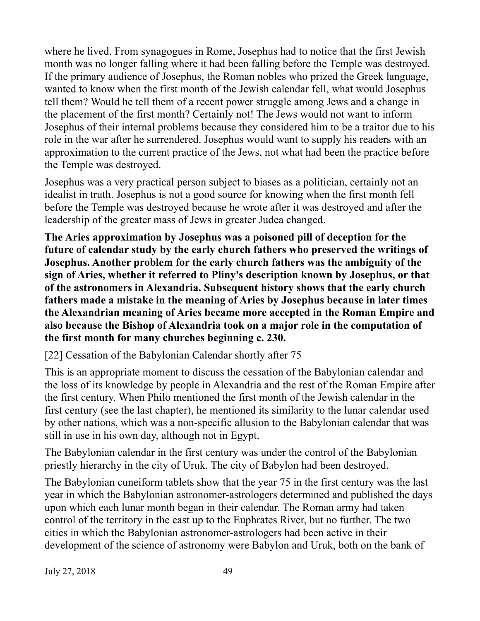where he lived. From synagogues in Rome, Josephus had to notice that the first Jewish month was no longer falling where it had been falling before the Temple was destroyed. If the primary audience of Josephus, the Roman nobles who prized the Greek language, wanted to know when the first month of the Jewish calendar fell, what would Josephus tell them? Would he tell them of a recent power struggle among Jews and a change in the placement of the first month? Certainly not! The Jews would not want to inform Josephus of their internal problems because they considered him to be a traitor due to his role in the war after he surrendered. Josephus would want to supply his readers with an approximation to the current practice of the Jews, not what had been the practice before the Temple was destroyed.

Josephus was a very practical person subject to biases as a politician, certainly not an idealist in truth. Josephus is not a good source for knowing when the first month fell before the Temple was destroyed because he wrote after it was destroyed and after the leadership of the greater mass of Jews in greater Judea changed.

**The Aries approximation by Josephus was a poisoned pill of deception for the future of calendar study by the early church fathers who preserved the writings of Josephus. Another problem for the early church fathers was the ambiguity of the sign of Aries, whether it referred to Pliny's description known by Josephus, or that of the astronomers in Alexandria. Subsequent history shows that the early church fathers made a mistake in the meaning of Aries by Josephus because in later times the Alexandrian meaning of Aries became more accepted in the Roman Empire and also because the Bishop of Alexandria took on a major role in the computation of the first month for many churches beginning c. 230.**

[22] Cessation of the Babylonian Calendar shortly after 75

This is an appropriate moment to discuss the cessation of the Babylonian calendar and the loss of its knowledge by people in Alexandria and the rest of the Roman Empire after the first century. When Philo mentioned the first month of the Jewish calendar in the first century (see the last chapter), he mentioned its similarity to the lunar calendar used by other nations, which was a non-specific allusion to the Babylonian calendar that was still in use in his own day, although not in Egypt.

The Babylonian calendar in the first century was under the control of the Babylonian priestly hierarchy in the city of Uruk. The city of Babylon had been destroyed.

The Babylonian cuneiform tablets show that the year 75 in the first century was the last year in which the Babylonian astronomer-astrologers determined and published the days upon which each lunar month began in their calendar. The Roman army had taken control of the territory in the east up to the Euphrates River, but no further. The two cities in which the Babylonian astronomer-astrologers had been active in their development of the science of astronomy were Babylon and Uruk, both on the bank of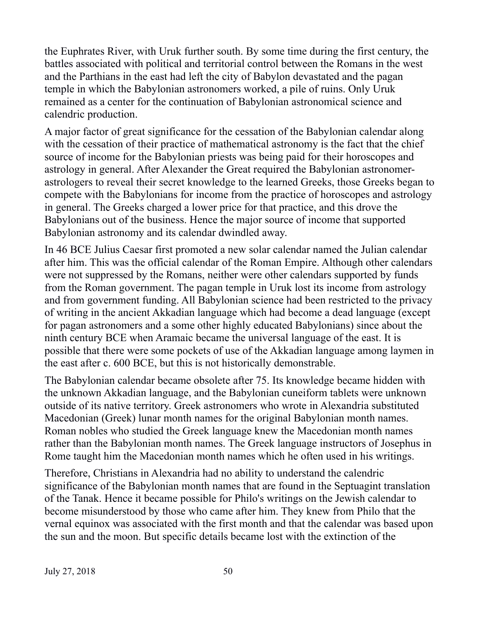the Euphrates River, with Uruk further south. By some time during the first century, the battles associated with political and territorial control between the Romans in the west and the Parthians in the east had left the city of Babylon devastated and the pagan temple in which the Babylonian astronomers worked, a pile of ruins. Only Uruk remained as a center for the continuation of Babylonian astronomical science and calendric production.

A major factor of great significance for the cessation of the Babylonian calendar along with the cessation of their practice of mathematical astronomy is the fact that the chief source of income for the Babylonian priests was being paid for their horoscopes and astrology in general. After Alexander the Great required the Babylonian astronomerastrologers to reveal their secret knowledge to the learned Greeks, those Greeks began to compete with the Babylonians for income from the practice of horoscopes and astrology in general. The Greeks charged a lower price for that practice, and this drove the Babylonians out of the business. Hence the major source of income that supported Babylonian astronomy and its calendar dwindled away.

In 46 BCE Julius Caesar first promoted a new solar calendar named the Julian calendar after him. This was the official calendar of the Roman Empire. Although other calendars were not suppressed by the Romans, neither were other calendars supported by funds from the Roman government. The pagan temple in Uruk lost its income from astrology and from government funding. All Babylonian science had been restricted to the privacy of writing in the ancient Akkadian language which had become a dead language (except for pagan astronomers and a some other highly educated Babylonians) since about the ninth century BCE when Aramaic became the universal language of the east. It is possible that there were some pockets of use of the Akkadian language among laymen in the east after c. 600 BCE, but this is not historically demonstrable.

The Babylonian calendar became obsolete after 75. Its knowledge became hidden with the unknown Akkadian language, and the Babylonian cuneiform tablets were unknown outside of its native territory. Greek astronomers who wrote in Alexandria substituted Macedonian (Greek) lunar month names for the original Babylonian month names. Roman nobles who studied the Greek language knew the Macedonian month names rather than the Babylonian month names. The Greek language instructors of Josephus in Rome taught him the Macedonian month names which he often used in his writings.

Therefore, Christians in Alexandria had no ability to understand the calendric significance of the Babylonian month names that are found in the Septuagint translation of the Tanak. Hence it became possible for Philo's writings on the Jewish calendar to become misunderstood by those who came after him. They knew from Philo that the vernal equinox was associated with the first month and that the calendar was based upon the sun and the moon. But specific details became lost with the extinction of the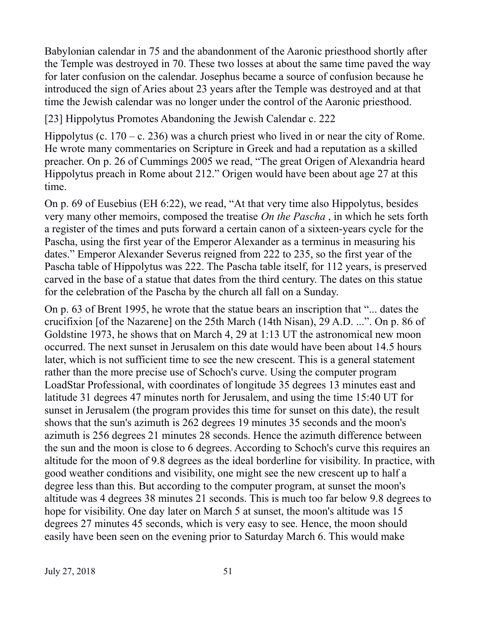Babylonian calendar in 75 and the abandonment of the Aaronic priesthood shortly after the Temple was destroyed in 70. These two losses at about the same time paved the way for later confusion on the calendar. Josephus became a source of confusion because he introduced the sign of Aries about 23 years after the Temple was destroyed and at that time the Jewish calendar was no longer under the control of the Aaronic priesthood.

[23] Hippolytus Promotes Abandoning the Jewish Calendar c. 222

Hippolytus (c.  $170 - c$ . 236) was a church priest who lived in or near the city of Rome. He wrote many commentaries on Scripture in Greek and had a reputation as a skilled preacher. On p. 26 of Cummings 2005 we read, "The great Origen of Alexandria heard Hippolytus preach in Rome about 212." Origen would have been about age 27 at this time.

On p. 69 of Eusebius (EH 6:22), we read, "At that very time also Hippolytus, besides very many other memoirs, composed the treatise *On the Pascha* , in which he sets forth a register of the times and puts forward a certain canon of a sixteen-years cycle for the Pascha, using the first year of the Emperor Alexander as a terminus in measuring his dates." Emperor Alexander Severus reigned from 222 to 235, so the first year of the Pascha table of Hippolytus was 222. The Pascha table itself, for 112 years, is preserved carved in the base of a statue that dates from the third century. The dates on this statue for the celebration of the Pascha by the church all fall on a Sunday.

On p. 63 of Brent 1995, he wrote that the statue bears an inscription that "... dates the crucifixion [of the Nazarene] on the 25th March (14th Nisan), 29 A.D. ...". On p. 86 of Goldstine 1973, he shows that on March 4, 29 at 1:13 UT the astronomical new moon occurred. The next sunset in Jerusalem on this date would have been about 14.5 hours later, which is not sufficient time to see the new crescent. This is a general statement rather than the more precise use of Schoch's curve. Using the computer program LoadStar Professional, with coordinates of longitude 35 degrees 13 minutes east and latitude 31 degrees 47 minutes north for Jerusalem, and using the time 15:40 UT for sunset in Jerusalem (the program provides this time for sunset on this date), the result shows that the sun's azimuth is 262 degrees 19 minutes 35 seconds and the moon's azimuth is 256 degrees 21 minutes 28 seconds. Hence the azimuth difference between the sun and the moon is close to 6 degrees. According to Schoch's curve this requires an altitude for the moon of 9.8 degrees as the ideal borderline for visibility. In practice, with good weather conditions and visibility, one might see the new crescent up to half a degree less than this. But according to the computer program, at sunset the moon's altitude was 4 degrees 38 minutes 21 seconds. This is much too far below 9.8 degrees to hope for visibility. One day later on March 5 at sunset, the moon's altitude was 15 degrees 27 minutes 45 seconds, which is very easy to see. Hence, the moon should easily have been seen on the evening prior to Saturday March 6. This would make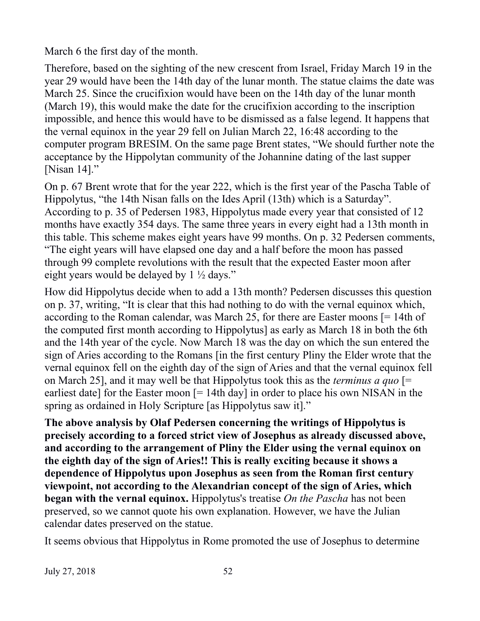March 6 the first day of the month.

Therefore, based on the sighting of the new crescent from Israel, Friday March 19 in the year 29 would have been the 14th day of the lunar month. The statue claims the date was March 25. Since the crucifixion would have been on the 14th day of the lunar month (March 19), this would make the date for the crucifixion according to the inscription impossible, and hence this would have to be dismissed as a false legend. It happens that the vernal equinox in the year 29 fell on Julian March 22, 16:48 according to the computer program BRESIM. On the same page Brent states, "We should further note the acceptance by the Hippolytan community of the Johannine dating of the last supper [Nisan 14]."

On p. 67 Brent wrote that for the year 222, which is the first year of the Pascha Table of Hippolytus, "the 14th Nisan falls on the Ides April (13th) which is a Saturday". According to p. 35 of Pedersen 1983, Hippolytus made every year that consisted of 12 months have exactly 354 days. The same three years in every eight had a 13th month in this table. This scheme makes eight years have 99 months. On p. 32 Pedersen comments, "The eight years will have elapsed one day and a half before the moon has passed through 99 complete revolutions with the result that the expected Easter moon after eight years would be delayed by 1 ½ days."

How did Hippolytus decide when to add a 13th month? Pedersen discusses this question on p. 37, writing, "It is clear that this had nothing to do with the vernal equinox which, according to the Roman calendar, was March 25, for there are Easter moons [= 14th of the computed first month according to Hippolytus] as early as March 18 in both the 6th and the 14th year of the cycle. Now March 18 was the day on which the sun entered the sign of Aries according to the Romans [in the first century Pliny the Elder wrote that the vernal equinox fell on the eighth day of the sign of Aries and that the vernal equinox fell on March 25], and it may well be that Hippolytus took this as the *terminus a quo* [= earliest date] for the Easter moon [= 14th day] in order to place his own NISAN in the spring as ordained in Holy Scripture [as Hippolytus saw it]."

**The above analysis by Olaf Pedersen concerning the writings of Hippolytus is precisely according to a forced strict view of Josephus as already discussed above, and according to the arrangement of Pliny the Elder using the vernal equinox on the eighth day of the sign of Aries!! This is really exciting because it shows a dependence of Hippolytus upon Josephus as seen from the Roman first century viewpoint, not according to the Alexandrian concept of the sign of Aries, which began with the vernal equinox.** Hippolytus's treatise *On the Pascha* has not been preserved, so we cannot quote his own explanation. However, we have the Julian calendar dates preserved on the statue.

It seems obvious that Hippolytus in Rome promoted the use of Josephus to determine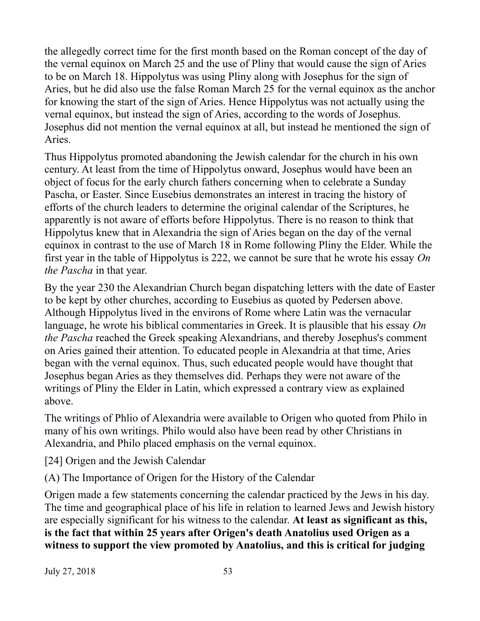the allegedly correct time for the first month based on the Roman concept of the day of the vernal equinox on March 25 and the use of Pliny that would cause the sign of Aries to be on March 18. Hippolytus was using Pliny along with Josephus for the sign of Aries, but he did also use the false Roman March 25 for the vernal equinox as the anchor for knowing the start of the sign of Aries. Hence Hippolytus was not actually using the vernal equinox, but instead the sign of Aries, according to the words of Josephus. Josephus did not mention the vernal equinox at all, but instead he mentioned the sign of Aries.

Thus Hippolytus promoted abandoning the Jewish calendar for the church in his own century. At least from the time of Hippolytus onward, Josephus would have been an object of focus for the early church fathers concerning when to celebrate a Sunday Pascha, or Easter. Since Eusebius demonstrates an interest in tracing the history of efforts of the church leaders to determine the original calendar of the Scriptures, he apparently is not aware of efforts before Hippolytus. There is no reason to think that Hippolytus knew that in Alexandria the sign of Aries began on the day of the vernal equinox in contrast to the use of March 18 in Rome following Pliny the Elder. While the first year in the table of Hippolytus is 222, we cannot be sure that he wrote his essay *On the Pascha* in that year.

By the year 230 the Alexandrian Church began dispatching letters with the date of Easter to be kept by other churches, according to Eusebius as quoted by Pedersen above. Although Hippolytus lived in the environs of Rome where Latin was the vernacular language, he wrote his biblical commentaries in Greek. It is plausible that his essay *On the Pascha* reached the Greek speaking Alexandrians, and thereby Josephus's comment on Aries gained their attention. To educated people in Alexandria at that time, Aries began with the vernal equinox. Thus, such educated people would have thought that Josephus began Aries as they themselves did. Perhaps they were not aware of the writings of Pliny the Elder in Latin, which expressed a contrary view as explained above.

The writings of Phlio of Alexandria were available to Origen who quoted from Philo in many of his own writings. Philo would also have been read by other Christians in Alexandria, and Philo placed emphasis on the vernal equinox.

[24] Origen and the Jewish Calendar

(A) The Importance of Origen for the History of the Calendar

Origen made a few statements concerning the calendar practiced by the Jews in his day. The time and geographical place of his life in relation to learned Jews and Jewish history are especially significant for his witness to the calendar. **At least as significant as this, is the fact that within 25 years after Origen's death Anatolius used Origen as a witness to support the view promoted by Anatolius, and this is critical for judging**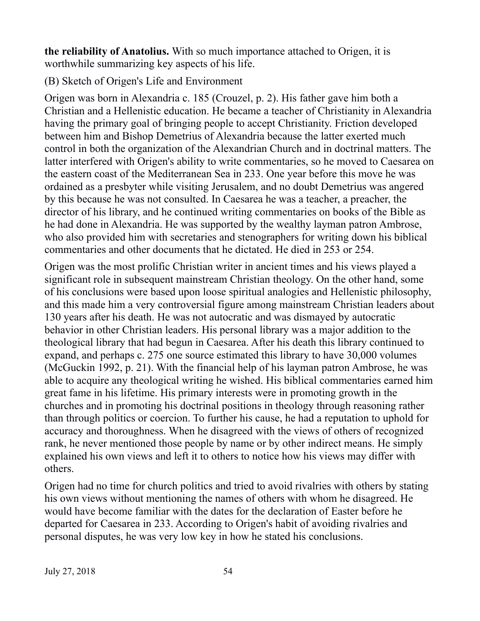**the reliability of Anatolius.** With so much importance attached to Origen, it is worthwhile summarizing key aspects of his life.

(B) Sketch of Origen's Life and Environment

Origen was born in Alexandria c. 185 (Crouzel, p. 2). His father gave him both a Christian and a Hellenistic education. He became a teacher of Christianity in Alexandria having the primary goal of bringing people to accept Christianity. Friction developed between him and Bishop Demetrius of Alexandria because the latter exerted much control in both the organization of the Alexandrian Church and in doctrinal matters. The latter interfered with Origen's ability to write commentaries, so he moved to Caesarea on the eastern coast of the Mediterranean Sea in 233. One year before this move he was ordained as a presbyter while visiting Jerusalem, and no doubt Demetrius was angered by this because he was not consulted. In Caesarea he was a teacher, a preacher, the director of his library, and he continued writing commentaries on books of the Bible as he had done in Alexandria. He was supported by the wealthy layman patron Ambrose, who also provided him with secretaries and stenographers for writing down his biblical commentaries and other documents that he dictated. He died in 253 or 254.

Origen was the most prolific Christian writer in ancient times and his views played a significant role in subsequent mainstream Christian theology. On the other hand, some of his conclusions were based upon loose spiritual analogies and Hellenistic philosophy, and this made him a very controversial figure among mainstream Christian leaders about 130 years after his death. He was not autocratic and was dismayed by autocratic behavior in other Christian leaders. His personal library was a major addition to the theological library that had begun in Caesarea. After his death this library continued to expand, and perhaps c. 275 one source estimated this library to have 30,000 volumes (McGuckin 1992, p. 21). With the financial help of his layman patron Ambrose, he was able to acquire any theological writing he wished. His biblical commentaries earned him great fame in his lifetime. His primary interests were in promoting growth in the churches and in promoting his doctrinal positions in theology through reasoning rather than through politics or coercion. To further his cause, he had a reputation to uphold for accuracy and thoroughness. When he disagreed with the views of others of recognized rank, he never mentioned those people by name or by other indirect means. He simply explained his own views and left it to others to notice how his views may differ with others.

Origen had no time for church politics and tried to avoid rivalries with others by stating his own views without mentioning the names of others with whom he disagreed. He would have become familiar with the dates for the declaration of Easter before he departed for Caesarea in 233. According to Origen's habit of avoiding rivalries and personal disputes, he was very low key in how he stated his conclusions.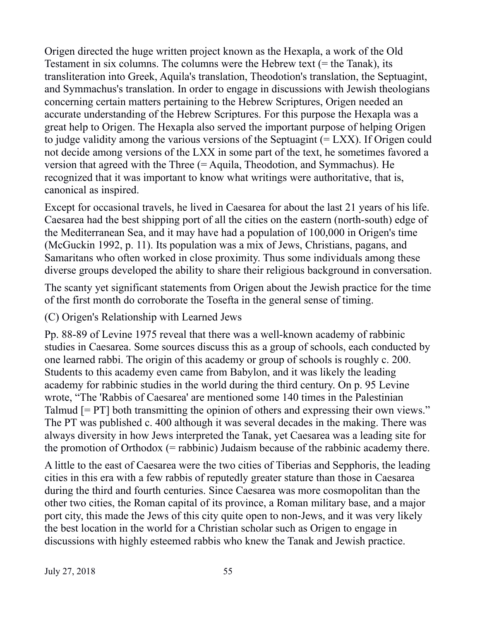Origen directed the huge written project known as the Hexapla, a work of the Old Testament in six columns. The columns were the Hebrew text (= the Tanak), its transliteration into Greek, Aquila's translation, Theodotion's translation, the Septuagint, and Symmachus's translation. In order to engage in discussions with Jewish theologians concerning certain matters pertaining to the Hebrew Scriptures, Origen needed an accurate understanding of the Hebrew Scriptures. For this purpose the Hexapla was a great help to Origen. The Hexapla also served the important purpose of helping Origen to judge validity among the various versions of the Septuagint  $(= LXX)$ . If Origen could not decide among versions of the LXX in some part of the text, he sometimes favored a version that agreed with the Three (= Aquila, Theodotion, and Symmachus). He recognized that it was important to know what writings were authoritative, that is, canonical as inspired.

Except for occasional travels, he lived in Caesarea for about the last 21 years of his life. Caesarea had the best shipping port of all the cities on the eastern (north-south) edge of the Mediterranean Sea, and it may have had a population of 100,000 in Origen's time (McGuckin 1992, p. 11). Its population was a mix of Jews, Christians, pagans, and Samaritans who often worked in close proximity. Thus some individuals among these diverse groups developed the ability to share their religious background in conversation.

The scanty yet significant statements from Origen about the Jewish practice for the time of the first month do corroborate the Tosefta in the general sense of timing.

(C) Origen's Relationship with Learned Jews

Pp. 88-89 of Levine 1975 reveal that there was a well-known academy of rabbinic studies in Caesarea. Some sources discuss this as a group of schools, each conducted by one learned rabbi. The origin of this academy or group of schools is roughly c. 200. Students to this academy even came from Babylon, and it was likely the leading academy for rabbinic studies in the world during the third century. On p. 95 Levine wrote, "The 'Rabbis of Caesarea' are mentioned some 140 times in the Palestinian Talmud [= PT] both transmitting the opinion of others and expressing their own views." The PT was published c. 400 although it was several decades in the making. There was always diversity in how Jews interpreted the Tanak, yet Caesarea was a leading site for the promotion of Orthodox  $(=$  rabbinic) Judaism because of the rabbinic academy there.

A little to the east of Caesarea were the two cities of Tiberias and Sepphoris, the leading cities in this era with a few rabbis of reputedly greater stature than those in Caesarea during the third and fourth centuries. Since Caesarea was more cosmopolitan than the other two cities, the Roman capital of its province, a Roman military base, and a major port city, this made the Jews of this city quite open to non-Jews, and it was very likely the best location in the world for a Christian scholar such as Origen to engage in discussions with highly esteemed rabbis who knew the Tanak and Jewish practice.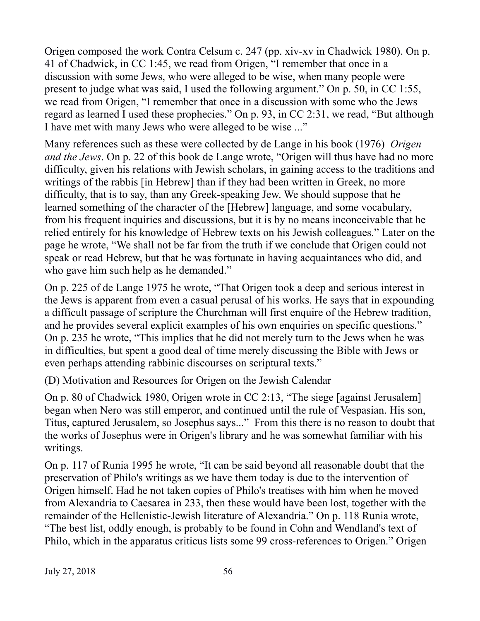Origen composed the work Contra Celsum c. 247 (pp. xiv-xv in Chadwick 1980). On p. 41 of Chadwick, in CC 1:45, we read from Origen, "I remember that once in a discussion with some Jews, who were alleged to be wise, when many people were present to judge what was said, I used the following argument." On p. 50, in CC 1:55, we read from Origen, "I remember that once in a discussion with some who the Jews regard as learned I used these prophecies." On p. 93, in CC 2:31, we read, "But although I have met with many Jews who were alleged to be wise ..."

Many references such as these were collected by de Lange in his book (1976) *Origen and the Jews*. On p. 22 of this book de Lange wrote, "Origen will thus have had no more difficulty, given his relations with Jewish scholars, in gaining access to the traditions and writings of the rabbis [in Hebrew] than if they had been written in Greek, no more difficulty, that is to say, than any Greek-speaking Jew. We should suppose that he learned something of the character of the [Hebrew] language, and some vocabulary, from his frequent inquiries and discussions, but it is by no means inconceivable that he relied entirely for his knowledge of Hebrew texts on his Jewish colleagues." Later on the page he wrote, "We shall not be far from the truth if we conclude that Origen could not speak or read Hebrew, but that he was fortunate in having acquaintances who did, and who gave him such help as he demanded."

On p. 225 of de Lange 1975 he wrote, "That Origen took a deep and serious interest in the Jews is apparent from even a casual perusal of his works. He says that in expounding a difficult passage of scripture the Churchman will first enquire of the Hebrew tradition, and he provides several explicit examples of his own enquiries on specific questions." On p. 235 he wrote, "This implies that he did not merely turn to the Jews when he was in difficulties, but spent a good deal of time merely discussing the Bible with Jews or even perhaps attending rabbinic discourses on scriptural texts."

(D) Motivation and Resources for Origen on the Jewish Calendar

On p. 80 of Chadwick 1980, Origen wrote in CC 2:13, "The siege [against Jerusalem] began when Nero was still emperor, and continued until the rule of Vespasian. His son, Titus, captured Jerusalem, so Josephus says..." From this there is no reason to doubt that the works of Josephus were in Origen's library and he was somewhat familiar with his writings.

On p. 117 of Runia 1995 he wrote, "It can be said beyond all reasonable doubt that the preservation of Philo's writings as we have them today is due to the intervention of Origen himself. Had he not taken copies of Philo's treatises with him when he moved from Alexandria to Caesarea in 233, then these would have been lost, together with the remainder of the Hellenistic-Jewish literature of Alexandria." On p. 118 Runia wrote, "The best list, oddly enough, is probably to be found in Cohn and Wendland's text of Philo, which in the apparatus criticus lists some 99 cross-references to Origen." Origen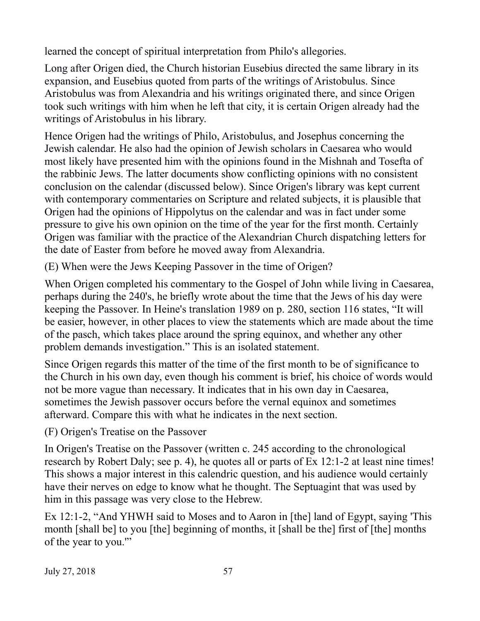learned the concept of spiritual interpretation from Philo's allegories.

Long after Origen died, the Church historian Eusebius directed the same library in its expansion, and Eusebius quoted from parts of the writings of Aristobulus. Since Aristobulus was from Alexandria and his writings originated there, and since Origen took such writings with him when he left that city, it is certain Origen already had the writings of Aristobulus in his library.

Hence Origen had the writings of Philo, Aristobulus, and Josephus concerning the Jewish calendar. He also had the opinion of Jewish scholars in Caesarea who would most likely have presented him with the opinions found in the Mishnah and Tosefta of the rabbinic Jews. The latter documents show conflicting opinions with no consistent conclusion on the calendar (discussed below). Since Origen's library was kept current with contemporary commentaries on Scripture and related subjects, it is plausible that Origen had the opinions of Hippolytus on the calendar and was in fact under some pressure to give his own opinion on the time of the year for the first month. Certainly Origen was familiar with the practice of the Alexandrian Church dispatching letters for the date of Easter from before he moved away from Alexandria.

(E) When were the Jews Keeping Passover in the time of Origen?

When Origen completed his commentary to the Gospel of John while living in Caesarea, perhaps during the 240's, he briefly wrote about the time that the Jews of his day were keeping the Passover. In Heine's translation 1989 on p. 280, section 116 states, "It will be easier, however, in other places to view the statements which are made about the time of the pasch, which takes place around the spring equinox, and whether any other problem demands investigation." This is an isolated statement.

Since Origen regards this matter of the time of the first month to be of significance to the Church in his own day, even though his comment is brief, his choice of words would not be more vague than necessary. It indicates that in his own day in Caesarea, sometimes the Jewish passover occurs before the vernal equinox and sometimes afterward. Compare this with what he indicates in the next section.

(F) Origen's Treatise on the Passover

In Origen's Treatise on the Passover (written c. 245 according to the chronological research by Robert Daly; see p. 4), he quotes all or parts of Ex 12:1-2 at least nine times! This shows a major interest in this calendric question, and his audience would certainly have their nerves on edge to know what he thought. The Septuagint that was used by him in this passage was very close to the Hebrew.

Ex 12:1-2, "And YHWH said to Moses and to Aaron in [the] land of Egypt, saying 'This month [shall be] to you [the] beginning of months, it [shall be the] first of [the] months of the year to you.'"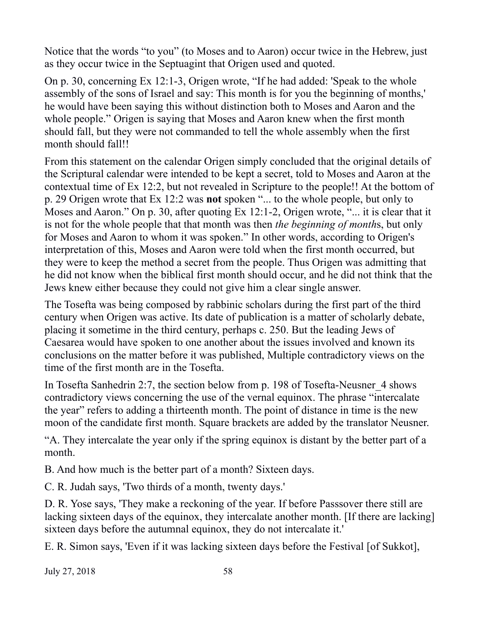Notice that the words "to you" (to Moses and to Aaron) occur twice in the Hebrew, just as they occur twice in the Septuagint that Origen used and quoted.

On p. 30, concerning Ex 12:1-3, Origen wrote, "If he had added: 'Speak to the whole assembly of the sons of Israel and say: This month is for you the beginning of months,' he would have been saying this without distinction both to Moses and Aaron and the whole people." Origen is saying that Moses and Aaron knew when the first month should fall, but they were not commanded to tell the whole assembly when the first month should fall!!

From this statement on the calendar Origen simply concluded that the original details of the Scriptural calendar were intended to be kept a secret, told to Moses and Aaron at the contextual time of Ex 12:2, but not revealed in Scripture to the people!! At the bottom of p. 29 Origen wrote that Ex 12:2 was **not** spoken "... to the whole people, but only to Moses and Aaron." On p. 30, after quoting Ex 12:1-2, Origen wrote, "... it is clear that it is not for the whole people that that month was then *the beginning of month*s, but only for Moses and Aaron to whom it was spoken." In other words, according to Origen's interpretation of this, Moses and Aaron were told when the first month occurred, but they were to keep the method a secret from the people. Thus Origen was admitting that he did not know when the biblical first month should occur, and he did not think that the Jews knew either because they could not give him a clear single answer.

The Tosefta was being composed by rabbinic scholars during the first part of the third century when Origen was active. Its date of publication is a matter of scholarly debate, placing it sometime in the third century, perhaps c. 250. But the leading Jews of Caesarea would have spoken to one another about the issues involved and known its conclusions on the matter before it was published, Multiple contradictory views on the time of the first month are in the Tosefta.

In Tosefta Sanhedrin 2:7, the section below from p. 198 of Tosefta-Neusner\_4 shows contradictory views concerning the use of the vernal equinox. The phrase "intercalate the year" refers to adding a thirteenth month. The point of distance in time is the new moon of the candidate first month. Square brackets are added by the translator Neusner.

"A. They intercalate the year only if the spring equinox is distant by the better part of a month.

B. And how much is the better part of a month? Sixteen days.

C. R. Judah says, 'Two thirds of a month, twenty days.'

D. R. Yose says, 'They make a reckoning of the year. If before Passsover there still are lacking sixteen days of the equinox, they intercalate another month. [If there are lacking] sixteen days before the autumnal equinox, they do not intercalate it.'

E. R. Simon says, 'Even if it was lacking sixteen days before the Festival [of Sukkot],

July 27, 2018 58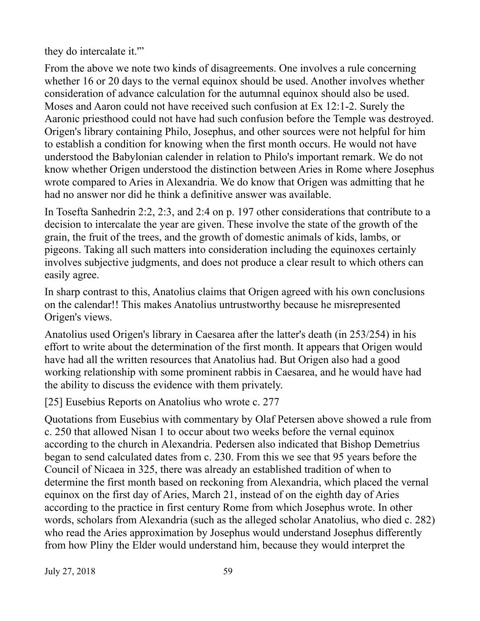they do intercalate it.'"

From the above we note two kinds of disagreements. One involves a rule concerning whether 16 or 20 days to the vernal equinox should be used. Another involves whether consideration of advance calculation for the autumnal equinox should also be used. Moses and Aaron could not have received such confusion at Ex 12:1-2. Surely the Aaronic priesthood could not have had such confusion before the Temple was destroyed. Origen's library containing Philo, Josephus, and other sources were not helpful for him to establish a condition for knowing when the first month occurs. He would not have understood the Babylonian calender in relation to Philo's important remark. We do not know whether Origen understood the distinction between Aries in Rome where Josephus wrote compared to Aries in Alexandria. We do know that Origen was admitting that he had no answer nor did he think a definitive answer was available.

In Tosefta Sanhedrin 2:2, 2:3, and 2:4 on p. 197 other considerations that contribute to a decision to intercalate the year are given. These involve the state of the growth of the grain, the fruit of the trees, and the growth of domestic animals of kids, lambs, or pigeons. Taking all such matters into consideration including the equinoxes certainly involves subjective judgments, and does not produce a clear result to which others can easily agree.

In sharp contrast to this, Anatolius claims that Origen agreed with his own conclusions on the calendar!! This makes Anatolius untrustworthy because he misrepresented Origen's views.

Anatolius used Origen's library in Caesarea after the latter's death (in 253/254) in his effort to write about the determination of the first month. It appears that Origen would have had all the written resources that Anatolius had. But Origen also had a good working relationship with some prominent rabbis in Caesarea, and he would have had the ability to discuss the evidence with them privately.

[25] Eusebius Reports on Anatolius who wrote c. 277

Quotations from Eusebius with commentary by Olaf Petersen above showed a rule from c. 250 that allowed Nisan 1 to occur about two weeks before the vernal equinox according to the church in Alexandria. Pedersen also indicated that Bishop Demetrius began to send calculated dates from c. 230. From this we see that 95 years before the Council of Nicaea in 325, there was already an established tradition of when to determine the first month based on reckoning from Alexandria, which placed the vernal equinox on the first day of Aries, March 21, instead of on the eighth day of Aries according to the practice in first century Rome from which Josephus wrote. In other words, scholars from Alexandria (such as the alleged scholar Anatolius, who died c. 282) who read the Aries approximation by Josephus would understand Josephus differently from how Pliny the Elder would understand him, because they would interpret the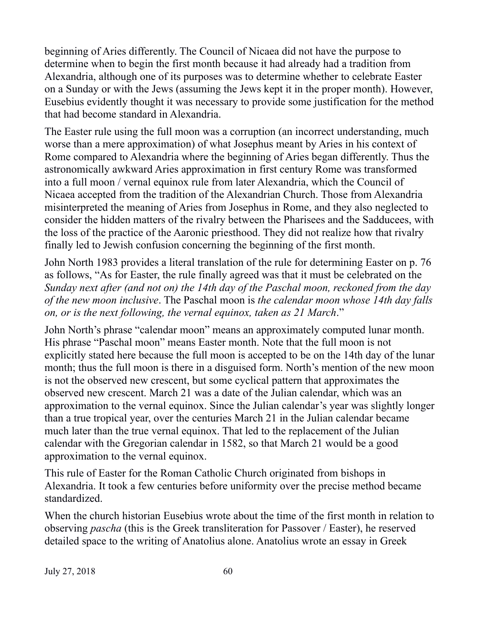beginning of Aries differently. The Council of Nicaea did not have the purpose to determine when to begin the first month because it had already had a tradition from Alexandria, although one of its purposes was to determine whether to celebrate Easter on a Sunday or with the Jews (assuming the Jews kept it in the proper month). However, Eusebius evidently thought it was necessary to provide some justification for the method that had become standard in Alexandria.

The Easter rule using the full moon was a corruption (an incorrect understanding, much worse than a mere approximation) of what Josephus meant by Aries in his context of Rome compared to Alexandria where the beginning of Aries began differently. Thus the astronomically awkward Aries approximation in first century Rome was transformed into a full moon / vernal equinox rule from later Alexandria, which the Council of Nicaea accepted from the tradition of the Alexandrian Church. Those from Alexandria misinterpreted the meaning of Aries from Josephus in Rome, and they also neglected to consider the hidden matters of the rivalry between the Pharisees and the Sadducees, with the loss of the practice of the Aaronic priesthood. They did not realize how that rivalry finally led to Jewish confusion concerning the beginning of the first month.

John North 1983 provides a literal translation of the rule for determining Easter on p. 76 as follows, "As for Easter, the rule finally agreed was that it must be celebrated on the *Sunday next after (and not on) the 14th day of the Paschal moon, reckoned from the day of the new moon inclusive*. The Paschal moon is *the calendar moon whose 14th day falls on, or is the next following, the vernal equinox, taken as 21 March*."

John North's phrase "calendar moon" means an approximately computed lunar month. His phrase "Paschal moon" means Easter month. Note that the full moon is not explicitly stated here because the full moon is accepted to be on the 14th day of the lunar month; thus the full moon is there in a disguised form. North's mention of the new moon is not the observed new crescent, but some cyclical pattern that approximates the observed new crescent. March 21 was a date of the Julian calendar, which was an approximation to the vernal equinox. Since the Julian calendar's year was slightly longer than a true tropical year, over the centuries March 21 in the Julian calendar became much later than the true vernal equinox. That led to the replacement of the Julian calendar with the Gregorian calendar in 1582, so that March 21 would be a good approximation to the vernal equinox.

This rule of Easter for the Roman Catholic Church originated from bishops in Alexandria. It took a few centuries before uniformity over the precise method became standardized.

When the church historian Eusebius wrote about the time of the first month in relation to observing *pascha* (this is the Greek transliteration for Passover / Easter), he reserved detailed space to the writing of Anatolius alone. Anatolius wrote an essay in Greek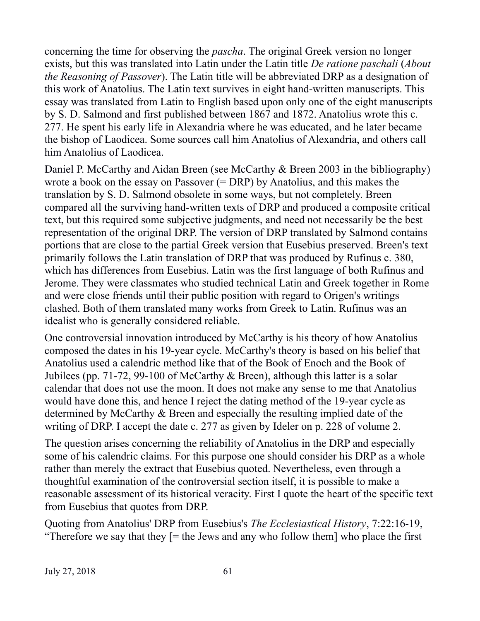concerning the time for observing the *pascha*. The original Greek version no longer exists, but this was translated into Latin under the Latin title *De ratione paschali* (*About the Reasoning of Passover*). The Latin title will be abbreviated DRP as a designation of this work of Anatolius. The Latin text survives in eight hand-written manuscripts. This essay was translated from Latin to English based upon only one of the eight manuscripts by S. D. Salmond and first published between 1867 and 1872. Anatolius wrote this c. 277. He spent his early life in Alexandria where he was educated, and he later became the bishop of Laodicea. Some sources call him Anatolius of Alexandria, and others call him Anatolius of Laodicea.

Daniel P. McCarthy and Aidan Breen (see McCarthy & Breen 2003 in the bibliography) wrote a book on the essay on Passover (= DRP) by Anatolius, and this makes the translation by S. D. Salmond obsolete in some ways, but not completely. Breen compared all the surviving hand-written texts of DRP and produced a composite critical text, but this required some subjective judgments, and need not necessarily be the best representation of the original DRP. The version of DRP translated by Salmond contains portions that are close to the partial Greek version that Eusebius preserved. Breen's text primarily follows the Latin translation of DRP that was produced by Rufinus c. 380, which has differences from Eusebius. Latin was the first language of both Rufinus and Jerome. They were classmates who studied technical Latin and Greek together in Rome and were close friends until their public position with regard to Origen's writings clashed. Both of them translated many works from Greek to Latin. Rufinus was an idealist who is generally considered reliable.

One controversial innovation introduced by McCarthy is his theory of how Anatolius composed the dates in his 19-year cycle. McCarthy's theory is based on his belief that Anatolius used a calendric method like that of the Book of Enoch and the Book of Jubilees (pp. 71-72, 99-100 of McCarthy & Breen), although this latter is a solar calendar that does not use the moon. It does not make any sense to me that Anatolius would have done this, and hence I reject the dating method of the 19-year cycle as determined by McCarthy & Breen and especially the resulting implied date of the writing of DRP. I accept the date c. 277 as given by Ideler on p. 228 of volume 2.

The question arises concerning the reliability of Anatolius in the DRP and especially some of his calendric claims. For this purpose one should consider his DRP as a whole rather than merely the extract that Eusebius quoted. Nevertheless, even through a thoughtful examination of the controversial section itself, it is possible to make a reasonable assessment of its historical veracity. First I quote the heart of the specific text from Eusebius that quotes from DRP.

Quoting from Anatolius' DRP from Eusebius's *The Ecclesiastical History*, 7:22:16-19, "Therefore we say that they  $=$  the Jews and any who follow them who place the first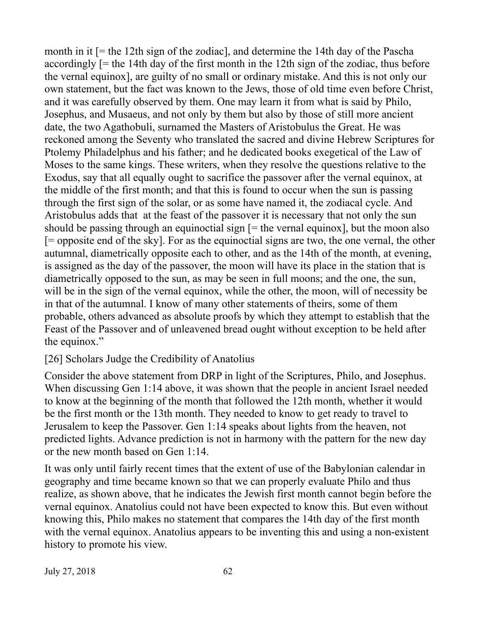month in it [= the 12th sign of the zodiac], and determine the 14th day of the Pascha accordingly [= the 14th day of the first month in the 12th sign of the zodiac, thus before the vernal equinox], are guilty of no small or ordinary mistake. And this is not only our own statement, but the fact was known to the Jews, those of old time even before Christ, and it was carefully observed by them. One may learn it from what is said by Philo, Josephus, and Musaeus, and not only by them but also by those of still more ancient date, the two Agathobuli, surnamed the Masters of Aristobulus the Great. He was reckoned among the Seventy who translated the sacred and divine Hebrew Scriptures for Ptolemy Philadelphus and his father; and he dedicated books exegetical of the Law of Moses to the same kings. These writers, when they resolve the questions relative to the Exodus, say that all equally ought to sacrifice the passover after the vernal equinox, at the middle of the first month; and that this is found to occur when the sun is passing through the first sign of the solar, or as some have named it, the zodiacal cycle. And Aristobulus adds that at the feast of the passover it is necessary that not only the sun should be passing through an equinoctial sign  $[=$  the vernal equinox], but the moon also [= opposite end of the sky]. For as the equinoctial signs are two, the one vernal, the other autumnal, diametrically opposite each to other, and as the 14th of the month, at evening, is assigned as the day of the passover, the moon will have its place in the station that is diametrically opposed to the sun, as may be seen in full moons; and the one, the sun, will be in the sign of the vernal equinox, while the other, the moon, will of necessity be in that of the autumnal. I know of many other statements of theirs, some of them probable, others advanced as absolute proofs by which they attempt to establish that the Feast of the Passover and of unleavened bread ought without exception to be held after the equinox."

## [26] Scholars Judge the Credibility of Anatolius

Consider the above statement from DRP in light of the Scriptures, Philo, and Josephus. When discussing Gen 1:14 above, it was shown that the people in ancient Israel needed to know at the beginning of the month that followed the 12th month, whether it would be the first month or the 13th month. They needed to know to get ready to travel to Jerusalem to keep the Passover. Gen 1:14 speaks about lights from the heaven, not predicted lights. Advance prediction is not in harmony with the pattern for the new day or the new month based on Gen 1:14.

It was only until fairly recent times that the extent of use of the Babylonian calendar in geography and time became known so that we can properly evaluate Philo and thus realize, as shown above, that he indicates the Jewish first month cannot begin before the vernal equinox. Anatolius could not have been expected to know this. But even without knowing this, Philo makes no statement that compares the 14th day of the first month with the vernal equinox. Anatolius appears to be inventing this and using a non-existent history to promote his view.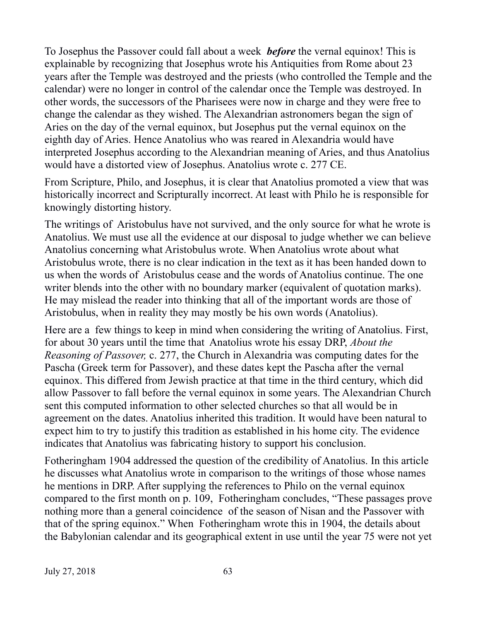To Josephus the Passover could fall about a week *before* the vernal equinox! This is explainable by recognizing that Josephus wrote his Antiquities from Rome about 23 years after the Temple was destroyed and the priests (who controlled the Temple and the calendar) were no longer in control of the calendar once the Temple was destroyed. In other words, the successors of the Pharisees were now in charge and they were free to change the calendar as they wished. The Alexandrian astronomers began the sign of Aries on the day of the vernal equinox, but Josephus put the vernal equinox on the eighth day of Aries. Hence Anatolius who was reared in Alexandria would have interpreted Josephus according to the Alexandrian meaning of Aries, and thus Anatolius would have a distorted view of Josephus. Anatolius wrote c. 277 CE.

From Scripture, Philo, and Josephus, it is clear that Anatolius promoted a view that was historically incorrect and Scripturally incorrect. At least with Philo he is responsible for knowingly distorting history.

The writings of Aristobulus have not survived, and the only source for what he wrote is Anatolius. We must use all the evidence at our disposal to judge whether we can believe Anatolius concerning what Aristobulus wrote. When Anatolius wrote about what Aristobulus wrote, there is no clear indication in the text as it has been handed down to us when the words of Aristobulus cease and the words of Anatolius continue. The one writer blends into the other with no boundary marker (equivalent of quotation marks). He may mislead the reader into thinking that all of the important words are those of Aristobulus, when in reality they may mostly be his own words (Anatolius).

Here are a few things to keep in mind when considering the writing of Anatolius. First, for about 30 years until the time that Anatolius wrote his essay DRP, *About the Reasoning of Passover,* c. 277, the Church in Alexandria was computing dates for the Pascha (Greek term for Passover), and these dates kept the Pascha after the vernal equinox. This differed from Jewish practice at that time in the third century, which did allow Passover to fall before the vernal equinox in some years. The Alexandrian Church sent this computed information to other selected churches so that all would be in agreement on the dates. Anatolius inherited this tradition. It would have been natural to expect him to try to justify this tradition as established in his home city. The evidence indicates that Anatolius was fabricating history to support his conclusion.

Fotheringham 1904 addressed the question of the credibility of Anatolius. In this article he discusses what Anatolius wrote in comparison to the writings of those whose names he mentions in DRP. After supplying the references to Philo on the vernal equinox compared to the first month on p. 109, Fotheringham concludes, "These passages prove nothing more than a general coincidence of the season of Nisan and the Passover with that of the spring equinox." When Fotheringham wrote this in 1904, the details about the Babylonian calendar and its geographical extent in use until the year 75 were not yet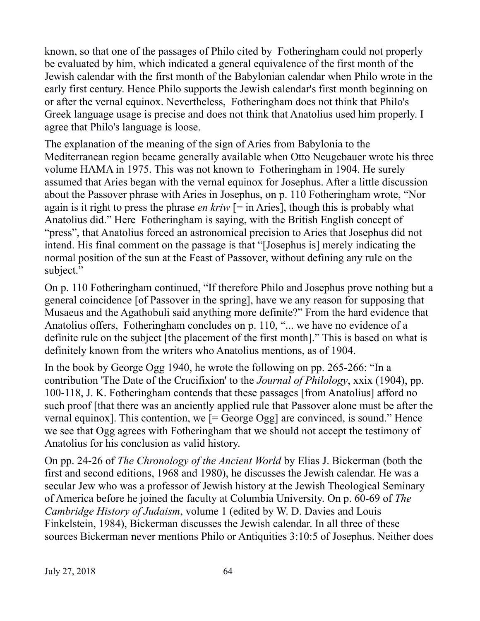known, so that one of the passages of Philo cited by Fotheringham could not properly be evaluated by him, which indicated a general equivalence of the first month of the Jewish calendar with the first month of the Babylonian calendar when Philo wrote in the early first century. Hence Philo supports the Jewish calendar's first month beginning on or after the vernal equinox. Nevertheless, Fotheringham does not think that Philo's Greek language usage is precise and does not think that Anatolius used him properly. I agree that Philo's language is loose.

The explanation of the meaning of the sign of Aries from Babylonia to the Mediterranean region became generally available when Otto Neugebauer wrote his three volume HAMA in 1975. This was not known to Fotheringham in 1904. He surely assumed that Aries began with the vernal equinox for Josephus. After a little discussion about the Passover phrase with Aries in Josephus, on p. 110 Fotheringham wrote, "Nor again is it right to press the phrase *en kriw* [= in Aries], though this is probably what Anatolius did." Here Fotheringham is saying, with the British English concept of "press", that Anatolius forced an astronomical precision to Aries that Josephus did not intend. His final comment on the passage is that "[Josephus is] merely indicating the normal position of the sun at the Feast of Passover, without defining any rule on the subject."

On p. 110 Fotheringham continued, "If therefore Philo and Josephus prove nothing but a general coincidence [of Passover in the spring], have we any reason for supposing that Musaeus and the Agathobuli said anything more definite?" From the hard evidence that Anatolius offers, Fotheringham concludes on p. 110, "... we have no evidence of a definite rule on the subject [the placement of the first month]." This is based on what is definitely known from the writers who Anatolius mentions, as of 1904.

In the book by George Ogg 1940, he wrote the following on pp. 265-266: "In a contribution 'The Date of the Crucifixion' to the *Journal of Philology*, xxix (1904), pp. 100-118, J. K. Fotheringham contends that these passages [from Anatolius] afford no such proof [that there was an anciently applied rule that Passover alone must be after the vernal equinox]. This contention, we [= George Ogg] are convinced, is sound." Hence we see that Ogg agrees with Fotheringham that we should not accept the testimony of Anatolius for his conclusion as valid history.

On pp. 24-26 of *The Chronology of the Ancient World* by Elias J. Bickerman (both the first and second editions, 1968 and 1980), he discusses the Jewish calendar. He was a secular Jew who was a professor of Jewish history at the Jewish Theological Seminary of America before he joined the faculty at Columbia University. On p. 60-69 of *The Cambridge History of Judaism*, volume 1 (edited by W. D. Davies and Louis Finkelstein, 1984), Bickerman discusses the Jewish calendar. In all three of these sources Bickerman never mentions Philo or Antiquities 3:10:5 of Josephus. Neither does

July 27, 2018 64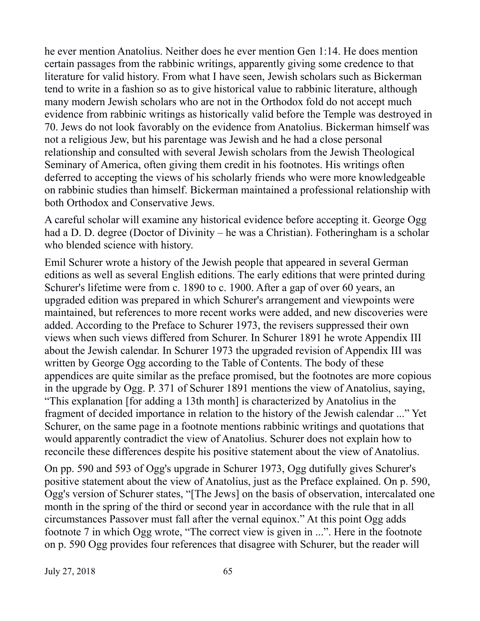he ever mention Anatolius. Neither does he ever mention Gen 1:14. He does mention certain passages from the rabbinic writings, apparently giving some credence to that literature for valid history. From what I have seen, Jewish scholars such as Bickerman tend to write in a fashion so as to give historical value to rabbinic literature, although many modern Jewish scholars who are not in the Orthodox fold do not accept much evidence from rabbinic writings as historically valid before the Temple was destroyed in 70. Jews do not look favorably on the evidence from Anatolius. Bickerman himself was not a religious Jew, but his parentage was Jewish and he had a close personal relationship and consulted with several Jewish scholars from the Jewish Theological Seminary of America, often giving them credit in his footnotes. His writings often deferred to accepting the views of his scholarly friends who were more knowledgeable on rabbinic studies than himself. Bickerman maintained a professional relationship with both Orthodox and Conservative Jews.

A careful scholar will examine any historical evidence before accepting it. George Ogg had a D. D. degree (Doctor of Divinity – he was a Christian). Fotheringham is a scholar who blended science with history.

Emil Schurer wrote a history of the Jewish people that appeared in several German editions as well as several English editions. The early editions that were printed during Schurer's lifetime were from c. 1890 to c. 1900. After a gap of over 60 years, an upgraded edition was prepared in which Schurer's arrangement and viewpoints were maintained, but references to more recent works were added, and new discoveries were added. According to the Preface to Schurer 1973, the revisers suppressed their own views when such views differed from Schurer. In Schurer 1891 he wrote Appendix III about the Jewish calendar. In Schurer 1973 the upgraded revision of Appendix III was written by George Ogg according to the Table of Contents. The body of these appendices are quite similar as the preface promised, but the footnotes are more copious in the upgrade by Ogg. P. 371 of Schurer 1891 mentions the view of Anatolius, saying, "This explanation [for adding a 13th month] is characterized by Anatolius in the fragment of decided importance in relation to the history of the Jewish calendar ..." Yet Schurer, on the same page in a footnote mentions rabbinic writings and quotations that would apparently contradict the view of Anatolius. Schurer does not explain how to reconcile these differences despite his positive statement about the view of Anatolius.

On pp. 590 and 593 of Ogg's upgrade in Schurer 1973, Ogg dutifully gives Schurer's positive statement about the view of Anatolius, just as the Preface explained. On p. 590, Ogg's version of Schurer states, "[The Jews] on the basis of observation, intercalated one month in the spring of the third or second year in accordance with the rule that in all circumstances Passover must fall after the vernal equinox." At this point Ogg adds footnote 7 in which Ogg wrote, "The correct view is given in ...". Here in the footnote on p. 590 Ogg provides four references that disagree with Schurer, but the reader will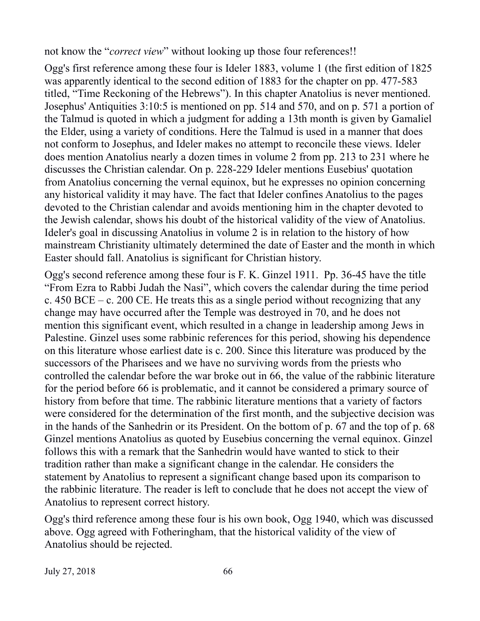not know the "*correct view*" without looking up those four references!!

Ogg's first reference among these four is Ideler 1883, volume 1 (the first edition of 1825 was apparently identical to the second edition of 1883 for the chapter on pp. 477-583 titled, "Time Reckoning of the Hebrews"). In this chapter Anatolius is never mentioned. Josephus' Antiquities 3:10:5 is mentioned on pp. 514 and 570, and on p. 571 a portion of the Talmud is quoted in which a judgment for adding a 13th month is given by Gamaliel the Elder, using a variety of conditions. Here the Talmud is used in a manner that does not conform to Josephus, and Ideler makes no attempt to reconcile these views. Ideler does mention Anatolius nearly a dozen times in volume 2 from pp. 213 to 231 where he discusses the Christian calendar. On p. 228-229 Ideler mentions Eusebius' quotation from Anatolius concerning the vernal equinox, but he expresses no opinion concerning any historical validity it may have. The fact that Ideler confines Anatolius to the pages devoted to the Christian calendar and avoids mentioning him in the chapter devoted to the Jewish calendar, shows his doubt of the historical validity of the view of Anatolius. Ideler's goal in discussing Anatolius in volume 2 is in relation to the history of how mainstream Christianity ultimately determined the date of Easter and the month in which Easter should fall. Anatolius is significant for Christian history.

Ogg's second reference among these four is F. K. Ginzel 1911. Pp. 36-45 have the title "From Ezra to Rabbi Judah the Nasi", which covers the calendar during the time period c.  $450$  BCE – c.  $200$  CE. He treats this as a single period without recognizing that any change may have occurred after the Temple was destroyed in 70, and he does not mention this significant event, which resulted in a change in leadership among Jews in Palestine. Ginzel uses some rabbinic references for this period, showing his dependence on this literature whose earliest date is c. 200. Since this literature was produced by the successors of the Pharisees and we have no surviving words from the priests who controlled the calendar before the war broke out in 66, the value of the rabbinic literature for the period before 66 is problematic, and it cannot be considered a primary source of history from before that time. The rabbinic literature mentions that a variety of factors were considered for the determination of the first month, and the subjective decision was in the hands of the Sanhedrin or its President. On the bottom of p. 67 and the top of p. 68 Ginzel mentions Anatolius as quoted by Eusebius concerning the vernal equinox. Ginzel follows this with a remark that the Sanhedrin would have wanted to stick to their tradition rather than make a significant change in the calendar. He considers the statement by Anatolius to represent a significant change based upon its comparison to the rabbinic literature. The reader is left to conclude that he does not accept the view of Anatolius to represent correct history.

Ogg's third reference among these four is his own book, Ogg 1940, which was discussed above. Ogg agreed with Fotheringham, that the historical validity of the view of Anatolius should be rejected.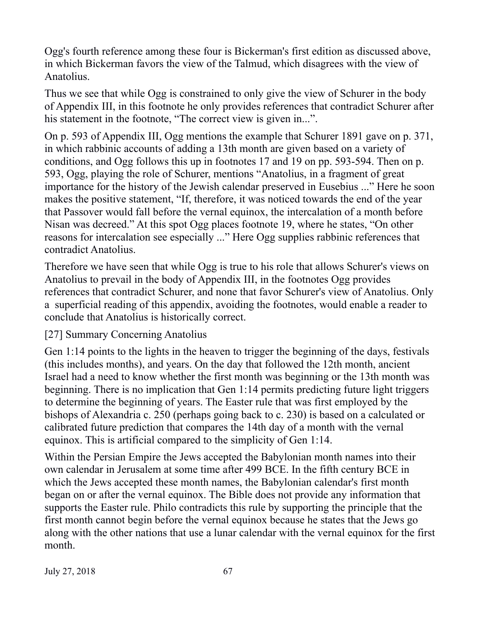Ogg's fourth reference among these four is Bickerman's first edition as discussed above, in which Bickerman favors the view of the Talmud, which disagrees with the view of Anatolius.

Thus we see that while Ogg is constrained to only give the view of Schurer in the body of Appendix III, in this footnote he only provides references that contradict Schurer after his statement in the footnote, "The correct view is given in...".

On p. 593 of Appendix III, Ogg mentions the example that Schurer 1891 gave on p. 371, in which rabbinic accounts of adding a 13th month are given based on a variety of conditions, and Ogg follows this up in footnotes 17 and 19 on pp. 593-594. Then on p. 593, Ogg, playing the role of Schurer, mentions "Anatolius, in a fragment of great importance for the history of the Jewish calendar preserved in Eusebius ..." Here he soon makes the positive statement, "If, therefore, it was noticed towards the end of the year that Passover would fall before the vernal equinox, the intercalation of a month before Nisan was decreed." At this spot Ogg places footnote 19, where he states, "On other reasons for intercalation see especially ..." Here Ogg supplies rabbinic references that contradict Anatolius.

Therefore we have seen that while Ogg is true to his role that allows Schurer's views on Anatolius to prevail in the body of Appendix III, in the footnotes Ogg provides references that contradict Schurer, and none that favor Schurer's view of Anatolius. Only a superficial reading of this appendix, avoiding the footnotes, would enable a reader to conclude that Anatolius is historically correct.

## [27] Summary Concerning Anatolius

Gen 1:14 points to the lights in the heaven to trigger the beginning of the days, festivals (this includes months), and years. On the day that followed the 12th month, ancient Israel had a need to know whether the first month was beginning or the 13th month was beginning. There is no implication that Gen 1:14 permits predicting future light triggers to determine the beginning of years. The Easter rule that was first employed by the bishops of Alexandria c. 250 (perhaps going back to c. 230) is based on a calculated or calibrated future prediction that compares the 14th day of a month with the vernal equinox. This is artificial compared to the simplicity of Gen 1:14.

Within the Persian Empire the Jews accepted the Babylonian month names into their own calendar in Jerusalem at some time after 499 BCE. In the fifth century BCE in which the Jews accepted these month names, the Babylonian calendar's first month began on or after the vernal equinox. The Bible does not provide any information that supports the Easter rule. Philo contradicts this rule by supporting the principle that the first month cannot begin before the vernal equinox because he states that the Jews go along with the other nations that use a lunar calendar with the vernal equinox for the first month.

July 27, 2018 67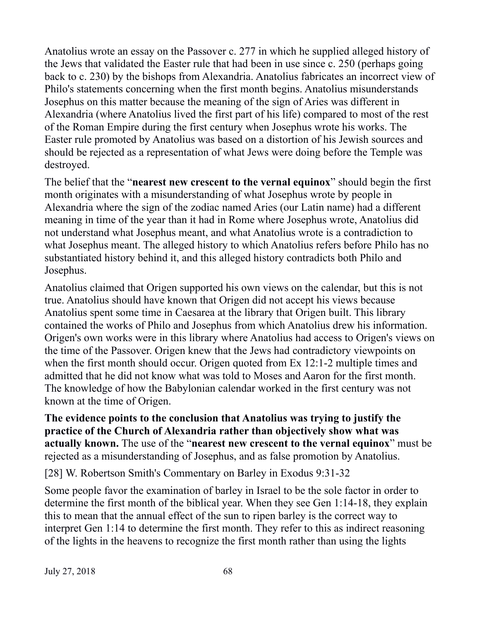Anatolius wrote an essay on the Passover c. 277 in which he supplied alleged history of the Jews that validated the Easter rule that had been in use since c. 250 (perhaps going back to c. 230) by the bishops from Alexandria. Anatolius fabricates an incorrect view of Philo's statements concerning when the first month begins. Anatolius misunderstands Josephus on this matter because the meaning of the sign of Aries was different in Alexandria (where Anatolius lived the first part of his life) compared to most of the rest of the Roman Empire during the first century when Josephus wrote his works. The Easter rule promoted by Anatolius was based on a distortion of his Jewish sources and should be rejected as a representation of what Jews were doing before the Temple was destroyed.

The belief that the "**nearest new crescent to the vernal equinox**" should begin the first month originates with a misunderstanding of what Josephus wrote by people in Alexandria where the sign of the zodiac named Aries (our Latin name) had a different meaning in time of the year than it had in Rome where Josephus wrote, Anatolius did not understand what Josephus meant, and what Anatolius wrote is a contradiction to what Josephus meant. The alleged history to which Anatolius refers before Philo has no substantiated history behind it, and this alleged history contradicts both Philo and Josephus.

Anatolius claimed that Origen supported his own views on the calendar, but this is not true. Anatolius should have known that Origen did not accept his views because Anatolius spent some time in Caesarea at the library that Origen built. This library contained the works of Philo and Josephus from which Anatolius drew his information. Origen's own works were in this library where Anatolius had access to Origen's views on the time of the Passover. Origen knew that the Jews had contradictory viewpoints on when the first month should occur. Origen quoted from Ex 12:1-2 multiple times and admitted that he did not know what was told to Moses and Aaron for the first month. The knowledge of how the Babylonian calendar worked in the first century was not known at the time of Origen.

**The evidence points to the conclusion that Anatolius was trying to justify the practice of the Church of Alexandria rather than objectively show what was actually known.** The use of the "**nearest new crescent to the vernal equinox**" must be rejected as a misunderstanding of Josephus, and as false promotion by Anatolius.

[28] W. Robertson Smith's Commentary on Barley in Exodus 9:31-32

Some people favor the examination of barley in Israel to be the sole factor in order to determine the first month of the biblical year. When they see Gen 1:14-18, they explain this to mean that the annual effect of the sun to ripen barley is the correct way to interpret Gen 1:14 to determine the first month. They refer to this as indirect reasoning of the lights in the heavens to recognize the first month rather than using the lights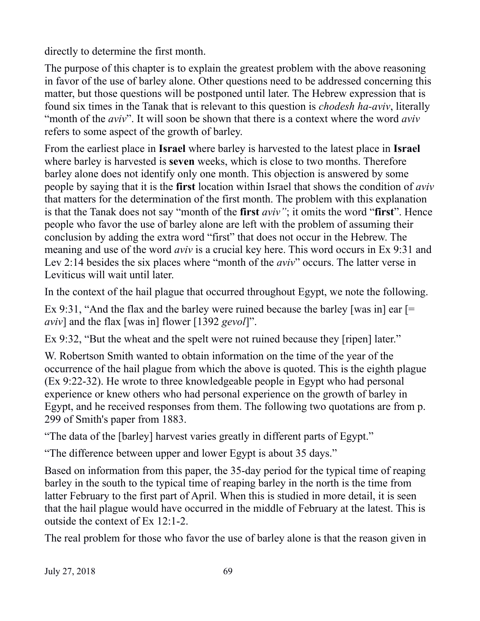directly to determine the first month.

The purpose of this chapter is to explain the greatest problem with the above reasoning in favor of the use of barley alone. Other questions need to be addressed concerning this matter, but those questions will be postponed until later. The Hebrew expression that is found six times in the Tanak that is relevant to this question is *chodesh ha-aviv*, literally "month of the *aviv*". It will soon be shown that there is a context where the word *aviv* refers to some aspect of the growth of barley.

From the earliest place in **Israel** where barley is harvested to the latest place in **Israel** where barley is harvested is **seven** weeks, which is close to two months. Therefore barley alone does not identify only one month. This objection is answered by some people by saying that it is the **first** location within Israel that shows the condition of *aviv* that matters for the determination of the first month. The problem with this explanation is that the Tanak does not say "month of the **first** *aviv"*; it omits the word "**first**". Hence people who favor the use of barley alone are left with the problem of assuming their conclusion by adding the extra word "first" that does not occur in the Hebrew. The meaning and use of the word *aviv* is a crucial key here. This word occurs in Ex 9:31 and Lev 2:14 besides the six places where "month of the *aviv*" occurs. The latter verse in Leviticus will wait until later.

In the context of the hail plague that occurred throughout Egypt, we note the following.

Ex 9:31, "And the flax and the barley were ruined because the barley [was in] ear [= *aviv*] and the flax [was in] flower [1392 *gevol*]".

Ex 9:32, "But the wheat and the spelt were not ruined because they [ripen] later."

W. Robertson Smith wanted to obtain information on the time of the year of the occurrence of the hail plague from which the above is quoted. This is the eighth plague (Ex 9:22-32). He wrote to three knowledgeable people in Egypt who had personal experience or knew others who had personal experience on the growth of barley in Egypt, and he received responses from them. The following two quotations are from p. 299 of Smith's paper from 1883.

"The data of the [barley] harvest varies greatly in different parts of Egypt."

"The difference between upper and lower Egypt is about 35 days."

Based on information from this paper, the 35-day period for the typical time of reaping barley in the south to the typical time of reaping barley in the north is the time from latter February to the first part of April. When this is studied in more detail, it is seen that the hail plague would have occurred in the middle of February at the latest. This is outside the context of Ex 12:1-2.

The real problem for those who favor the use of barley alone is that the reason given in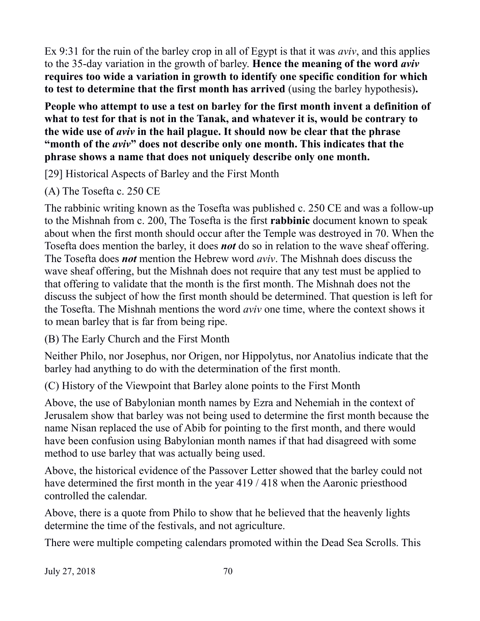Ex 9:31 for the ruin of the barley crop in all of Egypt is that it was *aviv*, and this applies to the 35-day variation in the growth of barley. **Hence the meaning of the word** *aviv* **requires too wide a variation in growth to identify one specific condition for which to test to determine that the first month has arrived** (using the barley hypothesis)**.**

**People who attempt to use a test on barley for the first month invent a definition of what to test for that is not in the Tanak, and whatever it is, would be contrary to the wide use of** *aviv* **in the hail plague. It should now be clear that the phrase "month of the** *aviv***" does not describe only one month. This indicates that the phrase shows a name that does not uniquely describe only one month.**

[29] Historical Aspects of Barley and the First Month

(A) The Tosefta c. 250 CE

The rabbinic writing known as the Tosefta was published c. 250 CE and was a follow-up to the Mishnah from c. 200, The Tosefta is the first **rabbinic** document known to speak about when the first month should occur after the Temple was destroyed in 70. When the Tosefta does mention the barley, it does *not* do so in relation to the wave sheaf offering. The Tosefta does *not* mention the Hebrew word *aviv*. The Mishnah does discuss the wave sheaf offering, but the Mishnah does not require that any test must be applied to that offering to validate that the month is the first month. The Mishnah does not the discuss the subject of how the first month should be determined. That question is left for the Tosefta. The Mishnah mentions the word *aviv* one time, where the context shows it to mean barley that is far from being ripe.

(B) The Early Church and the First Month

Neither Philo, nor Josephus, nor Origen, nor Hippolytus, nor Anatolius indicate that the barley had anything to do with the determination of the first month.

(C) History of the Viewpoint that Barley alone points to the First Month

Above, the use of Babylonian month names by Ezra and Nehemiah in the context of Jerusalem show that barley was not being used to determine the first month because the name Nisan replaced the use of Abib for pointing to the first month, and there would have been confusion using Babylonian month names if that had disagreed with some method to use barley that was actually being used.

Above, the historical evidence of the Passover Letter showed that the barley could not have determined the first month in the year 419 / 418 when the Aaronic priesthood controlled the calendar.

Above, there is a quote from Philo to show that he believed that the heavenly lights determine the time of the festivals, and not agriculture.

There were multiple competing calendars promoted within the Dead Sea Scrolls. This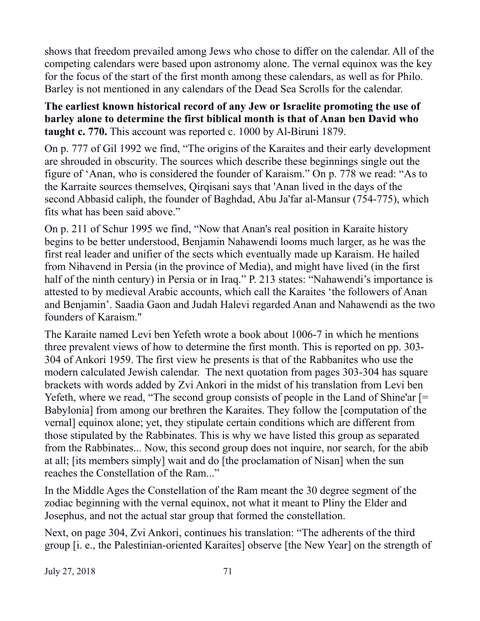shows that freedom prevailed among Jews who chose to differ on the calendar. All of the competing calendars were based upon astronomy alone. The vernal equinox was the key for the focus of the start of the first month among these calendars, as well as for Philo. Barley is not mentioned in any calendars of the Dead Sea Scrolls for the calendar.

**The earliest known historical record of any Jew or Israelite promoting the use of barley alone to determine the first biblical month is that of Anan ben David who taught c. 770.** This account was reported c. 1000 by Al-Biruni 1879.

On p. 777 of Gil 1992 we find, "The origins of the Karaites and their early development are shrouded in obscurity. The sources which describe these beginnings single out the figure of 'Anan, who is considered the founder of Karaism." On p. 778 we read: "As to the Karraite sources themselves, Qirqisani says that 'Anan lived in the days of the second Abbasid caliph, the founder of Baghdad, Abu Ja'far al-Mansur (754-775), which fits what has been said above."

On p. 211 of Schur 1995 we find, "Now that Anan's real position in Karaite history begins to be better understood, Benjamin Nahawendi looms much larger, as he was the first real leader and unifier of the sects which eventually made up Karaism. He hailed from Nihavend in Persia (in the province of Media), and might have lived (in the first half of the ninth century) in Persia or in Iraq." P. 213 states: "Nahawendi's importance is attested to by medieval Arabic accounts, which call the Karaites 'the followers of Anan and Benjamin'. Saadia Gaon and Judah Halevi regarded Anan and Nahawendi as the two founders of Karaism."

The Karaite named Levi ben Yefeth wrote a book about 1006-7 in which he mentions three prevalent views of how to determine the first month. This is reported on pp. 303- 304 of Ankori 1959. The first view he presents is that of the Rabbanites who use the modern calculated Jewish calendar. The next quotation from pages 303-304 has square brackets with words added by Zvi Ankori in the midst of his translation from Levi ben Yefeth, where we read, "The second group consists of people in the Land of Shine'ar [= Babylonia] from among our brethren the Karaites. They follow the [computation of the vernal] equinox alone; yet, they stipulate certain conditions which are different from those stipulated by the Rabbinates. This is why we have listed this group as separated from the Rabbinates... Now, this second group does not inquire, nor search, for the abib at all; [its members simply] wait and do [the proclamation of Nisan] when the sun reaches the Constellation of the Ram..."

In the Middle Ages the Constellation of the Ram meant the 30 degree segment of the zodiac beginning with the vernal equinox, not what it meant to Pliny the Elder and Josephus, and not the actual star group that formed the constellation.

Next, on page 304, Zvi Ankori, continues his translation: "The adherents of the third group [i. e., the Palestinian-oriented Karaites] observe [the New Year] on the strength of

July 27, 2018 71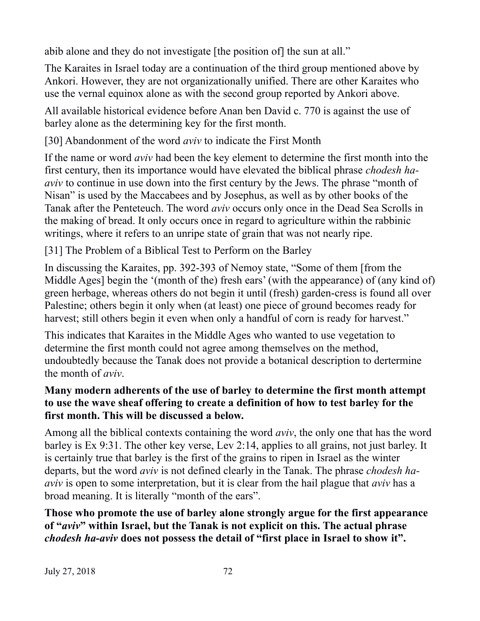abib alone and they do not investigate [the position of] the sun at all."

The Karaites in Israel today are a continuation of the third group mentioned above by Ankori. However, they are not organizationally unified. There are other Karaites who use the vernal equinox alone as with the second group reported by Ankori above.

All available historical evidence before Anan ben David c. 770 is against the use of barley alone as the determining key for the first month.

[30] Abandonment of the word *aviv* to indicate the First Month

If the name or word *aviv* had been the key element to determine the first month into the first century, then its importance would have elevated the biblical phrase *chodesh haaviv* to continue in use down into the first century by the Jews. The phrase "month of Nisan" is used by the Maccabees and by Josephus, as well as by other books of the Tanak after the Penteteuch. The word *aviv* occurs only once in the Dead Sea Scrolls in the making of bread. It only occurs once in regard to agriculture within the rabbinic writings, where it refers to an unripe state of grain that was not nearly ripe.

[31] The Problem of a Biblical Test to Perform on the Barley

In discussing the Karaites, pp. 392-393 of Nemoy state, "Some of them [from the Middle Ages] begin the '(month of the) fresh ears' (with the appearance) of (any kind of) green herbage, whereas others do not begin it until (fresh) garden-cress is found all over Palestine; others begin it only when (at least) one piece of ground becomes ready for harvest; still others begin it even when only a handful of corn is ready for harvest."

This indicates that Karaites in the Middle Ages who wanted to use vegetation to determine the first month could not agree among themselves on the method, undoubtedly because the Tanak does not provide a botanical description to dertermine the month of *aviv*.

## **Many modern adherents of the use of barley to determine the first month attempt to use the wave sheaf offering to create a definition of how to test barley for the first month. This will be discussed a below.**

Among all the biblical contexts containing the word *aviv*, the only one that has the word barley is Ex 9:31. The other key verse, Lev 2:14, applies to all grains, not just barley. It is certainly true that barley is the first of the grains to ripen in Israel as the winter departs, but the word *aviv* is not defined clearly in the Tanak. The phrase *chodesh haaviv* is open to some interpretation, but it is clear from the hail plague that *aviv* has a broad meaning. It is literally "month of the ears".

**Those who promote the use of barley alone strongly argue for the first appearance of "***aviv***" within Israel, but the Tanak is not explicit on this. The actual phrase**  *chodesh ha-aviv* **does not possess the detail of "first place in Israel to show it".**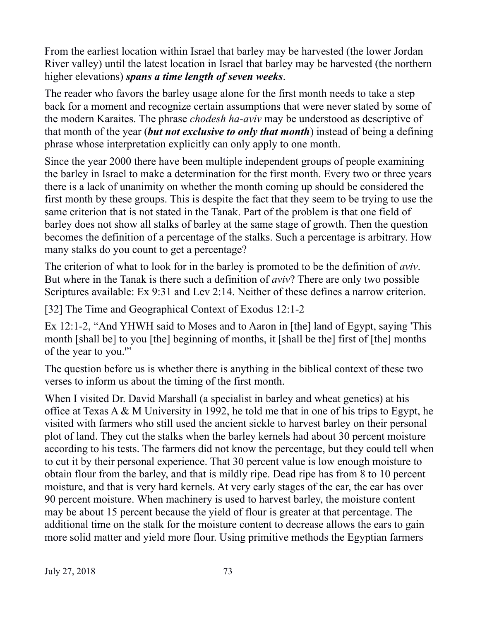From the earliest location within Israel that barley may be harvested (the lower Jordan River valley) until the latest location in Israel that barley may be harvested (the northern higher elevations) *spans a time length of seven weeks*.

The reader who favors the barley usage alone for the first month needs to take a step back for a moment and recognize certain assumptions that were never stated by some of the modern Karaites. The phrase *chodesh ha-aviv* may be understood as descriptive of that month of the year (*but not exclusive to only that month*) instead of being a defining phrase whose interpretation explicitly can only apply to one month.

Since the year 2000 there have been multiple independent groups of people examining the barley in Israel to make a determination for the first month. Every two or three years there is a lack of unanimity on whether the month coming up should be considered the first month by these groups. This is despite the fact that they seem to be trying to use the same criterion that is not stated in the Tanak. Part of the problem is that one field of barley does not show all stalks of barley at the same stage of growth. Then the question becomes the definition of a percentage of the stalks. Such a percentage is arbitrary. How many stalks do you count to get a percentage?

The criterion of what to look for in the barley is promoted to be the definition of *aviv*. But where in the Tanak is there such a definition of *aviv*? There are only two possible Scriptures available: Ex 9:31 and Lev 2:14. Neither of these defines a narrow criterion.

[32] The Time and Geographical Context of Exodus 12:1-2

Ex 12:1-2, "And YHWH said to Moses and to Aaron in [the] land of Egypt, saying 'This month [shall be] to you [the] beginning of months, it [shall be the] first of [the] months of the year to you.'"

The question before us is whether there is anything in the biblical context of these two verses to inform us about the timing of the first month.

When I visited Dr. David Marshall (a specialist in barley and wheat genetics) at his office at Texas A & M University in 1992, he told me that in one of his trips to Egypt, he visited with farmers who still used the ancient sickle to harvest barley on their personal plot of land. They cut the stalks when the barley kernels had about 30 percent moisture according to his tests. The farmers did not know the percentage, but they could tell when to cut it by their personal experience. That 30 percent value is low enough moisture to obtain flour from the barley, and that is mildly ripe. Dead ripe has from 8 to 10 percent moisture, and that is very hard kernels. At very early stages of the ear, the ear has over 90 percent moisture. When machinery is used to harvest barley, the moisture content may be about 15 percent because the yield of flour is greater at that percentage. The additional time on the stalk for the moisture content to decrease allows the ears to gain more solid matter and yield more flour. Using primitive methods the Egyptian farmers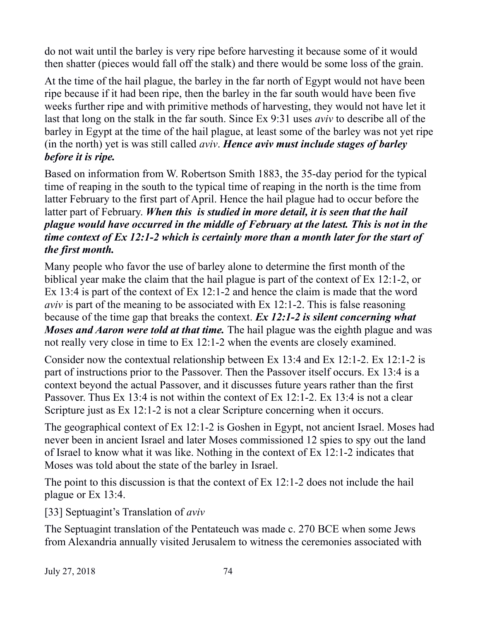do not wait until the barley is very ripe before harvesting it because some of it would then shatter (pieces would fall off the stalk) and there would be some loss of the grain.

At the time of the hail plague, the barley in the far north of Egypt would not have been ripe because if it had been ripe, then the barley in the far south would have been five weeks further ripe and with primitive methods of harvesting, they would not have let it last that long on the stalk in the far south. Since Ex 9:31 uses *aviv* to describe all of the barley in Egypt at the time of the hail plague, at least some of the barley was not yet ripe (in the north) yet is was still called *aviv*. *Hence aviv must include stages of barley before it is ripe.*

Based on information from W. Robertson Smith 1883, the 35-day period for the typical time of reaping in the south to the typical time of reaping in the north is the time from latter February to the first part of April. Hence the hail plague had to occur before the latter part of February. *When this is studied in more detail, it is seen that the hail plague would have occurred in the middle of February at the latest. This is not in the time context of Ex 12:1-2 which is certainly more than a month later for the start of the first month.*

Many people who favor the use of barley alone to determine the first month of the biblical year make the claim that the hail plague is part of the context of Ex 12:1-2, or Ex 13:4 is part of the context of Ex 12:1-2 and hence the claim is made that the word *aviv* is part of the meaning to be associated with Ex 12:1-2. This is false reasoning because of the time gap that breaks the context. *Ex 12:1-2 is silent concerning what Moses and Aaron were told at that time.* The hail plague was the eighth plague and was not really very close in time to Ex 12:1-2 when the events are closely examined.

Consider now the contextual relationship between Ex 13:4 and Ex 12:1-2. Ex 12:1-2 is part of instructions prior to the Passover. Then the Passover itself occurs. Ex 13:4 is a context beyond the actual Passover, and it discusses future years rather than the first Passover. Thus Ex 13:4 is not within the context of Ex 12:1-2. Ex 13:4 is not a clear Scripture just as Ex 12:1-2 is not a clear Scripture concerning when it occurs.

The geographical context of Ex 12:1-2 is Goshen in Egypt, not ancient Israel. Moses had never been in ancient Israel and later Moses commissioned 12 spies to spy out the land of Israel to know what it was like. Nothing in the context of Ex 12:1-2 indicates that Moses was told about the state of the barley in Israel.

The point to this discussion is that the context of Ex 12:1-2 does not include the hail plague or Ex 13:4.

[33] Septuagint's Translation of *aviv*

The Septuagint translation of the Pentateuch was made c. 270 BCE when some Jews from Alexandria annually visited Jerusalem to witness the ceremonies associated with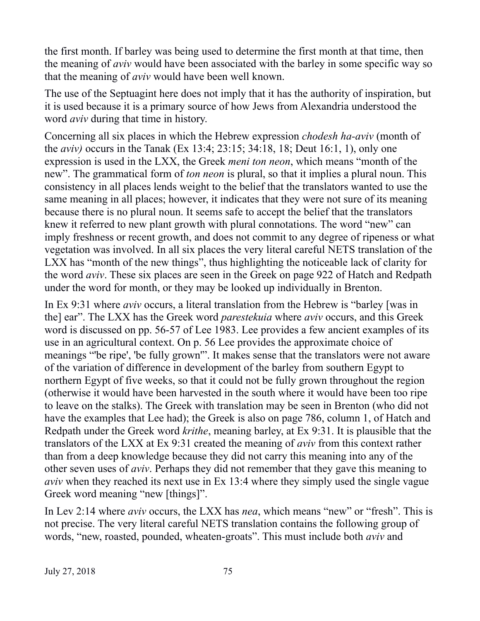the first month. If barley was being used to determine the first month at that time, then the meaning of *aviv* would have been associated with the barley in some specific way so that the meaning of *aviv* would have been well known.

The use of the Septuagint here does not imply that it has the authority of inspiration, but it is used because it is a primary source of how Jews from Alexandria understood the word *aviv* during that time in history.

Concerning all six places in which the Hebrew expression *chodesh ha-aviv* (month of the *aviv)* occurs in the Tanak (Ex 13:4; 23:15; 34:18, 18; Deut 16:1, 1), only one expression is used in the LXX, the Greek *meni ton neon*, which means "month of the new". The grammatical form of *ton neon* is plural, so that it implies a plural noun. This consistency in all places lends weight to the belief that the translators wanted to use the same meaning in all places; however, it indicates that they were not sure of its meaning because there is no plural noun. It seems safe to accept the belief that the translators knew it referred to new plant growth with plural connotations. The word "new" can imply freshness or recent growth, and does not commit to any degree of ripeness or what vegetation was involved. In all six places the very literal careful NETS translation of the LXX has "month of the new things", thus highlighting the noticeable lack of clarity for the word *aviv*. These six places are seen in the Greek on page 922 of Hatch and Redpath under the word for month, or they may be looked up individually in Brenton.

In Ex 9:31 where *aviv* occurs, a literal translation from the Hebrew is "barley [was in the] ear". The LXX has the Greek word *parestekuia* where *aviv* occurs, and this Greek word is discussed on pp. 56-57 of Lee 1983. Lee provides a few ancient examples of its use in an agricultural context. On p. 56 Lee provides the approximate choice of meanings "'be ripe', 'be fully grown'". It makes sense that the translators were not aware of the variation of difference in development of the barley from southern Egypt to northern Egypt of five weeks, so that it could not be fully grown throughout the region (otherwise it would have been harvested in the south where it would have been too ripe to leave on the stalks). The Greek with translation may be seen in Brenton (who did not have the examples that Lee had); the Greek is also on page 786, column 1, of Hatch and Redpath under the Greek word *krithe*, meaning barley, at Ex 9:31. It is plausible that the translators of the LXX at Ex 9:31 created the meaning of *aviv* from this context rather than from a deep knowledge because they did not carry this meaning into any of the other seven uses of *aviv*. Perhaps they did not remember that they gave this meaning to *aviv* when they reached its next use in Ex 13:4 where they simply used the single vague Greek word meaning "new [things]".

In Lev 2:14 where *aviv* occurs, the LXX has *nea*, which means "new" or "fresh". This is not precise. The very literal careful NETS translation contains the following group of words, "new, roasted, pounded, wheaten-groats". This must include both *aviv* and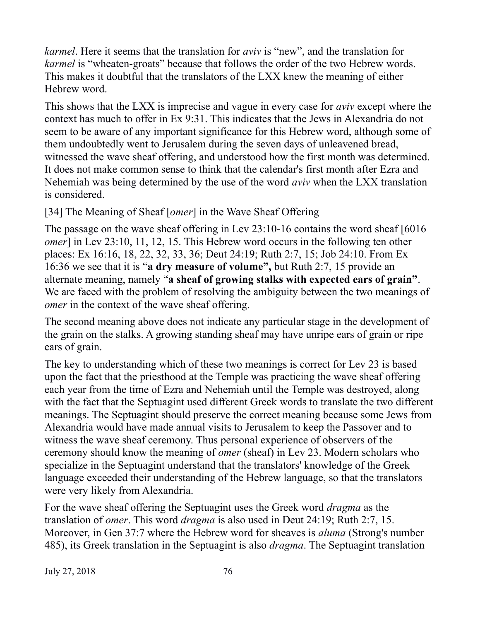*karmel*. Here it seems that the translation for *aviv* is "new", and the translation for *karmel* is "wheaten-groats" because that follows the order of the two Hebrew words. This makes it doubtful that the translators of the LXX knew the meaning of either Hebrew word.

This shows that the LXX is imprecise and vague in every case for *aviv* except where the context has much to offer in Ex 9:31. This indicates that the Jews in Alexandria do not seem to be aware of any important significance for this Hebrew word, although some of them undoubtedly went to Jerusalem during the seven days of unleavened bread, witnessed the wave sheaf offering, and understood how the first month was determined. It does not make common sense to think that the calendar's first month after Ezra and Nehemiah was being determined by the use of the word *aviv* when the LXX translation is considered.

[34] The Meaning of Sheaf [*omer*] in the Wave Sheaf Offering

The passage on the wave sheaf offering in Lev 23:10-16 contains the word sheaf [6016 *omer*] in Lev 23:10, 11, 12, 15. This Hebrew word occurs in the following ten other places: Ex 16:16, 18, 22, 32, 33, 36; Deut 24:19; Ruth 2:7, 15; Job 24:10. From Ex 16:36 we see that it is "**a dry measure of volume",** but Ruth 2:7, 15 provide an alternate meaning, namely "**a sheaf of growing stalks with expected ears of grain"**. We are faced with the problem of resolving the ambiguity between the two meanings of *omer* in the context of the wave sheaf offering.

The second meaning above does not indicate any particular stage in the development of the grain on the stalks. A growing standing sheaf may have unripe ears of grain or ripe ears of grain.

The key to understanding which of these two meanings is correct for Lev 23 is based upon the fact that the priesthood at the Temple was practicing the wave sheaf offering each year from the time of Ezra and Nehemiah until the Temple was destroyed, along with the fact that the Septuagint used different Greek words to translate the two different meanings. The Septuagint should preserve the correct meaning because some Jews from Alexandria would have made annual visits to Jerusalem to keep the Passover and to witness the wave sheaf ceremony. Thus personal experience of observers of the ceremony should know the meaning of *omer* (sheaf) in Lev 23. Modern scholars who specialize in the Septuagint understand that the translators' knowledge of the Greek language exceeded their understanding of the Hebrew language, so that the translators were very likely from Alexandria.

For the wave sheaf offering the Septuagint uses the Greek word *dragma* as the translation of *omer*. This word *dragma* is also used in Deut 24:19; Ruth 2:7, 15. Moreover, in Gen 37:7 where the Hebrew word for sheaves is *aluma* (Strong's number 485), its Greek translation in the Septuagint is also *dragma*. The Septuagint translation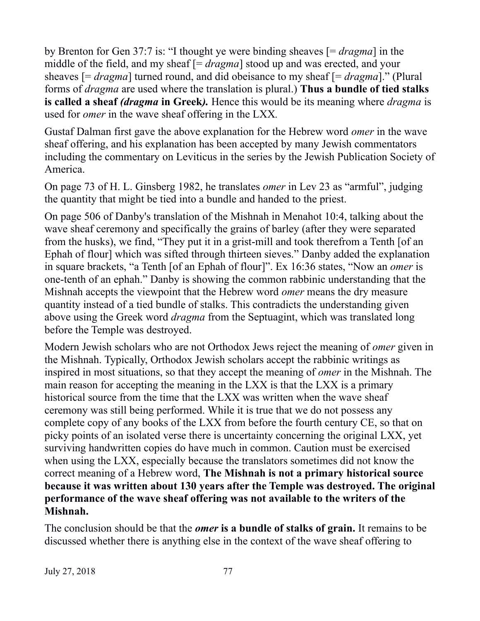by Brenton for Gen 37:7 is: "I thought ye were binding sheaves [= *dragma*] in the middle of the field, and my sheaf [= *dragma*] stood up and was erected, and your sheaves [= *dragma*] turned round, and did obeisance to my sheaf [= *dragma*]." (Plural forms of *dragma* are used where the translation is plural.) **Thus a bundle of tied stalks is called a sheaf** *(dragma* **in Greek***).* Hence this would be its meaning where *dragma* is used for *omer* in the wave sheaf offering in the LXX*.*

Gustaf Dalman first gave the above explanation for the Hebrew word *omer* in the wave sheaf offering, and his explanation has been accepted by many Jewish commentators including the commentary on Leviticus in the series by the Jewish Publication Society of America.

On page 73 of H. L. Ginsberg 1982, he translates *omer* in Lev 23 as "armful", judging the quantity that might be tied into a bundle and handed to the priest.

On page 506 of Danby's translation of the Mishnah in Menahot 10:4, talking about the wave sheaf ceremony and specifically the grains of barley (after they were separated from the husks), we find, "They put it in a grist-mill and took therefrom a Tenth [of an Ephah of flour] which was sifted through thirteen sieves." Danby added the explanation in square brackets, "a Tenth [of an Ephah of flour]". Ex 16:36 states, "Now an *omer* is one-tenth of an ephah." Danby is showing the common rabbinic understanding that the Mishnah accepts the viewpoint that the Hebrew word *omer* means the dry measure quantity instead of a tied bundle of stalks. This contradicts the understanding given above using the Greek word *dragma* from the Septuagint, which was translated long before the Temple was destroyed.

Modern Jewish scholars who are not Orthodox Jews reject the meaning of *omer* given in the Mishnah. Typically, Orthodox Jewish scholars accept the rabbinic writings as inspired in most situations, so that they accept the meaning of *omer* in the Mishnah. The main reason for accepting the meaning in the LXX is that the LXX is a primary historical source from the time that the LXX was written when the wave sheaf ceremony was still being performed. While it is true that we do not possess any complete copy of any books of the LXX from before the fourth century CE, so that on picky points of an isolated verse there is uncertainty concerning the original LXX, yet surviving handwritten copies do have much in common. Caution must be exercised when using the LXX, especially because the translators sometimes did not know the correct meaning of a Hebrew word, **The Mishnah is not a primary historical source because it was written about 130 years after the Temple was destroyed. The original performance of the wave sheaf offering was not available to the writers of the Mishnah.**

The conclusion should be that the *omer* **is a bundle of stalks of grain.** It remains to be discussed whether there is anything else in the context of the wave sheaf offering to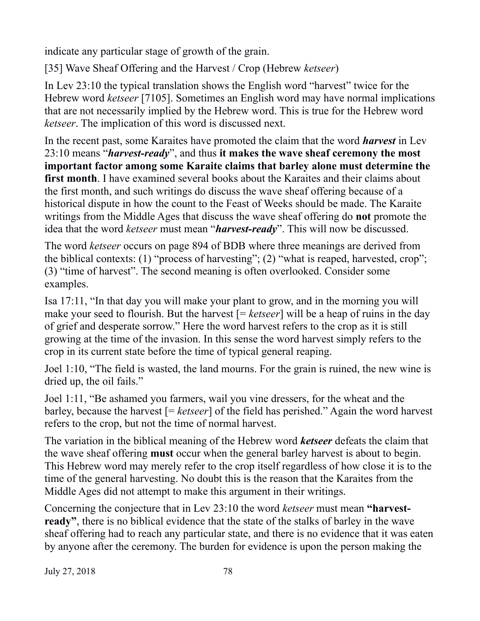indicate any particular stage of growth of the grain.

[35] Wave Sheaf Offering and the Harvest / Crop (Hebrew *ketseer*)

In Lev 23:10 the typical translation shows the English word "harvest" twice for the Hebrew word *ketseer* [7105]. Sometimes an English word may have normal implications that are not necessarily implied by the Hebrew word. This is true for the Hebrew word *ketseer*. The implication of this word is discussed next.

In the recent past, some Karaites have promoted the claim that the word *harvest* in Lev 23:10 means "*harvest-ready*", and thus **it makes the wave sheaf ceremony the most important factor among some Karaite claims that barley alone must determine the first month**. I have examined several books about the Karaites and their claims about the first month, and such writings do discuss the wave sheaf offering because of a historical dispute in how the count to the Feast of Weeks should be made. The Karaite writings from the Middle Ages that discuss the wave sheaf offering do **not** promote the idea that the word *ketseer* must mean "*harvest-ready*". This will now be discussed.

The word *ketseer* occurs on page 894 of BDB where three meanings are derived from the biblical contexts: (1) "process of harvesting"; (2) "what is reaped, harvested, crop"; (3) "time of harvest". The second meaning is often overlooked. Consider some examples.

Isa 17:11, "In that day you will make your plant to grow, and in the morning you will make your seed to flourish. But the harvest [= *ketseer*] will be a heap of ruins in the day of grief and desperate sorrow." Here the word harvest refers to the crop as it is still growing at the time of the invasion. In this sense the word harvest simply refers to the crop in its current state before the time of typical general reaping.

Joel 1:10, "The field is wasted, the land mourns. For the grain is ruined, the new wine is dried up, the oil fails."

Joel 1:11, "Be ashamed you farmers, wail you vine dressers, for the wheat and the barley, because the harvest [= *ketseer*] of the field has perished." Again the word harvest refers to the crop, but not the time of normal harvest.

The variation in the biblical meaning of the Hebrew word *ketseer* defeats the claim that the wave sheaf offering **must** occur when the general barley harvest is about to begin. This Hebrew word may merely refer to the crop itself regardless of how close it is to the time of the general harvesting. No doubt this is the reason that the Karaites from the Middle Ages did not attempt to make this argument in their writings.

Concerning the conjecture that in Lev 23:10 the word *ketseer* must mean **"harvestready"**, there is no biblical evidence that the state of the stalks of barley in the wave sheaf offering had to reach any particular state, and there is no evidence that it was eaten by anyone after the ceremony. The burden for evidence is upon the person making the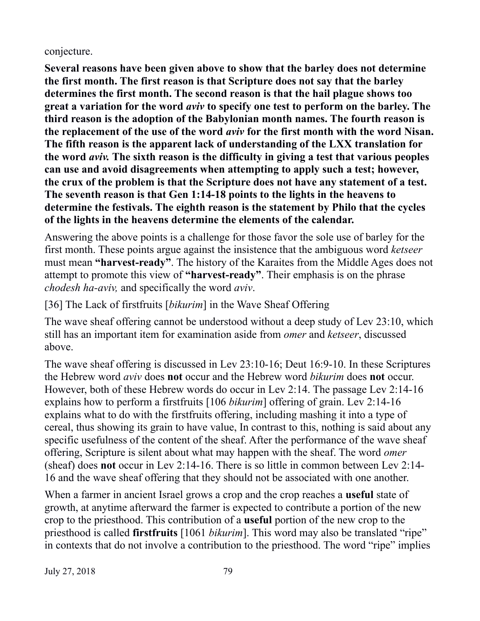conjecture.

**Several reasons have been given above to show that the barley does not determine the first month. The first reason is that Scripture does not say that the barley determines the first month. The second reason is that the hail plague shows too great a variation for the word** *aviv* **to specify one test to perform on the barley. The third reason is the adoption of the Babylonian month names. The fourth reason is the replacement of the use of the word** *aviv* **for the first month with the word Nisan. The fifth reason is the apparent lack of understanding of the LXX translation for the word** *aviv.* **The sixth reason is the difficulty in giving a test that various peoples can use and avoid disagreements when attempting to apply such a test; however, the crux of the problem is that the Scripture does not have any statement of a test. The seventh reason is that Gen 1:14-18 points to the lights in the heavens to determine the festivals. The eighth reason is the statement by Philo that the cycles of the lights in the heavens determine the elements of the calendar.**

Answering the above points is a challenge for those favor the sole use of barley for the first month. These points argue against the insistence that the ambiguous word *ketseer* must mean **"harvest-ready"**. The history of the Karaites from the Middle Ages does not attempt to promote this view of **"harvest-ready"**. Their emphasis is on the phrase *chodesh ha-aviv,* and specifically the word *aviv*.

[36] The Lack of firstfruits [*bikurim*] in the Wave Sheaf Offering

The wave sheaf offering cannot be understood without a deep study of Lev 23:10, which still has an important item for examination aside from *omer* and *ketseer*, discussed above.

The wave sheaf offering is discussed in Lev 23:10-16; Deut 16:9-10. In these Scriptures the Hebrew word *aviv* does **not** occur and the Hebrew word *bikurim* does **not** occur. However, both of these Hebrew words do occur in Lev 2:14. The passage Lev 2:14-16 explains how to perform a firstfruits [106 *bikurim*] offering of grain. Lev 2:14-16 explains what to do with the firstfruits offering, including mashing it into a type of cereal, thus showing its grain to have value, In contrast to this, nothing is said about any specific usefulness of the content of the sheaf. After the performance of the wave sheaf offering, Scripture is silent about what may happen with the sheaf. The word *omer* (sheaf) does **not** occur in Lev 2:14-16. There is so little in common between Lev 2:14- 16 and the wave sheaf offering that they should not be associated with one another.

When a farmer in ancient Israel grows a crop and the crop reaches a **useful** state of growth, at anytime afterward the farmer is expected to contribute a portion of the new crop to the priesthood. This contribution of a **useful** portion of the new crop to the priesthood is called **firstfruits** [1061 *bikurim*]. This word may also be translated "ripe" in contexts that do not involve a contribution to the priesthood. The word "ripe" implies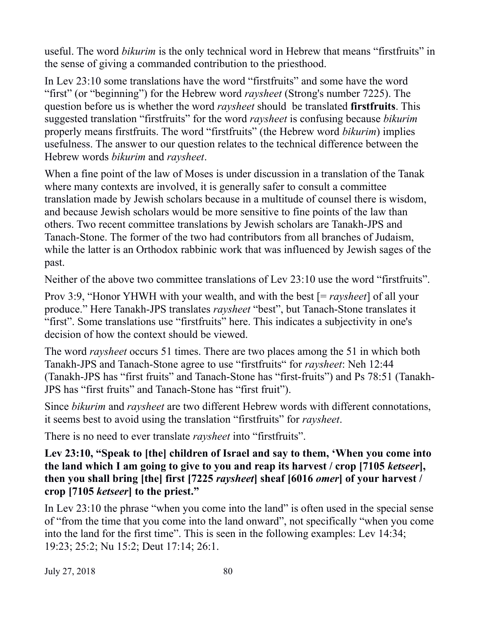useful. The word *bikurim* is the only technical word in Hebrew that means "firstfruits" in the sense of giving a commanded contribution to the priesthood.

In Lev 23:10 some translations have the word "firstfruits" and some have the word "first" (or "beginning") for the Hebrew word *raysheet* (Strong's number 7225). The question before us is whether the word *raysheet* should be translated **firstfruits**. This suggested translation "firstfruits" for the word *raysheet* is confusing because *bikurim* properly means firstfruits. The word "firstfruits" (the Hebrew word *bikurim*) implies usefulness. The answer to our question relates to the technical difference between the Hebrew words *bikurim* and *raysheet*.

When a fine point of the law of Moses is under discussion in a translation of the Tanak where many contexts are involved, it is generally safer to consult a committee translation made by Jewish scholars because in a multitude of counsel there is wisdom, and because Jewish scholars would be more sensitive to fine points of the law than others. Two recent committee translations by Jewish scholars are Tanakh-JPS and Tanach-Stone. The former of the two had contributors from all branches of Judaism, while the latter is an Orthodox rabbinic work that was influenced by Jewish sages of the past.

Neither of the above two committee translations of Lev 23:10 use the word "firstfruits".

Prov 3:9, "Honor YHWH with your wealth, and with the best [= *raysheet*] of all your produce." Here Tanakh-JPS translates *raysheet* "best", but Tanach-Stone translates it "first". Some translations use "firstfruits" here. This indicates a subjectivity in one's decision of how the context should be viewed.

The word *raysheet* occurs 51 times. There are two places among the 51 in which both Tanakh-JPS and Tanach-Stone agree to use "firstfruits" for *raysheet*: Neh 12:44 (Tanakh-JPS has "first fruits" and Tanach-Stone has "first-fruits") and Ps 78:51 (Tanakh-JPS has "first fruits" and Tanach-Stone has "first fruit").

Since *bikurim* and *raysheet* are two different Hebrew words with different connotations, it seems best to avoid using the translation "firstfruits" for *raysheet*.

There is no need to ever translate *raysheet* into "firstfruits".

**Lev 23:10, "Speak to [the] children of Israel and say to them, 'When you come into the land which I am going to give to you and reap its harvest / crop [7105** *ketseer***], then you shall bring [the] first [7225** *raysheet***] sheaf [6016** *omer***] of your harvest / crop [7105** *ketseer***] to the priest."**

In Lev 23:10 the phrase "when you come into the land" is often used in the special sense of "from the time that you come into the land onward", not specifically "when you come into the land for the first time". This is seen in the following examples: Lev 14:34; 19:23; 25:2; Nu 15:2; Deut 17:14; 26:1.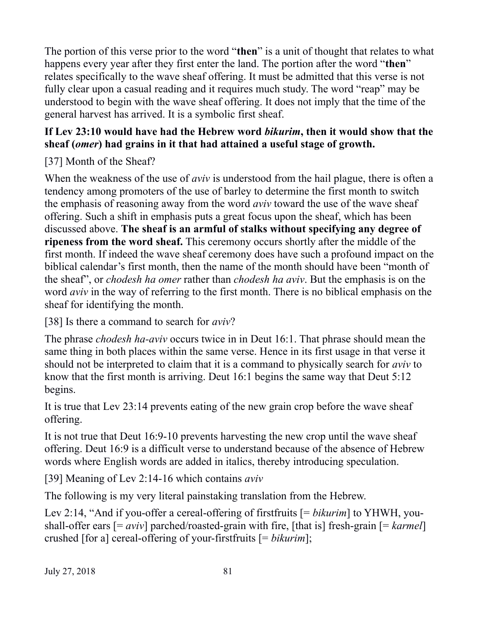The portion of this verse prior to the word "**then**" is a unit of thought that relates to what happens every year after they first enter the land. The portion after the word "**then**" relates specifically to the wave sheaf offering. It must be admitted that this verse is not fully clear upon a casual reading and it requires much study. The word "reap" may be understood to begin with the wave sheaf offering. It does not imply that the time of the general harvest has arrived. It is a symbolic first sheaf.

## **If Lev 23:10 would have had the Hebrew word** *bikurim***, then it would show that the sheaf (***omer***) had grains in it that had attained a useful stage of growth.**

[37] Month of the Sheaf?

When the weakness of the use of *aviv* is understood from the hail plague, there is often a tendency among promoters of the use of barley to determine the first month to switch the emphasis of reasoning away from the word *aviv* toward the use of the wave sheaf offering. Such a shift in emphasis puts a great focus upon the sheaf, which has been discussed above. **The sheaf is an armful of stalks without specifying any degree of ripeness from the word sheaf.** This ceremony occurs shortly after the middle of the first month. If indeed the wave sheaf ceremony does have such a profound impact on the biblical calendar's first month, then the name of the month should have been "month of the sheaf", or *chodesh ha omer* rather than *chodesh ha aviv*. But the emphasis is on the word *aviv* in the way of referring to the first month. There is no biblical emphasis on the sheaf for identifying the month.

[38] Is there a command to search for *aviv*?

The phrase *chodesh ha-aviv* occurs twice in in Deut 16:1. That phrase should mean the same thing in both places within the same verse. Hence in its first usage in that verse it should not be interpreted to claim that it is a command to physically search for *aviv* to know that the first month is arriving. Deut 16:1 begins the same way that Deut 5:12 begins.

It is true that Lev 23:14 prevents eating of the new grain crop before the wave sheaf offering.

It is not true that Deut 16:9-10 prevents harvesting the new crop until the wave sheaf offering. Deut 16:9 is a difficult verse to understand because of the absence of Hebrew words where English words are added in italics, thereby introducing speculation.

[39] Meaning of Lev 2:14-16 which contains *aviv*

The following is my very literal painstaking translation from the Hebrew.

Lev 2:14, "And if you-offer a cereal-offering of firstfruits [= *bikurim*] to YHWH, youshall-offer ears [= *aviv*] parched/roasted-grain with fire, [that is] fresh-grain [= *karmel*] crushed [for a] cereal-offering of your-firstfruits [= *bikurim*];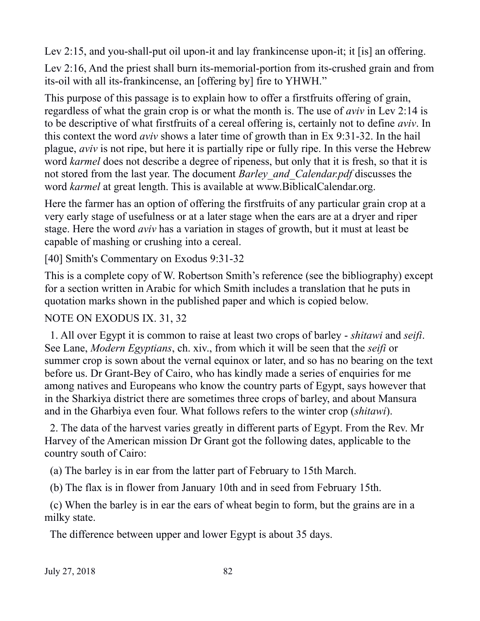Lev 2:15, and you-shall-put oil upon-it and lay frankincense upon-it; it [is] an offering.

Lev 2:16, And the priest shall burn its-memorial-portion from its-crushed grain and from its-oil with all its-frankincense, an [offering by] fire to YHWH."

This purpose of this passage is to explain how to offer a firstfruits offering of grain, regardless of what the grain crop is or what the month is. The use of *aviv* in Lev 2:14 is to be descriptive of what firstfruits of a cereal offering is, certainly not to define *aviv*. In this context the word *aviv* shows a later time of growth than in Ex 9:31-32. In the hail plague, *aviv* is not ripe, but here it is partially ripe or fully ripe. In this verse the Hebrew word *karmel* does not describe a degree of ripeness, but only that it is fresh, so that it is not stored from the last year. The document *Barley\_and\_Calendar.pdf* discusses the word *karmel* at great length. This is available at www.BiblicalCalendar.org.

Here the farmer has an option of offering the firstfruits of any particular grain crop at a very early stage of usefulness or at a later stage when the ears are at a dryer and riper stage. Here the word *aviv* has a variation in stages of growth, but it must at least be capable of mashing or crushing into a cereal.

[40] Smith's Commentary on Exodus 9:31-32

This is a complete copy of W. Robertson Smith's reference (see the bibliography) except for a section written in Arabic for which Smith includes a translation that he puts in quotation marks shown in the published paper and which is copied below.

## NOTE ON EXODUS IX. 31, 32

 1. All over Egypt it is common to raise at least two crops of barley - *shitawi* and *seifi*. See Lane, *Modern Egyptians*, ch. xiv., from which it will be seen that the *seifi* or summer crop is sown about the vernal equinox or later, and so has no bearing on the text before us. Dr Grant-Bey of Cairo, who has kindly made a series of enquiries for me among natives and Europeans who know the country parts of Egypt, says however that in the Sharkiya district there are sometimes three crops of barley, and about Mansura and in the Gharbiya even four. What follows refers to the winter crop (*shitawi*).

 2. The data of the harvest varies greatly in different parts of Egypt. From the Rev. Mr Harvey of the American mission Dr Grant got the following dates, applicable to the country south of Cairo:

(a) The barley is in ear from the latter part of February to 15th March.

(b) The flax is in flower from January 10th and in seed from February 15th.

 (c) When the barley is in ear the ears of wheat begin to form, but the grains are in a milky state.

The difference between upper and lower Egypt is about 35 days.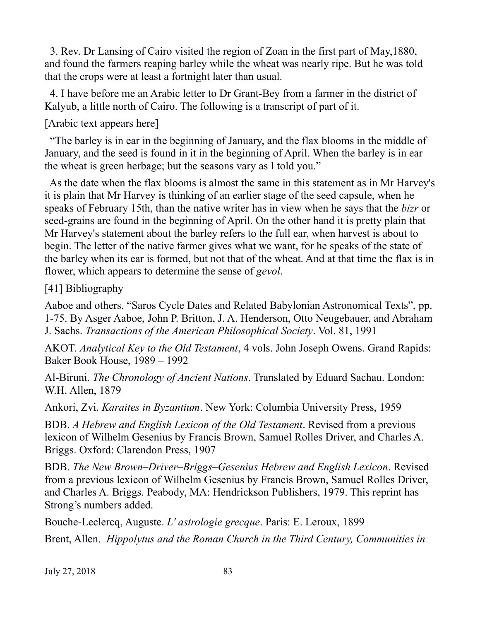3. Rev. Dr Lansing of Cairo visited the region of Zoan in the first part of May,1880, and found the farmers reaping barley while the wheat was nearly ripe. But he was told that the crops were at least a fortnight later than usual.

 4. I have before me an Arabic letter to Dr Grant-Bey from a farmer in the district of Kalyub, a little north of Cairo. The following is a transcript of part of it.

[Arabic text appears here]

 "The barley is in ear in the beginning of January, and the flax blooms in the middle of January, and the seed is found in it in the beginning of April. When the barley is in ear the wheat is green herbage; but the seasons vary as I told you."

 As the date when the flax blooms is almost the same in this statement as in Mr Harvey's it is plain that Mr Harvey is thinking of an earlier stage of the seed capsule, when he speaks of February 15th, than the native writer has in view when he says that the *bizr* or seed-grains are found in the beginning of April. On the other hand it is pretty plain that Mr Harvey's statement about the barley refers to the full ear, when harvest is about to begin. The letter of the native farmer gives what we want, for he speaks of the state of the barley when its ear is formed, but not that of the wheat. And at that time the flax is in flower, which appears to determine the sense of *gevol*.

[41] Bibliography

Aaboe and others. "Saros Cycle Dates and Related Babylonian Astronomical Texts", pp. 1-75. By Asger Aaboe, John P. Britton, J. A. Henderson, Otto Neugebauer, and Abraham J. Sachs. *Transactions of the American Philosophical Society*. Vol. 81, 1991

AKOT. *Analytical Key to the Old Testament*, 4 vols. John Joseph Owens. Grand Rapids: Baker Book House, 1989 – 1992

Al-Biruni. *The Chronology of Ancient Nations*. Translated by Eduard Sachau. London: W.H. Allen, 1879

Ankori, Zvi. *Karaites in Byzantium*. New York: Columbia University Press, 1959

BDB. *A Hebrew and English Lexicon of the Old Testament*. Revised from a previous lexicon of Wilhelm Gesenius by Francis Brown, Samuel Rolles Driver, and Charles A. Briggs. Oxford: Clarendon Press, 1907

BDB. *The New Brown–Driver–Briggs–Gesenius Hebrew and English Lexicon*. Revised from a previous lexicon of Wilhelm Gesenius by Francis Brown, Samuel Rolles Driver, and Charles A. Briggs. Peabody, MA: Hendrickson Publishers, 1979. This reprint has Strong's numbers added.

Bouche-Leclercq, Auguste. *L' astrologie grecque*. Paris: E. Leroux, 1899

Brent, Allen. *Hippolytus and the Roman Church in the Third Century, Communities in*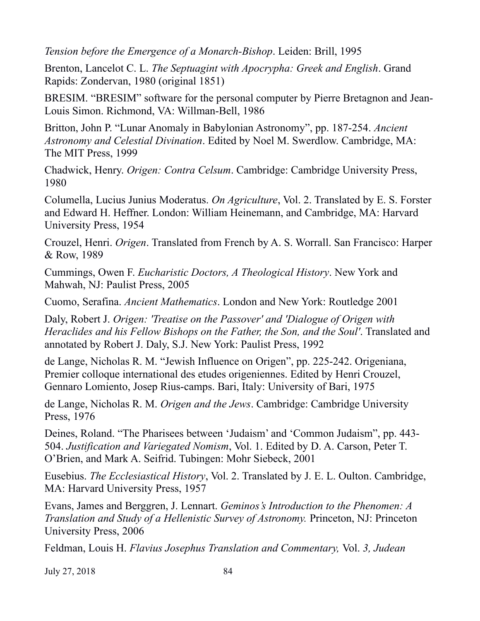*Tension before the Emergence of a Monarch-Bishop*. Leiden: Brill, 1995

Brenton, Lancelot C. L. *The Septuagint with Apocrypha: Greek and English*. Grand Rapids: Zondervan, 1980 (original 1851)

BRESIM. "BRESIM" software for the personal computer by Pierre Bretagnon and Jean-Louis Simon. Richmond, VA: Willman-Bell, 1986

Britton, John P. "Lunar Anomaly in Babylonian Astronomy", pp. 187-254. *Ancient Astronomy and Celestial Divination*. Edited by Noel M. Swerdlow. Cambridge, MA: The MIT Press, 1999

Chadwick, Henry. *Origen: Contra Celsum*. Cambridge: Cambridge University Press, 1980

Columella, Lucius Junius Moderatus. *On Agriculture*, Vol. 2. Translated by E. S. Forster and Edward H. Heffner. London: William Heinemann, and Cambridge, MA: Harvard University Press, 1954

Crouzel, Henri. *Origen*. Translated from French by A. S. Worrall. San Francisco: Harper & Row, 1989

Cummings, Owen F. *Eucharistic Doctors, A Theological History*. New York and Mahwah, NJ: Paulist Press, 2005

Cuomo, Serafina. *Ancient Mathematics*. London and New York: Routledge 2001

Daly, Robert J. *Origen: 'Treatise on the Passover' and 'Dialogue of Origen with Heraclides and his Fellow Bishops on the Father, the Son, and the Soul'*. Translated and annotated by Robert J. Daly, S.J. New York: Paulist Press, 1992

de Lange, Nicholas R. M. "Jewish Influence on Origen", pp. 225-242. Origeniana, Premier colloque international des etudes origeniennes. Edited by Henri Crouzel, Gennaro Lomiento, Josep Rius-camps. Bari, Italy: University of Bari, 1975

de Lange, Nicholas R. M. *Origen and the Jews*. Cambridge: Cambridge University Press, 1976

Deines, Roland. "The Pharisees between 'Judaism' and 'Common Judaism", pp. 443- 504. *Justification and Variegated Nomism*, Vol. 1. Edited by D. A. Carson, Peter T. O'Brien, and Mark A. Seifrid. Tubingen: Mohr Siebeck, 2001

Eusebius. *The Ecclesiastical History*, Vol. 2. Translated by J. E. L. Oulton. Cambridge, MA: Harvard University Press, 1957

Evans, James and Berggren, J. Lennart. *Geminos's Introduction to the Phenomen: A Translation and Study of a Hellenistic Survey of Astronomy.* Princeton, NJ: Princeton University Press, 2006

Feldman, Louis H. *Flavius Josephus Translation and Commentary,* Vol. *3, Judean*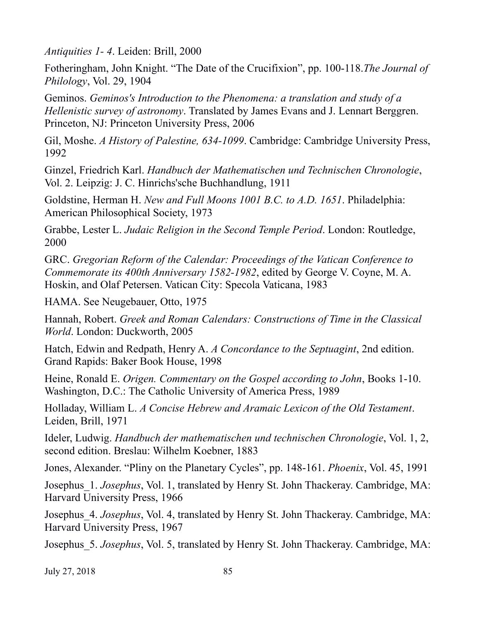*Antiquities 1- 4*. Leiden: Brill, 2000

Fotheringham, John Knight. "The Date of the Crucifixion", pp. 100-118.*The Journal of Philology*, Vol. 29, 1904

Geminos. *Geminos's Introduction to the Phenomena: a translation and study of a Hellenistic survey of astronomy*. Translated by James Evans and J. Lennart Berggren. Princeton, NJ: Princeton University Press, 2006

Gil, Moshe. *A History of Palestine, 634-1099*. Cambridge: Cambridge University Press, 1992

Ginzel, Friedrich Karl. *Handbuch der Mathematischen und Technischen Chronologie*, Vol. 2. Leipzig: J. C. Hinrichs'sche Buchhandlung, 1911

Goldstine, Herman H. *New and Full Moons 1001 B.C. to A.D. 1651*. Philadelphia: American Philosophical Society, 1973

Grabbe, Lester L. *Judaic Religion in the Second Temple Period*. London: Routledge, 2000

GRC. *Gregorian Reform of the Calendar: Proceedings of the Vatican Conference to Commemorate its 400th Anniversary 1582-1982*, edited by George V. Coyne, M. A. Hoskin, and Olaf Petersen. Vatican City: Specola Vaticana, 1983

HAMA. See Neugebauer, Otto, 1975

Hannah, Robert. *Greek and Roman Calendars: Constructions of Time in the Classical World*. London: Duckworth, 2005

Hatch, Edwin and Redpath, Henry A. *A Concordance to the Septuagint*, 2nd edition. Grand Rapids: Baker Book House, 1998

Heine, Ronald E. *Origen. Commentary on the Gospel according to John*, Books 1-10. Washington, D.C.: The Catholic University of America Press, 1989

Holladay, William L. *A Concise Hebrew and Aramaic Lexicon of the Old Testament*. Leiden, Brill, 1971

Ideler, Ludwig. *Handbuch der mathematischen und technischen Chronologie*, Vol. 1, 2, second edition. Breslau: Wilhelm Koebner, 1883

Jones, Alexander. "Pliny on the Planetary Cycles", pp. 148-161. *Phoenix*, Vol. 45, 1991

Josephus\_1. *Josephus*, Vol. 1, translated by Henry St. John Thackeray. Cambridge, MA: Harvard University Press, 1966

Josephus\_4. *Josephus*, Vol. 4, translated by Henry St. John Thackeray. Cambridge, MA: Harvard University Press, 1967

Josephus\_5. *Josephus*, Vol. 5, translated by Henry St. John Thackeray. Cambridge, MA: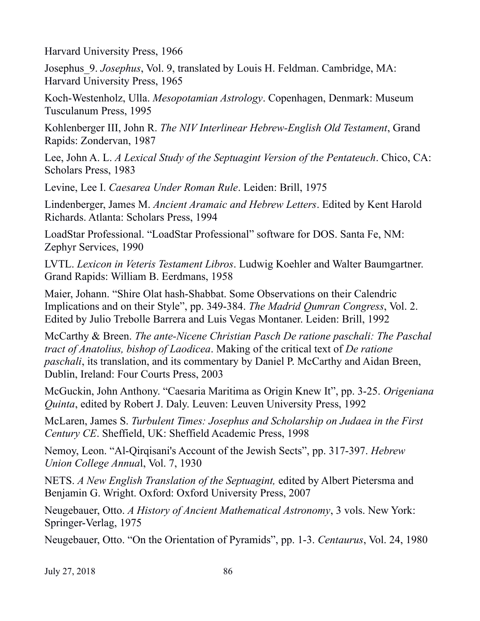Harvard University Press, 1966

Josephus\_9. *Josephus*, Vol. 9, translated by Louis H. Feldman. Cambridge, MA: Harvard University Press, 1965

Koch-Westenholz, Ulla. *Mesopotamian Astrology*. Copenhagen, Denmark: Museum Tusculanum Press, 1995

Kohlenberger III, John R. *The NIV Interlinear Hebrew-English Old Testament*, Grand Rapids: Zondervan, 1987

Lee, John A. L. *A Lexical Study of the Septuagint Version of the Pentateuch*. Chico, CA: Scholars Press, 1983

Levine, Lee I. *Caesarea Under Roman Rule*. Leiden: Brill, 1975

Lindenberger, James M. *Ancient Aramaic and Hebrew Letters*. Edited by Kent Harold Richards. Atlanta: Scholars Press, 1994

LoadStar Professional. "LoadStar Professional" software for DOS. Santa Fe, NM: Zephyr Services, 1990

LVTL. *Lexicon in Veteris Testament Libros*. Ludwig Koehler and Walter Baumgartner. Grand Rapids: William B. Eerdmans, 1958

Maier, Johann. "Shire Olat hash-Shabbat. Some Observations on their Calendric Implications and on their Style", pp. 349-384. *The Madrid Qumran Congress*, Vol. 2. Edited by Julio Trebolle Barrera and Luis Vegas Montaner. Leiden: Brill, 1992

McCarthy & Breen. *The ante-Nicene Christian Pasch De ratione paschali: The Paschal tract of Anatolius, bishop of Laodicea*. Making of the critical text of *De ratione paschali*, its translation, and its commentary by Daniel P. McCarthy and Aidan Breen, Dublin, Ireland: Four Courts Press, 2003

McGuckin, John Anthony. "Caesaria Maritima as Origin Knew It", pp. 3-25. *Origeniana Quinta*, edited by Robert J. Daly. Leuven: Leuven University Press, 1992

McLaren, James S. *Turbulent Times: Josephus and Scholarship on Judaea in the First Century CE*. Sheffield, UK: Sheffield Academic Press, 1998

Nemoy, Leon. "Al-Qirqisani's Account of the Jewish Sects", pp. 317-397. *Hebrew Union College Annua*l, Vol. 7, 1930

NETS. *A New English Translation of the Septuagint,* edited by Albert Pietersma and Benjamin G. Wright. Oxford: Oxford University Press, 2007

Neugebauer, Otto. *A History of Ancient Mathematical Astronomy*, 3 vols. New York: Springer-Verlag, 1975

Neugebauer, Otto. "On the Orientation of Pyramids", pp. 1-3. *Centaurus*, Vol. 24, 1980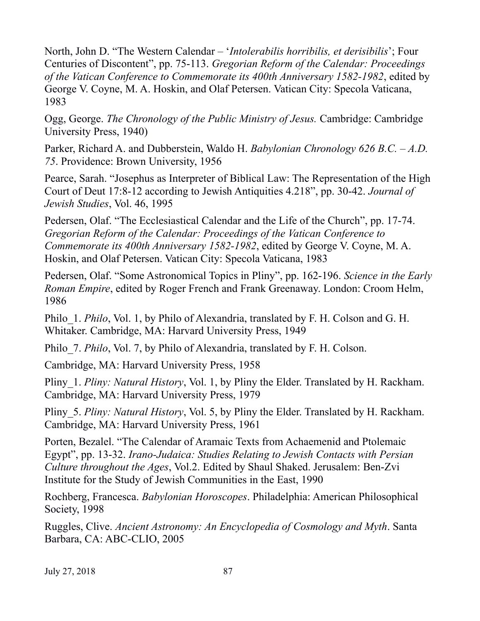North, John D. "The Western Calendar – '*Intolerabilis horribilis, et derisibilis*'; Four Centuries of Discontent", pp. 75-113. *Gregorian Reform of the Calendar: Proceedings of the Vatican Conference to Commemorate its 400th Anniversary 1582-1982*, edited by George V. Coyne, M. A. Hoskin, and Olaf Petersen. Vatican City: Specola Vaticana, 1983

Ogg, George. *The Chronology of the Public Ministry of Jesus.* Cambridge: Cambridge University Press, 1940)

Parker, Richard A. and Dubberstein, Waldo H. *Babylonian Chronology 626 B.C. – A.D. 75*. Providence: Brown University, 1956

Pearce, Sarah. "Josephus as Interpreter of Biblical Law: The Representation of the High Court of Deut 17:8-12 according to Jewish Antiquities 4.218", pp. 30-42. *Journal of Jewish Studies*, Vol. 46, 1995

Pedersen, Olaf. "The Ecclesiastical Calendar and the Life of the Church", pp. 17-74. *Gregorian Reform of the Calendar: Proceedings of the Vatican Conference to Commemorate its 400th Anniversary 1582-1982*, edited by George V. Coyne, M. A. Hoskin, and Olaf Petersen. Vatican City: Specola Vaticana, 1983

Pedersen, Olaf. "Some Astronomical Topics in Pliny", pp. 162-196. *Science in the Early Roman Empire*, edited by Roger French and Frank Greenaway. London: Croom Helm, 1986

Philo\_1. *Philo*, Vol. 1, by Philo of Alexandria, translated by F. H. Colson and G. H. Whitaker. Cambridge, MA: Harvard University Press, 1949

Philo\_7. *Philo*, Vol. 7, by Philo of Alexandria, translated by F. H. Colson.

Cambridge, MA: Harvard University Press, 1958

Pliny 1. *Pliny: Natural History*, Vol. 1, by Pliny the Elder. Translated by H. Rackham. Cambridge, MA: Harvard University Press, 1979

Pliny\_5. *Pliny: Natural History*, Vol. 5, by Pliny the Elder. Translated by H. Rackham. Cambridge, MA: Harvard University Press, 1961

Porten, Bezalel. "The Calendar of Aramaic Texts from Achaemenid and Ptolemaic Egypt", pp. 13-32. *Irano-Judaica: Studies Relating to Jewish Contacts with Persian Culture throughout the Ages*, Vol.2. Edited by Shaul Shaked. Jerusalem: Ben-Zvi Institute for the Study of Jewish Communities in the East, 1990

Rochberg, Francesca. *Babylonian Horoscopes*. Philadelphia: American Philosophical Society, 1998

Ruggles, Clive. *Ancient Astronomy: An Encyclopedia of Cosmology and Myth*. Santa Barbara, CA: ABC-CLIO, 2005